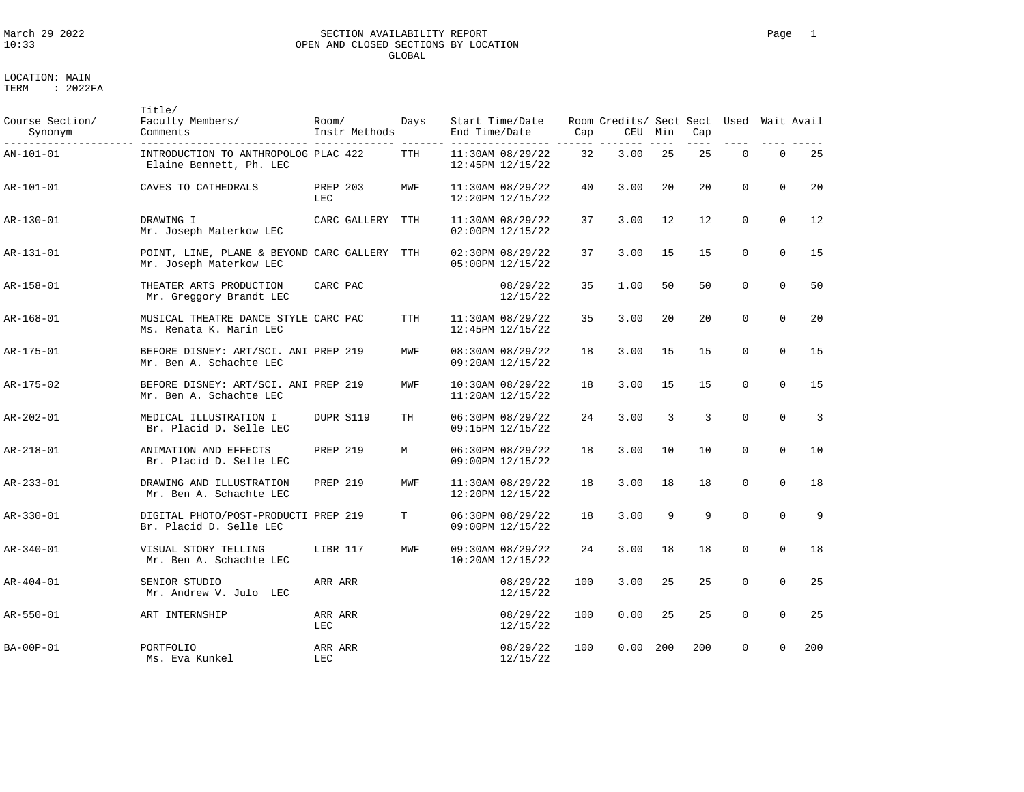### March 29 2022 SECTION AVAILABILITY REPORT Page 1 OPEN AND CLOSED SECTIONS BY LOCATION GLOBAL

LOCATION: MAIN TERM : 2022FA

Title/

Course Section/ Faculty Members/ Room/ Days Start Time/Date Room Credits/ Sect Sect Used Wait Avail Synonym Comments Instr Methods End Time/Date Cap CEU Min Cap --------------------- --------------------------- ------------- ------- ---------------- ------ ------- ---- ---- ---- ---- ----- AN-101-01 INTRODUCTION TO ANTHROPOLOG PLAC 422 TTH 11:30AM 08/29/22 32 3.00 25 25 0 0 25<br>Elaine Bennett, Ph. LEC 12:45PM 12/15/22 Elaine Bennett, Ph. LEC AR-101-01 CAVES TO CATHEDRALS PREP 203 MWF 11:30AM 08/29/22 40 3.00 20 20 0 0 20 LEC 12:20PM 12/15/22 AR-130-01 DRAWING I CARC GALLERY TTH 11:30AM 08/29/22 37 3.00 12 12 0 0 12 Mr. Joseph Materkow LEC 02:00PM 12/15/22 AR-131-01 POINT, LINE, PLANE & BEYOND CARC GALLERY TTH 02:30PM 08/29/22 37 3.00 15 15 0 0 15<br>Mr. Joseph Materkow LEC 05:00PM 12/15/22 Mr. Joseph Materkow LEC AR-158-01 THEATER ARTS PRODUCTION CARC PAC 08/29/22 35 1.00 50 50 0 0 50 Mr. Greggory Brandt LEC 12/15/22 AR-168-01 MUSICAL THEATRE DANCE STYLE CARC PAC TTH 11:30AM 08/29/22 35 3.00 20 20 0 0 20<br>Ms. Renata K. Marin LEC 12:45PM 12/15/22 Ms. Renata K. Marin LEC AR-175-01 BEFORE DISNEY: ART/SCI. ANI PREP 219 MWF 08:30AM 08/29/22 18 3.00 15 15 0 0 15<br>Mr. Ben A. Schachte LEC Mr. Ben A. Schachte LEC AR-175-02 BEFORE DISNEY: ART/SCI. ANI PREP 219 MWF 10:30AM 08/29/22 18 3.00 15 15 0 0 15<br>Mr. Ben A. Schachte LEC Mr. Ben A. Schachte LEC AR-202-01 MEDICAL ILLUSTRATION I DUPR S119 TH 06:30PM 08/29/22 24 3.00 3 3 0 0 3 Br. Placid D. Selle LEC AR-218-01 ANIMATION AND EFFECTS PREP 219 M 06:30PM 08/29/22 18 3.00 10 10 0 0 10<br>Br. Placid D. Selle LEC 09:00PM 12/15/22 Br. Placid D. Selle LEC AR-233-01 DRAWING AND ILLUSTRATION PREP 219 MWF 11:30AM 08/29/22 18 3.00 18 18 0 0 18 Mr. Ben A. Schachte LEC AR-330-01 DIGITAL PHOTO/POST-PRODUCTI PREP 219 T 06:30PM 08/29/22 18 3.00 9 9 0 0 9 Br. Placid D. Selle LEC AR-340-01 <br>Mr. Ben A. Schachte LEC MWF 09:30AM 08/29/22 24 3.00 18 18 0 0 18<br>Mr. Ben A. Schachte LEC 10:20AM 12/15/22 Mr. Ben A. Schachte LEC AR-404-01 SENIOR STUDIO ARR ARR 08/29/22 100 3.00 25 25 0 0 25 Mr. Andrew V. Julo LEC 12/15/22 AR-550-01 ART INTERNSHIP ARR ARR 08/29/22 100 0.00 25 25 0 0 25 LEC 12/15/22 BA-00P-01 PORTFOLIO ARR ARR 08/29/22 100 0.00 200 200 0 0 200 Ms. Eva Kunkel LEC 12/15/22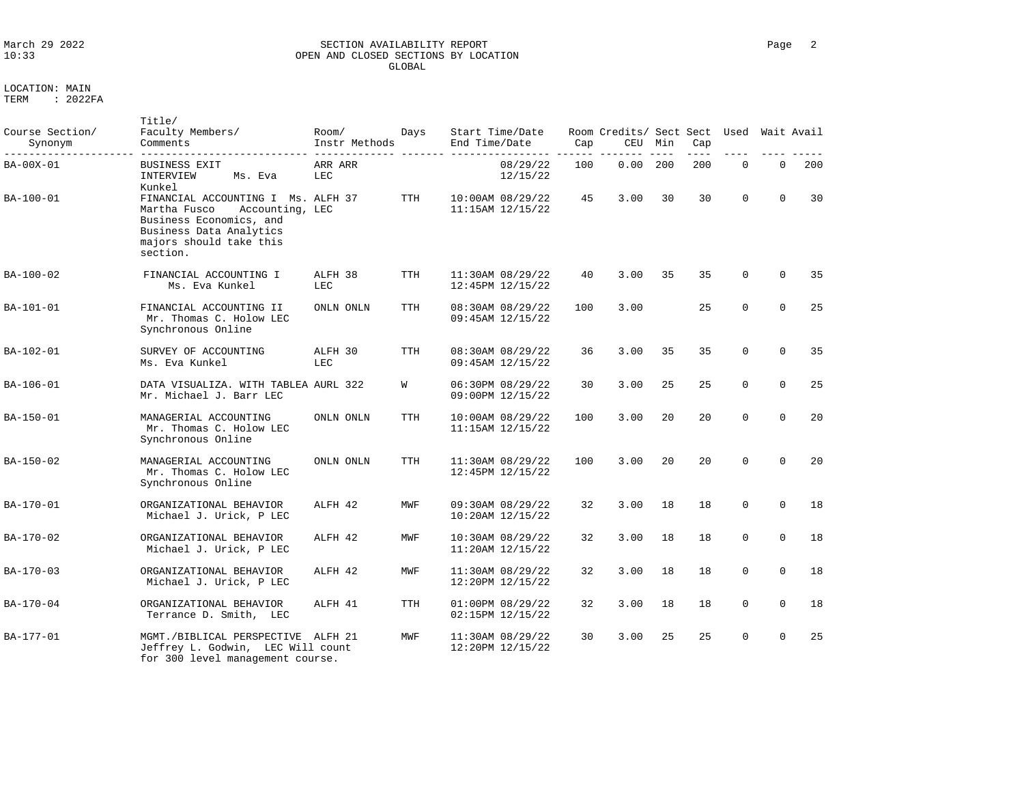### March 29 2022 SECTION AVAILABILITY REPORT Page 2 OPEN AND CLOSED SECTIONS BY LOCATION GLOBAL

LOCATION: MAIN

| Course Section/<br>Synonym | Title/<br>Faculty Members/<br>Comments                                                                                                                             | Room/<br>Instr Methods | Days       | Start Time/Date<br>End Time/Date         | Cap | Room Credits/ Sect Sect<br>CEU | Min | Cap | Used        |             | Wait Avail |
|----------------------------|--------------------------------------------------------------------------------------------------------------------------------------------------------------------|------------------------|------------|------------------------------------------|-----|--------------------------------|-----|-----|-------------|-------------|------------|
| BA-00X-01                  | <b>BUSINESS EXIT</b><br>INTERVIEW<br>Ms. Eva<br>Kunkel                                                                                                             | ARR ARR<br>LEC         |            | 08/29/22<br>12/15/22                     | 100 | 0.00                           | 200 | 200 | $\mathbf 0$ | $\Omega$    | 200        |
| BA-100-01                  | FINANCIAL ACCOUNTING I Ms. ALFH 37<br>Martha Fusco<br>Accounting, LEC<br>Business Economics, and<br>Business Data Analytics<br>majors should take this<br>section. |                        | <b>TTH</b> | 10:00AM 08/29/22<br>$11:15AM$ $12/15/22$ | 45  | 3.00                           | 30  | 30  | $\Omega$    | $\Omega$    | 30         |
| BA-100-02                  | FINANCIAL ACCOUNTING I<br>Ms. Eva Kunkel                                                                                                                           | ALFH 38<br>LEC         | <b>TTH</b> | 11:30AM 08/29/22<br>12:45PM 12/15/22     | 40  | 3.00                           | 35  | 35  | $\Omega$    | $\Omega$    | 35         |
| BA-101-01                  | FINANCIAL ACCOUNTING II<br>Mr. Thomas C. Holow LEC<br>Synchronous Online                                                                                           | ONLN ONLN              | <b>TTH</b> | 08:30AM 08/29/22<br>09:45AM 12/15/22     | 100 | 3.00                           |     | 25  | $\mathbf 0$ | $\mathbf 0$ | 25         |
| BA-102-01                  | SURVEY OF ACCOUNTING<br>Ms. Eva Kunkel                                                                                                                             | ALFH 30<br>LEC         | TTH        | 08:30AM 08/29/22<br>09:45AM 12/15/22     | 36  | 3.00                           | 35  | 35  | $\mathbf 0$ | $\mathbf 0$ | 35         |
| BA-106-01                  | DATA VISUALIZA. WITH TABLEA AURL 322<br>Mr. Michael J. Barr LEC                                                                                                    |                        | W          | 06:30PM 08/29/22<br>09:00PM 12/15/22     | 30  | 3.00                           | 25  | 25  | $\mathbf 0$ | $\Omega$    | 25         |
| BA-150-01                  | MANAGERIAL ACCOUNTING<br>Mr. Thomas C. Holow LEC<br>Synchronous Online                                                                                             | ONLN ONLN              | TTH        | 10:00AM 08/29/22<br>11:15AM 12/15/22     | 100 | 3.00                           | 20  | 20  | $\Omega$    | $\Omega$    | 20         |
| BA-150-02                  | MANAGERIAL ACCOUNTING<br>Mr. Thomas C. Holow LEC<br>Synchronous Online                                                                                             | ONLN ONLN              | TTH        | 11:30AM 08/29/22<br>12:45PM 12/15/22     | 100 | 3.00                           | 20  | 2.0 | $\Omega$    | $\Omega$    | 20         |
| BA-170-01                  | ORGANIZATIONAL BEHAVIOR<br>Michael J. Urick, P LEC                                                                                                                 | ALFH 42                | MWF        | 09:30AM 08/29/22<br>10:20AM 12/15/22     | 32  | 3.00                           | 18  | 18  | $\mathbf 0$ | $\Omega$    | 18         |
| BA-170-02                  | ORGANIZATIONAL BEHAVIOR<br>Michael J. Urick, P LEC                                                                                                                 | ALFH 42                | MWF        | 10:30AM 08/29/22<br>11:20AM 12/15/22     | 32  | 3.00                           | 18  | 18  | $\mathbf 0$ | $\Omega$    | 18         |
| BA-170-03                  | ORGANIZATIONAL BEHAVIOR<br>Michael J. Urick, P LEC                                                                                                                 | ALFH 42                | MWF        | 11:30AM 08/29/22<br>12:20PM 12/15/22     | 32  | 3.00                           | 18  | 18  | $\mathbf 0$ | $\Omega$    | 18         |
| BA-170-04                  | ORGANIZATIONAL BEHAVIOR<br>Terrance D. Smith, LEC                                                                                                                  | ALFH 41                | <b>TTH</b> | 01:00PM 08/29/22<br>02:15PM 12/15/22     | 32  | 3.00                           | 18  | 18  | $\mathbf 0$ | $\Omega$    | 18         |
| BA-177-01                  | MGMT./BIBLICAL PERSPECTIVE<br>Jeffrey L. Godwin, LEC Will count<br>for 300 level management course.                                                                | ALFH 21                | MWF        | 11:30AM 08/29/22<br>12:20PM 12/15/22     | 30  | 3.00                           | 25  | 25  | $\Omega$    | $\Omega$    | 25         |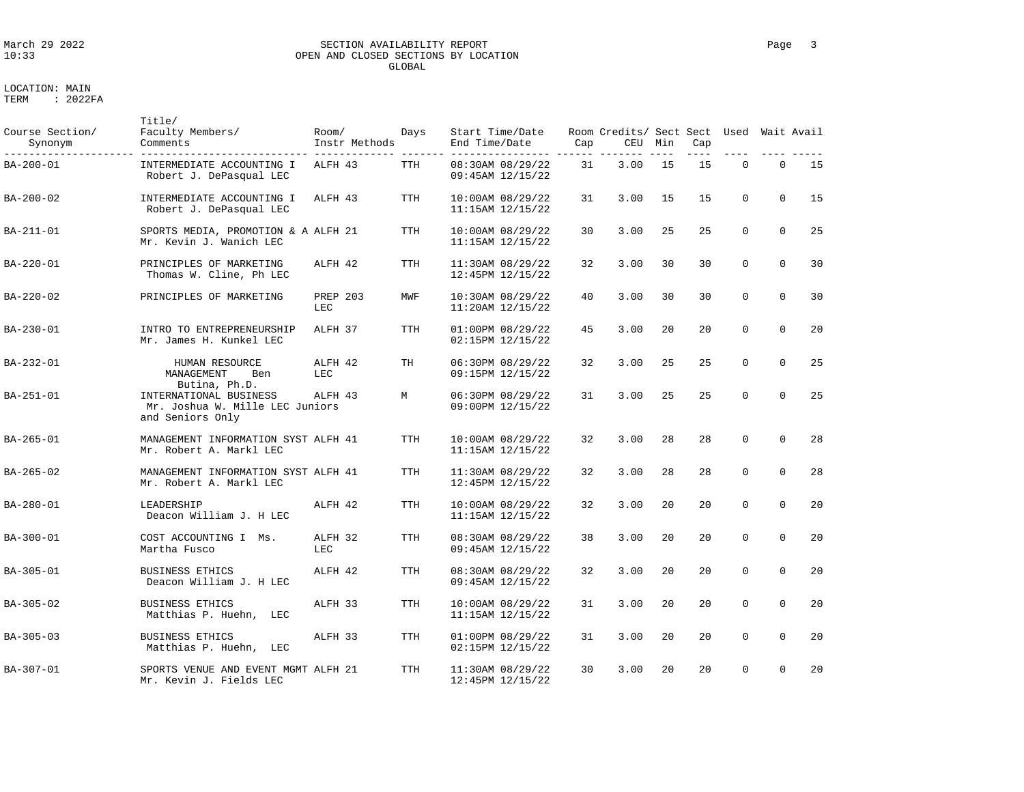### March 29 2022 SECTION AVAILABILITY REPORT Page 3 OPEN AND CLOSED SECTIONS BY LOCATION GLOBAL

| Course Section/<br>Synonym | Title/<br>Faculty Members/<br>Comments                                        | Room/<br>Instr Methods | Days       | Start Time/Date<br>End Time/Date         | Cap | Room Credits/ Sect Sect Used Wait Avail<br>CEU | Min | Cap |          |             |    |
|----------------------------|-------------------------------------------------------------------------------|------------------------|------------|------------------------------------------|-----|------------------------------------------------|-----|-----|----------|-------------|----|
| BA-200-01                  | INTERMEDIATE ACCOUNTING I<br>Robert J. DePasqual LEC                          | ALFH 43                | TTH        | 08:30AM 08/29/22<br>09:45AM 12/15/22     | 31  | 3.00                                           | 15  | 15  | $\Omega$ | $\Omega$    | 15 |
| BA-200-02                  | INTERMEDIATE ACCOUNTING I<br>Robert J. DePasqual LEC                          | ALFH 43                | <b>TTH</b> | 10:00AM 08/29/22<br>11:15AM 12/15/22     | 31  | 3.00                                           | 15  | 15  | $\Omega$ | $\Omega$    | 15 |
| BA-211-01                  | SPORTS MEDIA, PROMOTION & A ALFH 21<br>Mr. Kevin J. Wanich LEC                |                        | TTH        | 10:00AM 08/29/22<br>11:15AM 12/15/22     | 30  | 3.00                                           | 25  | 25  | $\Omega$ | $\Omega$    | 25 |
| BA-220-01                  | PRINCIPLES OF MARKETING<br>Thomas W. Cline, Ph LEC                            | ALFH 42                | <b>TTH</b> | 11:30AM 08/29/22<br>12:45PM 12/15/22     | 32  | 3.00                                           | 30  | 30  | $\Omega$ | $\Omega$    | 30 |
| BA-220-02                  | PRINCIPLES OF MARKETING                                                       | <b>PREP 203</b><br>LEC | MWF        | 10:30AM 08/29/22<br>11:20AM 12/15/22     | 40  | 3.00                                           | 30  | 30  | $\Omega$ | $\Omega$    | 30 |
| BA-230-01                  | INTRO TO ENTREPRENEURSHIP<br>Mr. James H. Kunkel LEC                          | ALFH 37                | <b>TTH</b> | 01:00PM 08/29/22<br>02:15PM 12/15/22     | 45  | 3.00                                           | 20  | 20  | 0        | $\mathbf 0$ | 20 |
| BA-232-01                  | HUMAN RESOURCE<br>MANAGEMENT<br>Ben<br>Butina, Ph.D.                          | ALFH 42<br>LEC.        | TН         | 06:30PM 08/29/22<br>09:15PM 12/15/22     | 32  | 3.00                                           | 25  | 25  | $\Omega$ | $\mathbf 0$ | 25 |
| BA-251-01                  | INTERNATIONAL BUSINESS<br>Mr. Joshua W. Mille LEC Juniors<br>and Seniors Only | ALFH 43                | М          | 06:30PM 08/29/22<br>09:00PM 12/15/22     | 31  | 3.00                                           | 25  | 25  | 0        | $\Omega$    | 25 |
| BA-265-01                  | MANAGEMENT INFORMATION SYST ALFH 41<br>Mr. Robert A. Markl LEC                |                        | TTH        | 10:00AM 08/29/22<br>$11:15AM$ $12/15/22$ | 32  | 3.00                                           | 28  | 28  | $\Omega$ | $\mathbf 0$ | 28 |
| BA-265-02                  | MANAGEMENT INFORMATION SYST ALFH 41<br>Mr. Robert A. Markl LEC                |                        | <b>TTH</b> | 11:30AM 08/29/22<br>12:45PM 12/15/22     | 32  | 3.00                                           | 28  | 28  | 0        | $\mathbf 0$ | 28 |
| BA-280-01                  | LEADERSHIP<br>Deacon William J. H LEC                                         | ALFH 42                | <b>TTH</b> | 10:00AM 08/29/22<br>11:15AM 12/15/22     | 32  | 3.00                                           | 20  | 20  | $\Omega$ | $\Omega$    | 20 |
| BA-300-01                  | COST ACCOUNTING I Ms.<br>Martha Fusco                                         | ALFH 32<br>LEC         | <b>TTH</b> | 08:30AM 08/29/22<br>09:45AM 12/15/22     | 38  | 3.00                                           | 20  | 20  | $\Omega$ | $\Omega$    | 20 |
| BA-305-01                  | <b>BUSINESS ETHICS</b><br>Deacon William J. H LEC                             | ALFH 42                | TTH        | 08:30AM 08/29/22<br>09:45AM 12/15/22     | 32  | 3.00                                           | 20  | 20  | 0        | $\Omega$    | 20 |
| BA-305-02                  | <b>BUSINESS ETHICS</b><br>Matthias P. Huehn,<br>LEC                           | ALFH 33                | TTH        | 10:00AM 08/29/22<br>11:15AM 12/15/22     | 31  | 3.00                                           | 20  | 20  | 0        | $\mathbf 0$ | 20 |
| BA-305-03                  | <b>BUSINESS ETHICS</b><br>Matthias P. Huehn,<br>LEC                           | ALFH 33                | <b>TTH</b> | 01:00PM 08/29/22<br>02:15PM 12/15/22     | 31  | 3.00                                           | 20  | 20  | $\Omega$ | $\Omega$    | 20 |
| BA-307-01                  | SPORTS VENUE AND EVENT MGMT ALFH 21<br>Mr. Kevin J. Fields LEC                |                        | <b>TTH</b> | 11:30AM 08/29/22<br>12:45PM 12/15/22     | 30  | 3.00                                           | 20  | 20  | $\Omega$ | $\Omega$    | 20 |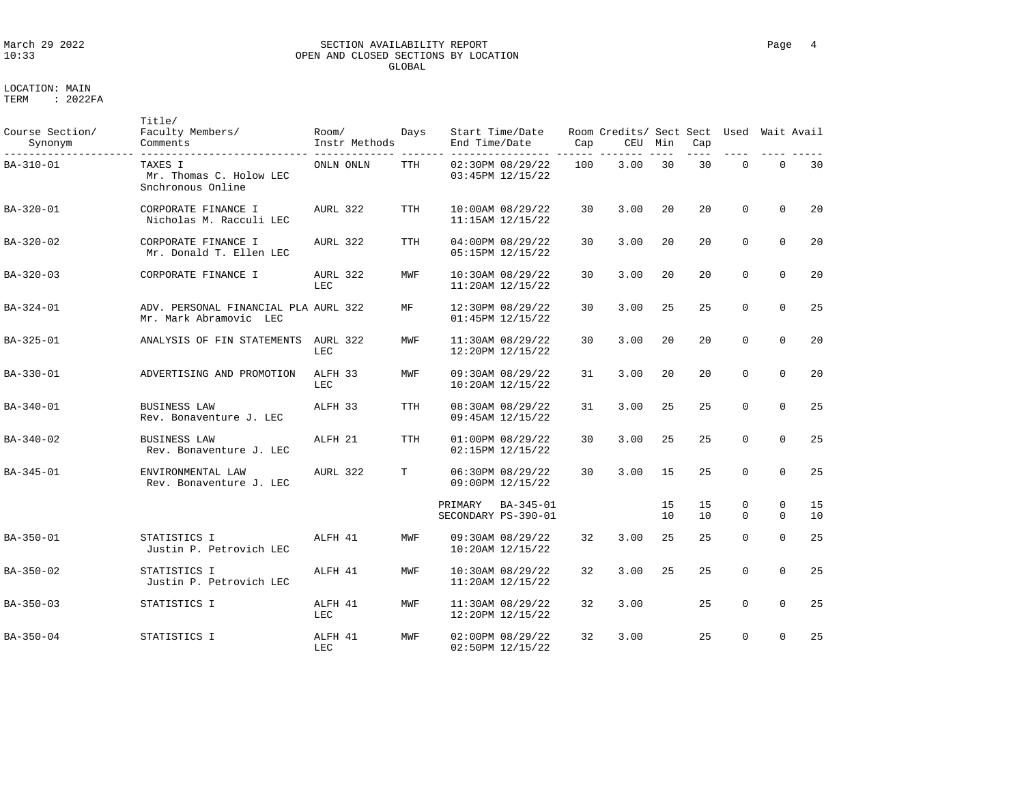### March 29 2022 SECTION AVAILABILITY REPORT Page 4 OPEN AND CLOSED SECTIONS BY LOCATION GLOBAL

| Course Section/<br>Synonym | Title/<br>Faculty Members/<br>Comments                         | Room/<br>Instr Methods | Days       | Start Time/Date<br>End Time/Date            | Cap | Room Credits/ Sect Sect Used<br>CEU | Min      | Cap      |                         |                          | Wait Avail |
|----------------------------|----------------------------------------------------------------|------------------------|------------|---------------------------------------------|-----|-------------------------------------|----------|----------|-------------------------|--------------------------|------------|
| BA-310-01                  | TAXES I<br>Mr. Thomas C. Holow LEC<br>Snchronous Online        | ONLN ONLN              | TTH        | 02:30PM 08/29/22<br>03:45PM 12/15/22        | 100 | 3.00                                | 30       | 30       | $\Omega$                | $\mathbf 0$              | 30         |
| BA-320-01                  | CORPORATE FINANCE I<br>Nicholas M. Racculi LEC                 | AURL 322               | <b>TTH</b> | 10:00AM 08/29/22<br>11:15AM 12/15/22        | 30  | 3.00                                | 20       | 20       | $\Omega$                | $\Omega$                 | 20         |
| BA-320-02                  | CORPORATE FINANCE I<br>Mr. Donald T. Ellen LEC                 | AURL 322               | TTH        | 04:00PM 08/29/22<br>05:15PM 12/15/22        | 30  | 3.00                                | 20       | 20       | $\Omega$                | $\Omega$                 | 20         |
| BA-320-03                  | CORPORATE FINANCE I                                            | AURL 322<br>LEC        | MWF        | 10:30AM 08/29/22<br>11:20AM 12/15/22        | 30  | 3.00                                | 20       | 20       | $\mathbf 0$             | $\mathbf 0$              | 20         |
| BA-324-01                  | ADV. PERSONAL FINANCIAL PLA AURL 322<br>Mr. Mark Abramovic LEC |                        | MF         | 12:30PM 08/29/22<br>01:45PM 12/15/22        | 30  | 3.00                                | 25       | 25       | $\Omega$                | $\Omega$                 | 25         |
| BA-325-01                  | ANALYSIS OF FIN STATEMENTS                                     | AURL 322<br>LEC        | MWF        | 11:30AM 08/29/22<br>12:20PM 12/15/22        | 30  | 3.00                                | 20       | 20       | $\Omega$                | $\Omega$                 | 20         |
| BA-330-01                  | ADVERTISING AND PROMOTION                                      | ALFH 33<br>LEC         | MWF        | 09:30AM 08/29/22<br>$10:20AM$ $12/15/22$    | 31  | 3.00                                | 20       | 20       | $\mathbf 0$             | $\Omega$                 | 20         |
| BA-340-01                  | <b>BUSINESS LAW</b><br>Rev. Bonaventure J. LEC                 | ALFH 33                | <b>TTH</b> | 08:30AM 08/29/22<br>09:45AM 12/15/22        | 31  | 3.00                                | 25       | 25       | $\mathbf 0$             | $\mathbf 0$              | 25         |
| $BA - 340 - 02$            | <b>BUSINESS LAW</b><br>Rev. Bonaventure J. LEC                 | ALFH 21                | <b>TTH</b> | 01:00PM 08/29/22<br>02:15PM 12/15/22        | 30  | 3.00                                | 25       | 25       | $\Omega$                | $\Omega$                 | 25         |
| BA-345-01                  | ENVIRONMENTAL LAW<br>Rev. Bonaventure J. LEC                   | AURL 322               | T          | 06:30PM 08/29/22<br>09:00PM 12/15/22        | 30  | 3.00                                | 15       | 25       | $\Omega$                | $\Omega$                 | 25         |
|                            |                                                                |                        |            | PRIMARY<br>BA-345-01<br>SECONDARY PS-390-01 |     |                                     | 15<br>10 | 15<br>10 | $\mathbf 0$<br>$\Omega$ | $\mathbf{0}$<br>$\Omega$ | 15<br>10   |
| BA-350-01                  | STATISTICS I<br>Justin P. Petrovich LEC                        | ALFH 41                | MWF        | 09:30AM 08/29/22<br>$10:20AM$ $12/15/22$    | 32  | 3.00                                | 25       | 25       | $\Omega$                | $\Omega$                 | 25         |
| BA-350-02                  | STATISTICS I<br>Justin P. Petrovich LEC                        | ALFH 41                | MWF        | 10:30AM 08/29/22<br>11:20AM 12/15/22        | 32  | 3.00                                | 25       | 25       | $\Omega$                | $\Omega$                 | 25         |
| $BA - 350 - 03$            | STATISTICS I                                                   | ALFH 41<br>LEC         | MWF        | 11:30AM 08/29/22<br>12:20PM 12/15/22        | 32  | 3.00                                |          | 25       | $\mathbf 0$             | $\Omega$                 | 25         |
| BA-350-04                  | STATISTICS I                                                   | ALFH 41<br>LEC         | MWF        | 02:00PM 08/29/22<br>02:50PM 12/15/22        | 32  | 3.00                                |          | 25       | $\Omega$                | $\Omega$                 | 25         |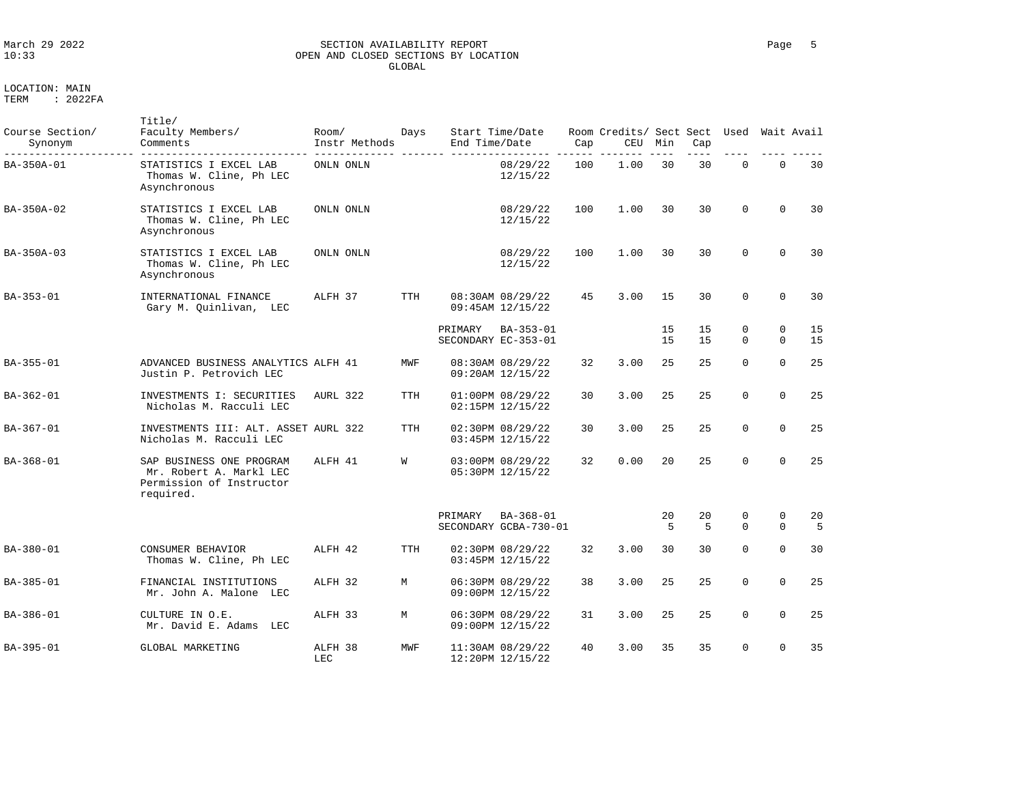| Course Section/<br>Synonym | Title/<br>Faculty Members/<br>Comments                                                       | Room/<br>Instr Methods | Days       | End Time/Date | Start Time/Date                      | Cap | Room Credits/ Sect Sect<br><b>CEU</b> | Min      | Cap                  | Used                 |                         | Wait Avail |
|----------------------------|----------------------------------------------------------------------------------------------|------------------------|------------|---------------|--------------------------------------|-----|---------------------------------------|----------|----------------------|----------------------|-------------------------|------------|
| BA-350A-01                 | STATISTICS I EXCEL LAB<br>Thomas W. Cline, Ph LEC<br>Asynchronous                            | ONLN ONLN              |            |               | 08/29/22<br>12/15/22                 | 100 | 1.00                                  | 30       | 30                   | $\mathbf 0$          | $\mathbf{0}$            | 30         |
| BA-350A-02                 | STATISTICS I EXCEL LAB<br>Thomas W. Cline, Ph LEC<br>Asynchronous                            | ONLN ONLN              |            |               | 08/29/22<br>12/15/22                 | 100 | 1.00                                  | 30       | 30                   | $\Omega$             | $\Omega$                | 30         |
| BA-350A-03                 | STATISTICS I EXCEL LAB<br>Thomas W. Cline, Ph LEC<br>Asynchronous                            | ONLN ONLN              |            |               | 08/29/22<br>12/15/22                 | 100 | 1.00                                  | 30       | 30                   | $\Omega$             | $\Omega$                | 30         |
| BA-353-01                  | INTERNATIONAL FINANCE<br>Gary M. Quinlivan, LEC                                              | ALFH 37                | <b>TTH</b> |               | 08:30AM 08/29/22<br>09:45AM 12/15/22 | 45  | 3.00                                  | 15       | 30                   | $\Omega$             | $\Omega$                | 30         |
|                            |                                                                                              |                        |            | PRIMARY       | BA-353-01<br>SECONDARY EC-353-01     |     |                                       | 15<br>15 | 15<br>15             | $\Omega$<br>$\Omega$ | $\Omega$<br>$\Omega$    | 15<br>15   |
| BA-355-01                  | ADVANCED BUSINESS ANALYTICS ALFH 41<br>Justin P. Petrovich LEC                               |                        | MWF        |               | 08:30AM 08/29/22<br>09:20AM 12/15/22 | 32  | 3.00                                  | 25       | 25                   | $\Omega$             | $\Omega$                | 2.5        |
| $BA-362-01$                | INVESTMENTS I: SECURITIES<br>Nicholas M. Racculi LEC                                         | AURL 322               | <b>TTH</b> |               | 01:00PM 08/29/22<br>02:15PM 12/15/22 | 30  | 3.00                                  | 25       | 2.5                  | $\Omega$             | $\Omega$                | 2.5        |
| $BA-367-01$                | INVESTMENTS III: ALT. ASSET AURL 322<br>Nicholas M. Racculi LEC                              |                        | <b>TTH</b> |               | 02:30PM 08/29/22<br>03:45PM 12/15/22 | 30  | 3.00                                  | 25       | 2.5                  | $\Omega$             | $\Omega$                | 25         |
| $BA - 368 - 01$            | SAP BUSINESS ONE PROGRAM<br>Mr. Robert A. Markl LEC<br>Permission of Instructor<br>required. | ALFH 41                | W          |               | 03:00PM 08/29/22<br>05:30PM 12/15/22 | 32  | 0.00                                  | 2.0      | 25                   | $\Omega$             | $\Omega$                | 25         |
|                            |                                                                                              |                        |            | PRIMARY       | $BA-368-01$<br>SECONDARY GCBA-730-01 |     |                                       | 20<br>5  | 20<br>$\overline{5}$ | 0<br>$\Omega$        | $\mathbf 0$<br>$\Omega$ | 20<br>5    |
| $BA - 380 - 01$            | CONSUMER BEHAVIOR<br>Thomas W. Cline, Ph LEC                                                 | ALFH 42                | <b>TTH</b> |               | 02:30PM 08/29/22<br>03:45PM 12/15/22 | 32  | 3.00                                  | 30       | 30                   | $\Omega$             | $\Omega$                | 30         |
| BA-385-01                  | FINANCIAL INSTITUTIONS<br>Mr. John A. Malone LEC                                             | ALFH 32                | M          |               | 06:30PM 08/29/22<br>09:00PM 12/15/22 | 38  | 3.00                                  | 25       | 25                   | $\Omega$             | $\Omega$                | 25         |
| $BA - 386 - 01$            | CULTURE IN O.E.<br>Mr. David E. Adams<br>LEC                                                 | ALFH 33                | M          |               | 06:30PM 08/29/22<br>09:00PM 12/15/22 | 31  | 3.00                                  | 25       | 25                   | $\Omega$             | $\Omega$                | 25         |
| BA-395-01                  | GLOBAL MARKETING                                                                             | ALFH 38<br>LEC         | MWF        |               | 11:30AM 08/29/22<br>12:20PM 12/15/22 | 40  | 3.00                                  | 35       | 35                   | $\Omega$             | $\Omega$                | 35         |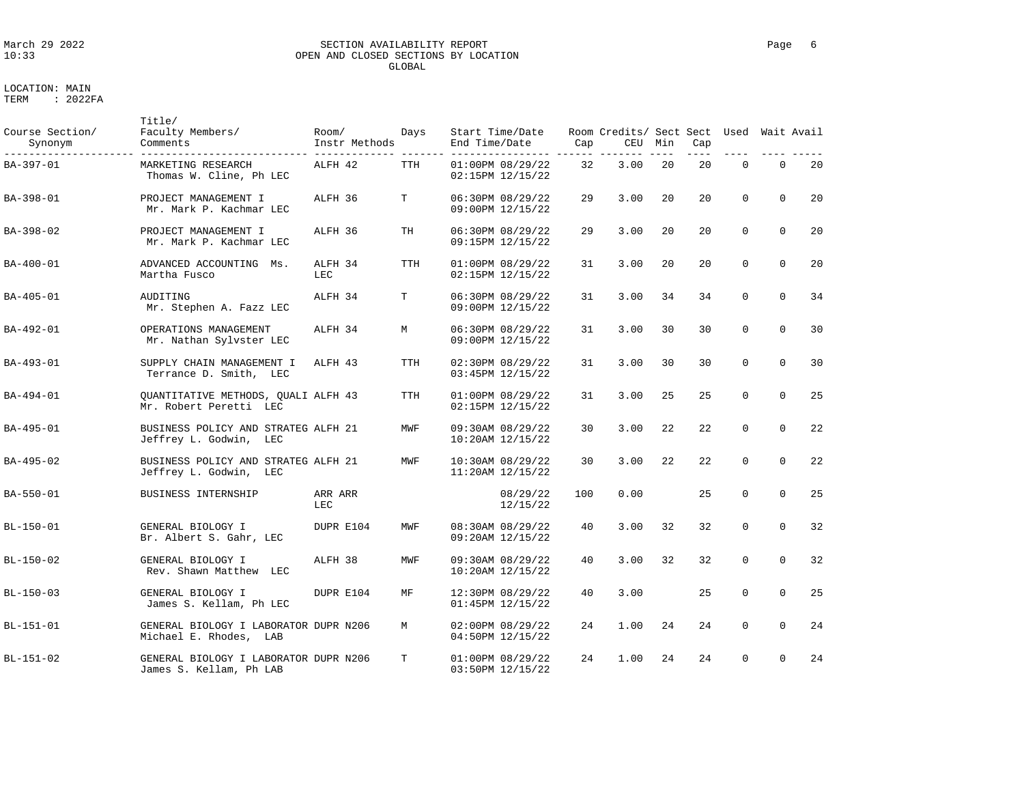# LOCATION: MAIN

| Course Section/<br>Synonym | Title/<br>Faculty Members/<br>Comments                             | Room/<br>Instr Methods | Days       | Start Time/Date<br>End Time/Date         | Cap | Room Credits/ Sect Sect Used<br>CEU | Min | Cap |             |             | Wait Avail |
|----------------------------|--------------------------------------------------------------------|------------------------|------------|------------------------------------------|-----|-------------------------------------|-----|-----|-------------|-------------|------------|
| BA-397-01                  | MARKETING RESEARCH<br>Thomas W. Cline, Ph LEC                      | ALFH 42                | TTH        | 01:00PM 08/29/22<br>02:15PM 12/15/22     | 32  | 3.00                                | 20  | 20  | $\Omega$    | $\Omega$    | 20         |
| BA-398-01                  | PROJECT MANAGEMENT I<br>Mr. Mark P. Kachmar LEC                    | ALFH 36                | T          | 06:30PM 08/29/22<br>09:00PM 12/15/22     | 29  | 3.00                                | 20  | 20  | $\mathbf 0$ | $\mathbf 0$ | 20         |
| BA-398-02                  | PROJECT MANAGEMENT I<br>Mr. Mark P. Kachmar LEC                    | ALFH 36                | TH         | 06:30PM 08/29/22<br>09:15PM 12/15/22     | 29  | 3.00                                | 20  | 20  | $\Omega$    | $\Omega$    | 20         |
| BA-400-01                  | ADVANCED ACCOUNTING Ms.<br>Martha Fusco                            | ALFH 34<br>LEC         | <b>TTH</b> | 01:00PM 08/29/22<br>02:15PM 12/15/22     | 31  | 3.00                                | 20  | 20  | $\mathbf 0$ | $\Omega$    | 20         |
| BA-405-01                  | AUDITING<br>Mr. Stephen A. Fazz LEC                                | ALFH 34                | T          | 06:30PM 08/29/22<br>09:00PM 12/15/22     | 31  | 3.00                                | 34  | 34  | $\mathbf 0$ | $\Omega$    | 34         |
| BA-492-01                  | OPERATIONS MANAGEMENT<br>Mr. Nathan Sylvster LEC                   | ALFH 34                | M          | 06:30PM 08/29/22<br>09:00PM 12/15/22     | 31  | 3.00                                | 30  | 30  | $\Omega$    | $\Omega$    | 30         |
| BA-493-01                  | SUPPLY CHAIN MANAGEMENT I<br>Terrance D. Smith, LEC                | ALFH 43                | <b>TTH</b> | 02:30PM 08/29/22<br>03:45PM 12/15/22     | 31  | 3.00                                | 30  | 30  | $\Omega$    | $\Omega$    | 30         |
| BA-494-01                  | QUANTITATIVE METHODS, QUALI ALFH 43<br>Mr. Robert Peretti LEC      |                        | TTH        | 01:00PM 08/29/22<br>02:15PM 12/15/22     | 31  | 3.00                                | 25  | 25  | $\Omega$    | $\Omega$    | 25         |
| BA-495-01                  | BUSINESS POLICY AND STRATEG ALFH 21<br>Jeffrey L. Godwin, LEC      |                        | MWF        | 09:30AM 08/29/22<br>10:20AM 12/15/22     | 30  | 3.00                                | 22  | 22  | $\mathbf 0$ | $\Omega$    | 22         |
| BA-495-02                  | BUSINESS POLICY AND STRATEG ALFH 21<br>Jeffrey L. Godwin,<br>LEC   |                        | MWF        | 10:30AM 08/29/22<br>11:20AM 12/15/22     | 30  | 3.00                                | 22  | 22  | $\mathbf 0$ | $\mathbf 0$ | 22         |
| BA-550-01                  | BUSINESS INTERNSHIP                                                | ARR ARR<br>LEC         |            | 08/29/22<br>12/15/22                     | 100 | 0.00                                |     | 25  | $\Omega$    | $\Omega$    | 25         |
| BL-150-01                  | GENERAL BIOLOGY I<br>Br. Albert S. Gahr, LEC                       | DUPR E104              | MWF        | 08:30AM 08/29/22<br>09:20AM 12/15/22     | 40  | 3.00                                | 32  | 32  | $\Omega$    | $\Omega$    | 32         |
| BL-150-02                  | GENERAL BIOLOGY I<br>Rev. Shawn Matthew LEC                        | ALFH 38                | MWF        | 09:30AM 08/29/22<br>$10:20AM$ $12/15/22$ | 40  | 3.00                                | 32  | 32  | $\Omega$    | $\Omega$    | 32         |
| BL-150-03                  | GENERAL BIOLOGY I<br>James S. Kellam, Ph LEC                       | DUPR E104              | MF         | 12:30PM 08/29/22<br>01:45PM 12/15/22     | 40  | 3.00                                |     | 25  | $\mathbf 0$ | $\mathbf 0$ | 25         |
| BL-151-01                  | GENERAL BIOLOGY I LABORATOR DUPR N206<br>Michael E. Rhodes,<br>LAB |                        | M          | 02:00PM 08/29/22<br>04:50PM 12/15/22     | 24  | 1.00                                | 24  | 24  | $\Omega$    | $\Omega$    | 24         |
| BL-151-02                  | GENERAL BIOLOGY I LABORATOR DUPR N206<br>James S. Kellam, Ph LAB   |                        | T          | 01:00PM 08/29/22<br>03:50PM 12/15/22     | 24  | 1.00                                | 24  | 24  | $\Omega$    | $\mathbf 0$ | 24         |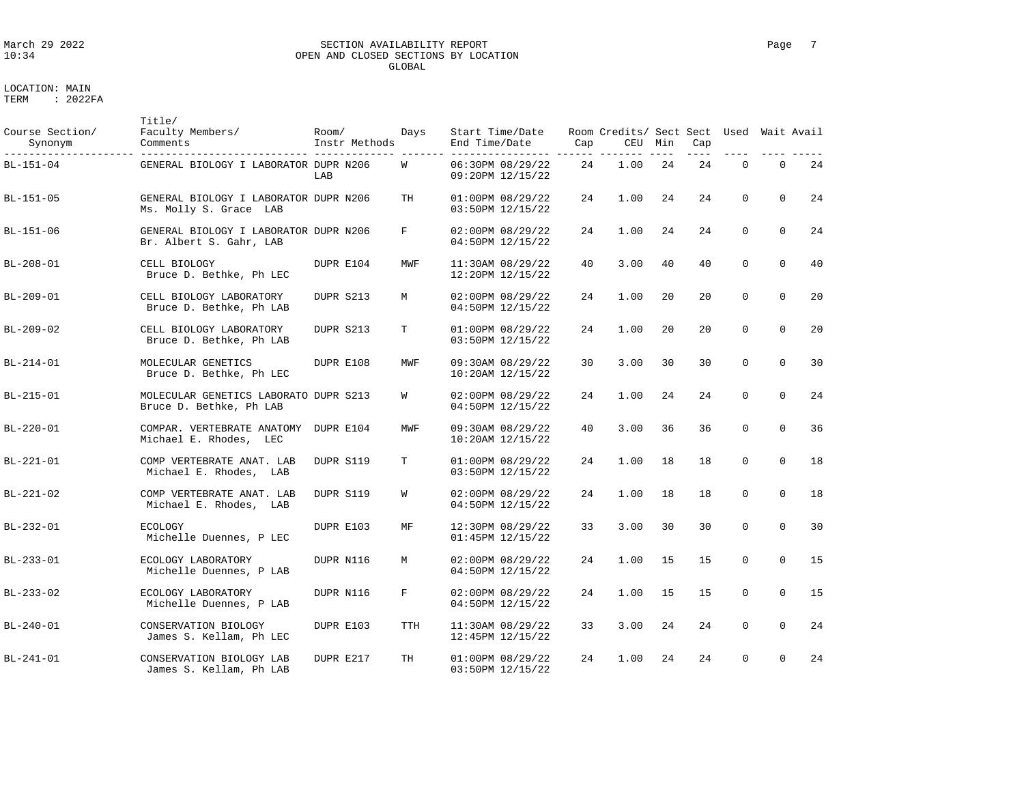### March 29 2022 SECTION AVAILABILITY REPORT Page 7 10:34 OPEN AND CLOSED SECTIONS BY LOCATION GLOBAL

| Course Section/<br>Synonym | Title/<br>Faculty Members/<br>Comments                           | Room/<br>Instr Methods | Days       | Start Time/Date<br>End Time/Date     | Cap | Room Credits/ Sect Sect Used Wait Avail<br>CEU | Min | Cap |             |             |    |
|----------------------------|------------------------------------------------------------------|------------------------|------------|--------------------------------------|-----|------------------------------------------------|-----|-----|-------------|-------------|----|
| BL-151-04                  | GENERAL BIOLOGY I LABORATOR DUPR N206                            | LAB                    | W          | 06:30PM 08/29/22<br>09:20PM 12/15/22 | 24  | 1.00                                           | 24  | 24  | $\Omega$    | $\Omega$    | 24 |
| BL-151-05                  | GENERAL BIOLOGY I LABORATOR DUPR N206<br>Ms. Molly S. Grace LAB  |                        | TH         | 01:00PM 08/29/22<br>03:50PM 12/15/22 | 24  | 1.00                                           | 24  | 24  | $\Omega$    | $\Omega$    | 24 |
| BL-151-06                  | GENERAL BIOLOGY I LABORATOR DUPR N206<br>Br. Albert S. Gahr, LAB |                        | F          | 02:00PM 08/29/22<br>04:50PM 12/15/22 | 24  | 1.00                                           | 24  | 24  | $\mathbf 0$ | $\mathbf 0$ | 24 |
| $BL - 208 - 01$            | CELL BIOLOGY<br>Bruce D. Bethke, Ph LEC                          | DUPR E104              | MWF        | 11:30AM 08/29/22<br>12:20PM 12/15/22 | 40  | 3.00                                           | 40  | 40  | $\Omega$    | $\Omega$    | 40 |
| BL-209-01                  | CELL BIOLOGY LABORATORY<br>Bruce D. Bethke, Ph LAB               | DUPR S213              | M          | 02:00PM 08/29/22<br>04:50PM 12/15/22 | 24  | 1.00                                           | 20  | 20  | $\mathbf 0$ | $\mathbf 0$ | 20 |
| BL-209-02                  | CELL BIOLOGY LABORATORY<br>Bruce D. Bethke, Ph LAB               | DUPR S213              | т          | 01:00PM 08/29/22<br>03:50PM 12/15/22 | 24  | 1.00                                           | 20  | 20  | $\Omega$    | $\Omega$    | 20 |
| BL-214-01                  | MOLECULAR GENETICS<br>Bruce D. Bethke, Ph LEC                    | DUPR E108              | MWF        | 09:30AM 08/29/22<br>10:20AM 12/15/22 | 30  | 3.00                                           | 30  | 30  | $\Omega$    | $\mathbf 0$ | 30 |
| BL-215-01                  | MOLECULAR GENETICS LABORATO DUPR S213<br>Bruce D. Bethke, Ph LAB |                        | W          | 02:00PM 08/29/22<br>04:50PM 12/15/22 | 24  | 1.00                                           | 24  | 24  | $\Omega$    | $\Omega$    | 24 |
| $BL-220-01$                | COMPAR. VERTEBRATE ANATOMY<br>Michael E. Rhodes, LEC             | DUPR E104              | MWF        | 09:30AM 08/29/22<br>10:20AM 12/15/22 | 40  | 3.00                                           | 36  | 36  | $\mathbf 0$ | $\mathbf 0$ | 36 |
| BL-221-01                  | COMP VERTEBRATE ANAT. LAB<br>Michael E. Rhodes, LAB              | DUPR S119              | T          | 01:00PM 08/29/22<br>03:50PM 12/15/22 | 24  | 1.00                                           | 18  | 18  | $\Omega$    | $\Omega$    | 18 |
| BL-221-02                  | COMP VERTEBRATE ANAT. LAB<br>Michael E. Rhodes, LAB              | DUPR S119              | W          | 02:00PM 08/29/22<br>04:50PM 12/15/22 | 24  | 1.00                                           | 18  | 18  | $\Omega$    | $\mathbf 0$ | 18 |
| BL-232-01                  | <b>ECOLOGY</b><br>Michelle Duennes, P LEC                        | DUPR E103              | MF         | 12:30PM 08/29/22<br>01:45PM 12/15/22 | 33  | 3.00                                           | 30  | 30  | $\Omega$    | $\Omega$    | 30 |
| BL-233-01                  | ECOLOGY LABORATORY<br>Michelle Duennes, P LAB                    | DUPR N116              | M          | 02:00PM 08/29/22<br>04:50PM 12/15/22 | 24  | 1.00                                           | 15  | 15  | $\Omega$    | $\Omega$    | 15 |
| BL-233-02                  | ECOLOGY LABORATORY<br>Michelle Duennes, P LAB                    | DUPR N116              | F          | 02:00PM 08/29/22<br>04:50PM 12/15/22 | 24  | 1.00                                           | 15  | 15  | $\Omega$    | $\Omega$    | 15 |
| $BL - 240 - 01$            | CONSERVATION BIOLOGY<br>James S. Kellam, Ph LEC                  | DUPR E103              | <b>TTH</b> | 11:30AM 08/29/22<br>12:45PM 12/15/22 | 33  | 3.00                                           | 24  | 24  | $\Omega$    | $\Omega$    | 24 |
| BL-241-01                  | CONSERVATION BIOLOGY LAB<br>James S. Kellam, Ph LAB              | DUPR E217              | TH         | 01:00PM 08/29/22<br>03:50PM 12/15/22 | 24  | 1.00                                           | 24  | 24  | $\mathbf 0$ | $\mathbf 0$ | 24 |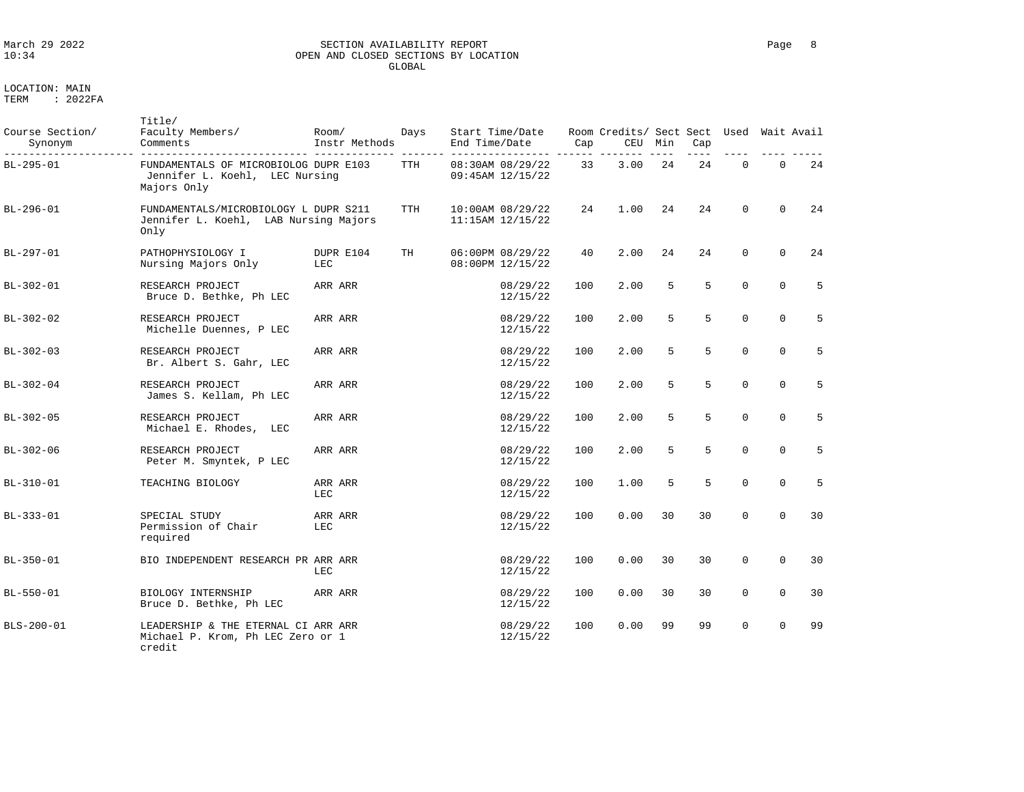# March 29 2022 SECTION AVAILABILITY REPORT Page 8 OPEN AND CLOSED SECTIONS BY LOCATION GLOBAL

| Course Section/<br>Synonym | Title/<br>Faculty Members/<br>Comments                                                 | Room/<br>Instr Methods | Days       | Start Time/Date<br>End Time/Date         | Cap | Room Credits/ Sect Sect Used<br>CEU | Min | Cap |             |             | Wait Avail |
|----------------------------|----------------------------------------------------------------------------------------|------------------------|------------|------------------------------------------|-----|-------------------------------------|-----|-----|-------------|-------------|------------|
| BL-295-01                  | FUNDAMENTALS OF MICROBIOLOG DUPR E103<br>Jennifer L. Koehl, LEC Nursing<br>Majors Only |                        | TTH        | 08:30AM 08/29/22<br>09:45AM 12/15/22     | 33  | 3.00                                | 24  | 24  | $\Omega$    | $\Omega$    | 24         |
| BL-296-01                  | FUNDAMENTALS/MICROBIOLOGY L DUPR S211<br>Jennifer L. Koehl, LAB Nursing Majors<br>Only |                        | <b>TTH</b> | 10:00AM 08/29/22<br>$11:15AM$ $12/15/22$ | 24  | 1.00                                | 24  | 24  | $\Omega$    | $\Omega$    | 24         |
| BL-297-01                  | PATHOPHYSIOLOGY I<br>Nursing Majors Only                                               | DUPR E104<br>LEC       | TH         | 06:00PM 08/29/22<br>08:00PM 12/15/22     | 40  | 2.00                                | 24  | 24  | $\Omega$    | $\Omega$    | 24         |
| BL-302-01                  | RESEARCH PROJECT<br>Bruce D. Bethke, Ph LEC                                            | ARR ARR                |            | 08/29/22<br>12/15/22                     | 100 | 2.00                                | 5   | 5   | $\mathbf 0$ | $\Omega$    | 5          |
| BL-302-02                  | RESEARCH PROJECT<br>Michelle Duennes, P LEC                                            | ARR ARR                |            | 08/29/22<br>12/15/22                     | 100 | 2.00                                | 5   | 5   | $\Omega$    | $\Omega$    | 5          |
| BL-302-03                  | RESEARCH PROJECT<br>Br. Albert S. Gahr, LEC                                            | ARR ARR                |            | 08/29/22<br>12/15/22                     | 100 | 2.00                                | 5   | 5   | $\Omega$    | $\mathbf 0$ | 5          |
| BL-302-04                  | RESEARCH PROJECT<br>James S. Kellam, Ph LEC                                            | ARR ARR                |            | 08/29/22<br>12/15/22                     | 100 | 2.00                                | 5   | 5   | $\mathbf 0$ | $\mathbf 0$ | 5          |
| BL-302-05                  | RESEARCH PROJECT<br>Michael E. Rhodes, LEC                                             | ARR ARR                |            | 08/29/22<br>12/15/22                     | 100 | 2.00                                | 5   | 5   | $\mathbf 0$ | $\mathbf 0$ | 5          |
| BL-302-06                  | RESEARCH PROJECT<br>Peter M. Smyntek, P LEC                                            | ARR ARR                |            | 08/29/22<br>12/15/22                     | 100 | 2.00                                | 5   | 5   | $\Omega$    | $\mathbf 0$ | 5          |
| BL-310-01                  | TEACHING BIOLOGY                                                                       | ARR ARR<br>LEC         |            | 08/29/22<br>12/15/22                     | 100 | 1.00                                | 5   | 5   | $\mathbf 0$ | $\mathbf 0$ | 5          |
| BL-333-01                  | SPECIAL STUDY<br>Permission of Chair<br>required                                       | ARR ARR<br>LEC         |            | 08/29/22<br>12/15/22                     | 100 | 0.00                                | 30  | 30  | $\Omega$    | $\Omega$    | 30         |
| BL-350-01                  | BIO INDEPENDENT RESEARCH PR ARR ARR                                                    | LEC                    |            | 08/29/22<br>12/15/22                     | 100 | 0.00                                | 30  | 30  | $\mathbf 0$ | $\mathbf 0$ | 30         |
| BL-550-01                  | BIOLOGY INTERNSHIP<br>Bruce D. Bethke, Ph LEC                                          | ARR ARR                |            | 08/29/22<br>12/15/22                     | 100 | 0.00                                | 30  | 30  | $\mathbf 0$ | $\mathbf 0$ | 30         |
| BLS-200-01                 | LEADERSHIP & THE ETERNAL CI ARR ARR<br>Michael P. Krom, Ph LEC Zero or 1<br>credit     |                        |            | 08/29/22<br>12/15/22                     | 100 | 0.00                                | 99  | 99  | $\Omega$    | $\Omega$    | 99         |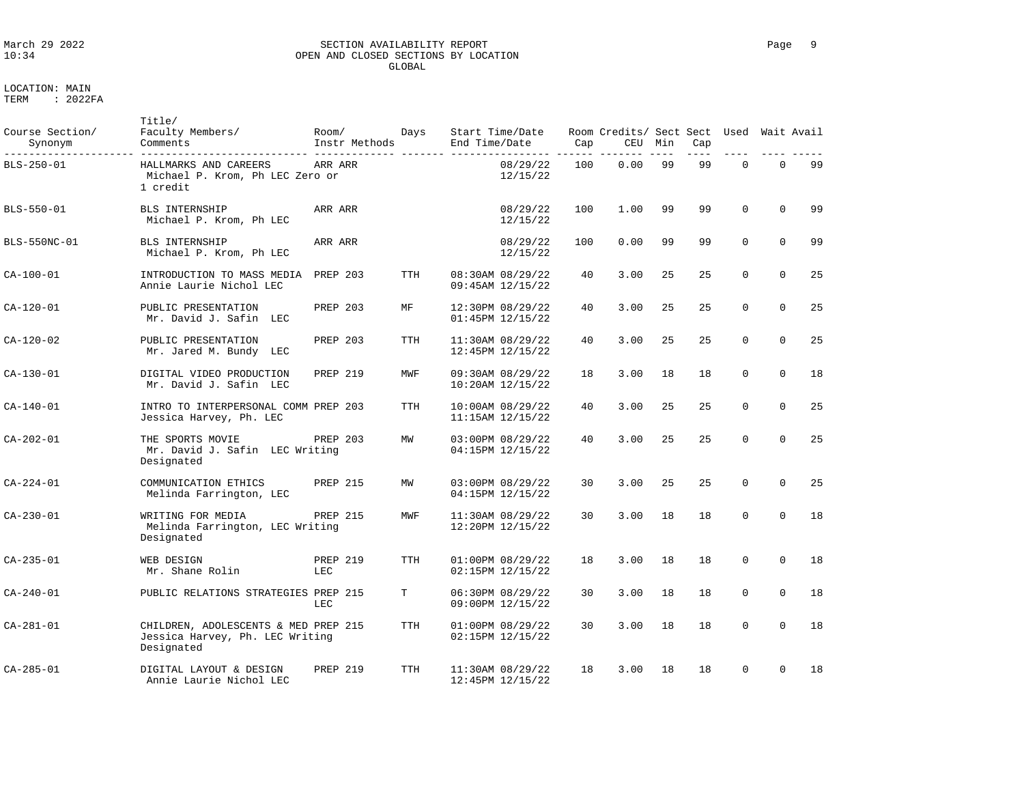### March 29 2022 SECTION AVAILABILITY REPORT Page 9 OPEN AND CLOSED SECTIONS BY LOCATION GLOBAL

LOCATION: MAIN

| Course Section/<br>Synonym | Title/<br>Faculty Members/<br>Comments                                                | Room/<br>Instr Methods | Days       | Start Time/Date<br>End Time/Date         | Cap | Room Credits/ Sect Sect Used Wait Avail<br>CEU | Min | Cap |             |             |    |
|----------------------------|---------------------------------------------------------------------------------------|------------------------|------------|------------------------------------------|-----|------------------------------------------------|-----|-----|-------------|-------------|----|
| BLS-250-01                 | HALLMARKS AND CAREERS<br>Michael P. Krom, Ph LEC Zero or<br>1 credit                  | ARR ARR                |            | 08/29/22<br>12/15/22                     | 100 | 0.00                                           | 99  | 99  | $\Omega$    | $\mathbf 0$ | 99 |
| BLS-550-01                 | <b>BLS INTERNSHIP</b><br>Michael P. Krom, Ph LEC                                      | ARR ARR                |            | 08/29/22<br>12/15/22                     | 100 | 1.00                                           | 99  | 99  | $\Omega$    | $\Omega$    | 99 |
| BLS-550NC-01               | BLS INTERNSHIP<br>Michael P. Krom, Ph LEC                                             | ARR ARR                |            | 08/29/22<br>12/15/22                     | 100 | 0.00                                           | 99  | 99  | $\Omega$    | $\Omega$    | 99 |
| CA-100-01                  | INTRODUCTION TO MASS MEDIA PREP 203<br>Annie Laurie Nichol LEC                        |                        | <b>TTH</b> | 08:30AM 08/29/22<br>09:45AM 12/15/22     | 40  | 3.00                                           | 25  | 25  | $\Omega$    | $\Omega$    | 25 |
| CA-120-01                  | PUBLIC PRESENTATION<br>Mr. David J. Safin LEC                                         | <b>PREP 203</b>        | MF         | 12:30PM 08/29/22<br>01:45PM 12/15/22     | 40  | 3.00                                           | 25  | 25  | $\mathbf 0$ | $\mathbf 0$ | 25 |
| CA-120-02                  | PUBLIC PRESENTATION<br>Mr. Jared M. Bundy LEC                                         | PREP 203               | <b>TTH</b> | 11:30AM 08/29/22<br>12:45PM 12/15/22     | 40  | 3.00                                           | 25  | 25  | $\Omega$    | $\Omega$    | 25 |
| CA-130-01                  | DIGITAL VIDEO PRODUCTION<br>Mr. David J. Safin LEC                                    | PREP 219               | MWF        | 09:30AM 08/29/22<br>10:20AM 12/15/22     | 18  | 3.00                                           | 18  | 18  | $\Omega$    | $\Omega$    | 18 |
| $CA-140-01$                | INTRO TO INTERPERSONAL COMM PREP 203<br>Jessica Harvey, Ph. LEC                       |                        | <b>TTH</b> | 10:00AM 08/29/22<br>11:15AM 12/15/22     | 40  | 3.00                                           | 25  | 25  | $\mathbf 0$ | $\Omega$    | 25 |
| $CA - 202 - 01$            | THE SPORTS MOVIE<br>Mr. David J. Safin LEC Writing<br>Designated                      | PREP 203               | MW         | 03:00PM 08/29/22<br>04:15PM 12/15/22     | 40  | 3.00                                           | 25  | 25  | $\Omega$    | $\Omega$    | 25 |
| CA-224-01                  | COMMUNICATION ETHICS<br>Melinda Farrington, LEC                                       | PREP 215               | MW         | 03:00PM 08/29/22<br>04:15PM 12/15/22     | 30  | 3.00                                           | 25  | 25  | $\mathbf 0$ | $\mathbf 0$ | 25 |
| CA-230-01                  | WRITING FOR MEDIA<br>Melinda Farrington, LEC Writing<br>Designated                    | PREP 215               | MWF        | 11:30AM 08/29/22<br>12:20PM 12/15/22     | 30  | 3.00                                           | 18  | 18  | $\Omega$    | $\Omega$    | 18 |
| $CA - 235 - 01$            | WEB DESIGN<br>Mr. Shane Rolin                                                         | PREP 219<br>LEC        | TTH        | 01:00PM 08/29/22<br>02:15PM 12/15/22     | 18  | 3.00                                           | 18  | 18  | $\mathbf 0$ | $\mathbf 0$ | 18 |
| CA-240-01                  | PUBLIC RELATIONS STRATEGIES PREP 215                                                  | LEC                    | т          | 06:30PM 08/29/22<br>09:00PM 12/15/22     | 30  | 3.00                                           | 18  | 18  | $\mathbf 0$ | $\Omega$    | 18 |
| CA-281-01                  | CHILDREN, ADOLESCENTS & MED PREP 215<br>Jessica Harvey, Ph. LEC Writing<br>Designated |                        | TTH        | $01:00PM$ $08/29/22$<br>02:15PM 12/15/22 | 30  | 3.00                                           | 18  | 18  | $\mathbf 0$ | $\Omega$    | 18 |
| CA-285-01                  | DIGITAL LAYOUT & DESIGN<br>Annie Laurie Nichol LEC                                    | <b>PREP 219</b>        | <b>TTH</b> | 11:30AM 08/29/22<br>12:45PM 12/15/22     | 18  | 3.00                                           | 18  | 18  | $\Omega$    | $\mathbf 0$ | 18 |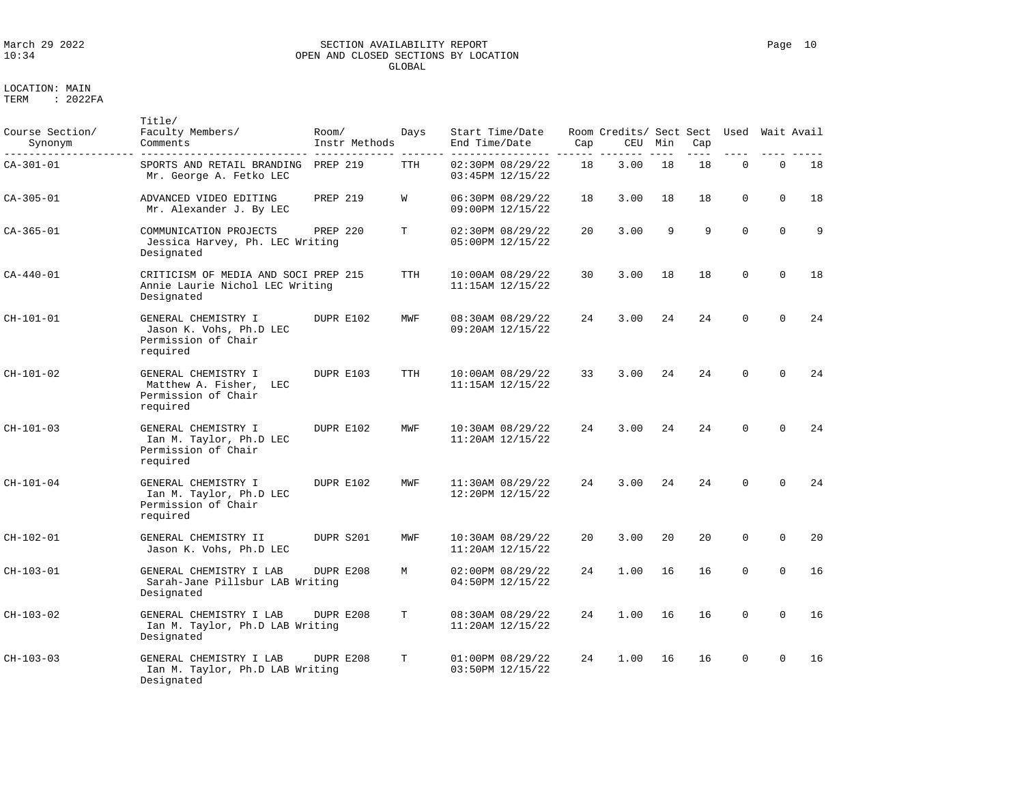# March 29 2022 SECTION AVAILABILITY REPORT Page 10 OPEN AND CLOSED SECTIONS BY LOCATION GLOBAL

LOCATION: MAIN

| Course Section/<br>Synonym | Title/<br>Faculty Members/<br>Comments                                                | Room/<br>Instr Methods | Days       | Start Time/Date<br>End Time/Date     | Cap | Room Credits/ Sect Sect<br>CEU | Min | Cap | Used        |              | Wait Avail |
|----------------------------|---------------------------------------------------------------------------------------|------------------------|------------|--------------------------------------|-----|--------------------------------|-----|-----|-------------|--------------|------------|
| $CA-301-01$                | SPORTS AND RETAIL BRANDING<br>Mr. George A. Fetko LEC                                 | <b>PREP 219</b>        | TTH        | 02:30PM 08/29/22<br>03:45PM 12/15/22 | 18  | 3.00                           | 18  | 18  | $\mathbf 0$ | $\mathbf{0}$ | 18         |
| CA-305-01                  | ADVANCED VIDEO EDITING<br>Mr. Alexander J. By LEC                                     | <b>PREP 219</b>        | W          | 06:30PM 08/29/22<br>09:00PM 12/15/22 | 18  | 3.00                           | 18  | 18  | $\mathbf 0$ | $\Omega$     | 18         |
| CA-365-01                  | COMMUNICATION PROJECTS<br>Jessica Harvey, Ph. LEC Writing<br>Designated               | PREP 220               | т          | 02:30PM 08/29/22<br>05:00PM 12/15/22 | 20  | 3.00                           | 9   | 9   | $\Omega$    | $\Omega$     | 9          |
| CA-440-01                  | CRITICISM OF MEDIA AND SOCI PREP 215<br>Annie Laurie Nichol LEC Writing<br>Designated |                        | TTH        | 10:00AM 08/29/22<br>11:15AM 12/15/22 | 30  | 3.00                           | 18  | 18  | $\Omega$    | $\Omega$     | 18         |
| $CH-101-01$                | GENERAL CHEMISTRY I<br>Jason K. Vohs, Ph.D LEC<br>Permission of Chair<br>required     | DUPR E102              | MWF        | 08:30AM 08/29/22<br>09:20AM 12/15/22 | 24  | 3.00                           | 24  | 24  | $\Omega$    | $\Omega$     | 24         |
| $CH-101-02$                | GENERAL CHEMISTRY I<br>Matthew A. Fisher,<br>LEC<br>Permission of Chair<br>required   | DUPR E103              | <b>TTH</b> | 10:00AM 08/29/22<br>11:15AM 12/15/22 | 33  | 3.00                           | 24  | 24  | $\Omega$    | $\Omega$     | 24         |
| CH-101-03                  | GENERAL CHEMISTRY I<br>Ian M. Taylor, Ph.D LEC<br>Permission of Chair<br>required     | DUPR E102              | MWF        | 10:30AM 08/29/22<br>11:20AM 12/15/22 | 24  | 3.00                           | 24  | 24  | $\Omega$    | $\Omega$     | 24         |
| CH-101-04                  | GENERAL CHEMISTRY I<br>Ian M. Taylor, Ph.D LEC<br>Permission of Chair<br>required     | DUPR E102              | MWF        | 11:30AM 08/29/22<br>12:20PM 12/15/22 | 24  | 3.00                           | 24  | 24  | $\Omega$    | $\Omega$     | 24         |
| $CH-102-01$                | GENERAL CHEMISTRY II<br>Jason K. Vohs, Ph.D LEC                                       | DUPR S201              | MWF        | 10:30AM 08/29/22<br>11:20AM 12/15/22 | 20  | 3.00                           | 20  | 20  | $\Omega$    | $\Omega$     | 20         |
| CH-103-01                  | GENERAL CHEMISTRY I LAB<br>Sarah-Jane Pillsbur LAB Writing<br>Designated              | DUPR E208              | М          | 02:00PM 08/29/22<br>04:50PM 12/15/22 | 24  | 1.00                           | 16  | 16  | $\mathbf 0$ | $\Omega$     | 16         |
| CH-103-02                  | GENERAL CHEMISTRY I LAB<br>Ian M. Taylor, Ph.D LAB Writing<br>Designated              | DUPR E208              | Т          | 08:30AM 08/29/22<br>11:20AM 12/15/22 | 24  | 1.00                           | 16  | 16  | $\Omega$    | $\Omega$     | 16         |
| CH-103-03                  | GENERAL CHEMISTRY I LAB<br>Ian M. Taylor, Ph.D LAB Writing<br>Designated              | DUPR E208              | т          | 01:00PM 08/29/22<br>03:50PM 12/15/22 | 24  | 1.00                           | 16  | 16  | $\Omega$    | $\Omega$     | 16         |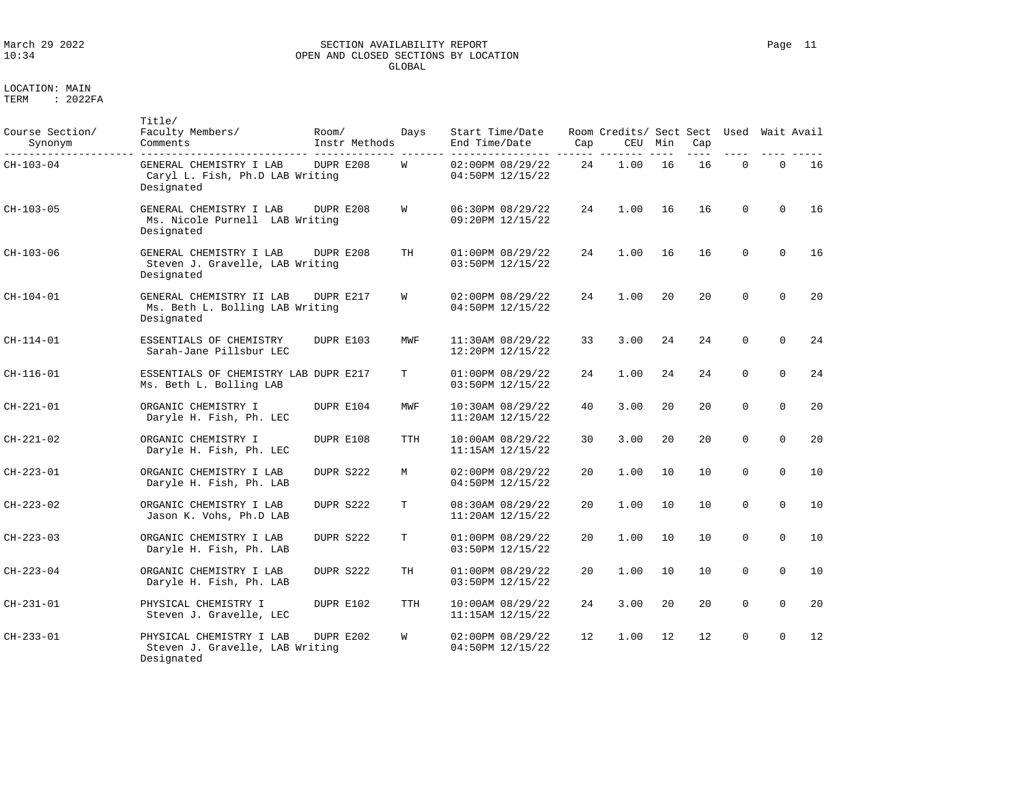# March 29 2022 SECTION AVAILABILITY REPORT Page 11 OPEN AND CLOSED SECTIONS BY LOCATION GLOBAL

LOCATION: MAIN

| Course Section/<br>Synonym | Title/<br>Faculty Members/<br>Comments                                    | Room/<br>Instr Methods | Days       | Start Time/Date<br>End Time/Date     | Cap | Room Credits/ Sect Sect Used<br>CEU | Min | Cap |             |             | Wait Avail |
|----------------------------|---------------------------------------------------------------------------|------------------------|------------|--------------------------------------|-----|-------------------------------------|-----|-----|-------------|-------------|------------|
| $CH-103-04$                | GENERAL CHEMISTRY I LAB<br>Caryl L. Fish, Ph.D LAB Writing<br>Designated  | DUPR E208              | W          | 02:00PM 08/29/22<br>04:50PM 12/15/22 | 24  | 1.00                                | 16  | 16  | $\mathbf 0$ | $\mathbf 0$ | 16         |
| CH-103-05                  | GENERAL CHEMISTRY I LAB<br>Ms. Nicole Purnell LAB Writing<br>Designated   | DUPR E208              | W          | 06:30PM 08/29/22<br>09:20PM 12/15/22 | 24  | 1.00                                | 16  | 16  | $\Omega$    | $\Omega$    | 16         |
| CH-103-06                  | GENERAL CHEMISTRY I LAB<br>Steven J. Gravelle, LAB Writing<br>Designated  | DUPR E208              | TH         | 01:00PM 08/29/22<br>03:50PM 12/15/22 | 24  | 1.00                                | 16  | 16  | $\Omega$    | $\Omega$    | 16         |
| $CH-104-01$                | GENERAL CHEMISTRY II LAB<br>Ms. Beth L. Bolling LAB Writing<br>Designated | DUPR E217              | W          | 02:00PM 08/29/22<br>04:50PM 12/15/22 | 24  | 1.00                                | 20  | 20  | $\Omega$    | $\Omega$    | 20         |
| $CH-114-01$                | ESSENTIALS OF CHEMISTRY<br>Sarah-Jane Pillsbur LEC                        | DUPR E103              | MWF        | 11:30AM 08/29/22<br>12:20PM 12/15/22 | 33  | 3.00                                | 24  | 24  | $\mathbf 0$ | $\Omega$    | 24         |
| CH-116-01                  | ESSENTIALS OF CHEMISTRY LAB DUPR E217<br>Ms. Beth L. Bolling LAB          |                        | т          | 01:00PM 08/29/22<br>03:50PM 12/15/22 | 24  | 1.00                                | 24  | 24  | $\Omega$    | $\Omega$    | 24         |
| CH-221-01                  | ORGANIC CHEMISTRY I<br>Daryle H. Fish, Ph. LEC                            | DUPR E104              | MWF        | 10:30AM 08/29/22<br>11:20AM 12/15/22 | 40  | 3.00                                | 20  | 20  | $\Omega$    | $\Omega$    | 20         |
| CH-221-02                  | ORGANIC CHEMISTRY I<br>Daryle H. Fish, Ph. LEC                            | DUPR E108              | <b>TTH</b> | 10:00AM 08/29/22<br>11:15AM 12/15/22 | 30  | 3.00                                | 20  | 20  | $\Omega$    | $\Omega$    | 20         |
| CH-223-01                  | ORGANIC CHEMISTRY I LAB<br>Daryle H. Fish, Ph. LAB                        | DUPR S222              | M          | 02:00PM 08/29/22<br>04:50PM 12/15/22 | 20  | 1.00                                | 10  | 10  | $\Omega$    | $\Omega$    | 10         |
| CH-223-02                  | ORGANIC CHEMISTRY I LAB<br>Jason K. Vohs, Ph.D LAB                        | DUPR S222              | T          | 08:30AM 08/29/22<br>11:20AM 12/15/22 | 20  | 1.00                                | 10  | 10  | $\Omega$    | $\Omega$    | 10         |
| CH-223-03                  | ORGANIC CHEMISTRY I LAB<br>Daryle H. Fish, Ph. LAB                        | DUPR S222              | Т          | 01:00PM 08/29/22<br>03:50PM 12/15/22 | 20  | 1.00                                | 10  | 10  | $\Omega$    | $\Omega$    | 10         |
| CH-223-04                  | ORGANIC CHEMISTRY I LAB<br>Daryle H. Fish, Ph. LAB                        | DUPR S222              | TH         | 01:00PM 08/29/22<br>03:50PM 12/15/22 | 20  | 1.00                                | 10  | 10  | $\mathbf 0$ | $\Omega$    | 10         |
| CH-231-01                  | PHYSICAL CHEMISTRY I<br>Steven J. Gravelle, LEC                           | DUPR E102              | TTH        | 10:00AM 08/29/22<br>11:15AM 12/15/22 | 24  | 3.00                                | 20  | 20  | $\Omega$    | $\Omega$    | 20         |
| CH-233-01                  | PHYSICAL CHEMISTRY I LAB<br>Steven J. Gravelle, LAB Writing<br>Designated | DUPR E202              | W          | 02:00PM 08/29/22<br>04:50PM 12/15/22 | 12. | 1.00                                | 12  | 12  | $\Omega$    | $\Omega$    | 12         |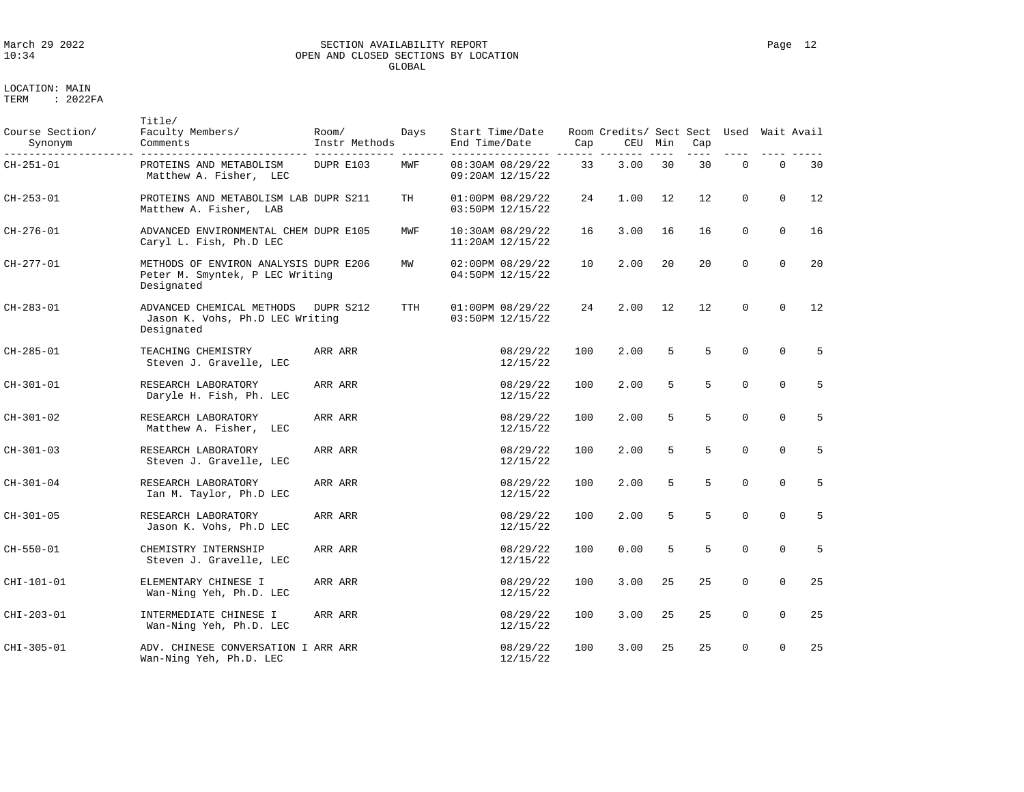# March 29 2022 SECTION AVAILABILITY REPORT Page 12 OPEN AND CLOSED SECTIONS BY LOCATION GLOBAL

| Course Section/<br>Synonym | Title/<br>Faculty Members/<br>Comments                                                 | Room/<br>Instr Methods | Days       | Start Time/Date<br>End Time/Date     | Cap | Room Credits/ Sect Sect Used<br>CEU | Min | Cap |             |              | Wait Avail |
|----------------------------|----------------------------------------------------------------------------------------|------------------------|------------|--------------------------------------|-----|-------------------------------------|-----|-----|-------------|--------------|------------|
| CH-251-01                  | PROTEINS AND METABOLISM<br>Matthew A. Fisher, LEC                                      | DUPR E103              | MWF        | 08:30AM 08/29/22<br>09:20AM 12/15/22 | 33  | 3.00                                | 30  | 30  | $\mathbf 0$ | $\mathbf{0}$ | 30         |
| CH-253-01                  | PROTEINS AND METABOLISM LAB DUPR S211<br>Matthew A. Fisher, LAB                        |                        | TH         | 01:00PM 08/29/22<br>03:50PM 12/15/22 | 24  | 1.00                                | 12  | 12  | 0           | $\mathbf 0$  | 12         |
| CH-276-01                  | ADVANCED ENVIRONMENTAL CHEM DUPR E105<br>Caryl L. Fish, Ph.D LEC                       |                        | MWF        | 10:30AM 08/29/22<br>11:20AM 12/15/22 | 16  | 3.00                                | 16  | 16  | $\mathbf 0$ | $\mathbf 0$  | 16         |
| CH-277-01                  | METHODS OF ENVIRON ANALYSIS DUPR E206<br>Peter M. Smyntek, P LEC Writing<br>Designated |                        | MW         | 02:00PM 08/29/22<br>04:50PM 12/15/22 | 10  | 2.00                                | 20  | 20  | $\mathbf 0$ | $\mathbf 0$  | 20         |
| CH-283-01                  | ADVANCED CHEMICAL METHODS<br>Jason K. Vohs, Ph.D LEC Writing<br>Designated             | DUPR S212              | <b>TTH</b> | 01:00PM 08/29/22<br>03:50PM 12/15/22 | 24  | 2.00                                | 12  | 12  | $\Omega$    | $\Omega$     | 12         |
| CH-285-01                  | TEACHING CHEMISTRY<br>Steven J. Gravelle, LEC                                          | ARR ARR                |            | 08/29/22<br>12/15/22                 | 100 | 2.00                                | 5   | 5   | $\mathbf 0$ | $\mathbf 0$  | 5          |
| CH-301-01                  | RESEARCH LABORATORY<br>Daryle H. Fish, Ph. LEC                                         | ARR ARR                |            | 08/29/22<br>12/15/22                 | 100 | 2.00                                | 5   | 5   | $\mathbf 0$ | $\mathbf 0$  | 5          |
| CH-301-02                  | RESEARCH LABORATORY<br>Matthew A. Fisher, LEC                                          | ARR ARR                |            | 08/29/22<br>12/15/22                 | 100 | 2.00                                | 5   | 5   | $\Omega$    | $\mathbf 0$  | 5          |
| CH-301-03                  | RESEARCH LABORATORY<br>Steven J. Gravelle, LEC                                         | ARR ARR                |            | 08/29/22<br>12/15/22                 | 100 | 2.00                                | 5   | 5   | $\mathbf 0$ | $\mathbf 0$  | 5          |
| $CH-301-04$                | RESEARCH LABORATORY<br>Ian M. Taylor, Ph.D LEC                                         | ARR ARR                |            | 08/29/22<br>12/15/22                 | 100 | 2.00                                | 5   | 5   | $\mathbf 0$ | $\mathbf 0$  | 5          |
| $CH-301-05$                | RESEARCH LABORATORY<br>Jason K. Vohs, Ph.D LEC                                         | ARR ARR                |            | 08/29/22<br>12/15/22                 | 100 | 2.00                                | 5   | 5   | $\Omega$    | $\mathbf 0$  | 5          |
| CH-550-01                  | CHEMISTRY INTERNSHIP<br>Steven J. Gravelle, LEC                                        | ARR ARR                |            | 08/29/22<br>12/15/22                 | 100 | 0.00                                | 5   | 5   | $\Omega$    | $\Omega$     | 5          |
| CHI-101-01                 | ELEMENTARY CHINESE I<br>Wan-Ning Yeh, Ph.D. LEC                                        | ARR ARR                |            | 08/29/22<br>12/15/22                 | 100 | 3.00                                | 25  | 25  | $\mathbf 0$ | $\mathbf 0$  | 25         |
| CHI-203-01                 | INTERMEDIATE CHINESE I<br>Wan-Ning Yeh, Ph.D. LEC                                      | ARR ARR                |            | 08/29/22<br>12/15/22                 | 100 | 3.00                                | 25  | 25  | $\mathbf 0$ | $\mathbf 0$  | 25         |
| CHI-305-01                 | ADV. CHINESE CONVERSATION I ARR ARR<br>Wan-Ning Yeh, Ph.D. LEC                         |                        |            | 08/29/22<br>12/15/22                 | 100 | 3.00                                | 25  | 25  | $\Omega$    | $\mathbf 0$  | 25         |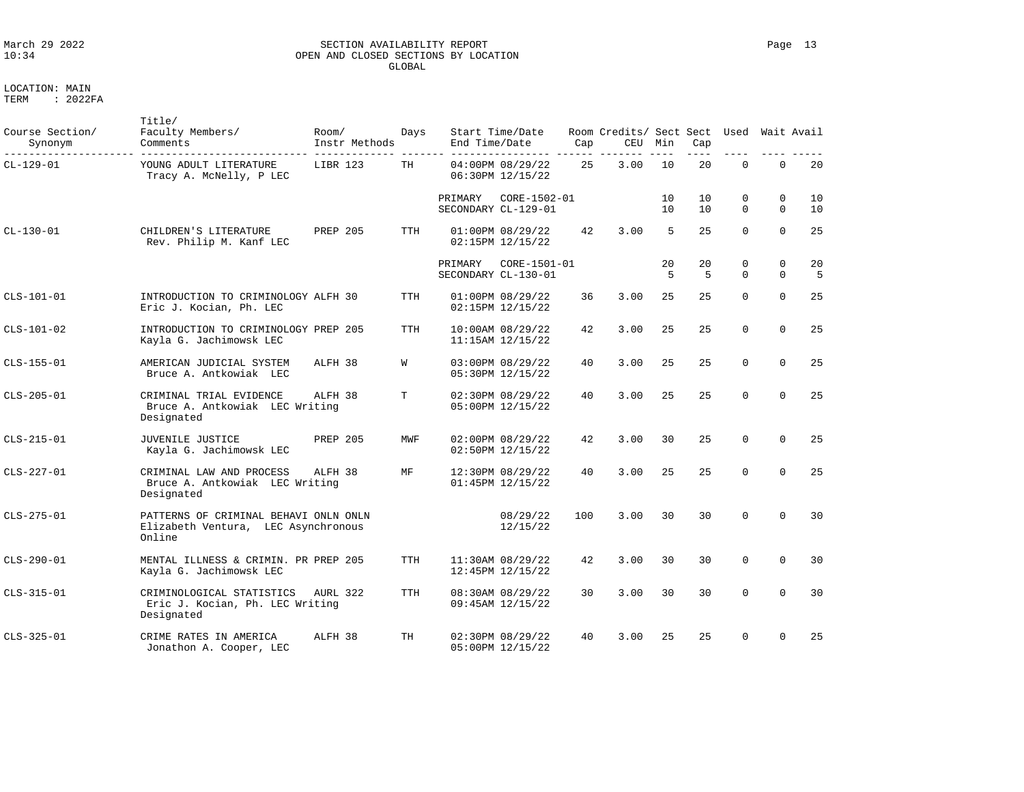# March 29 2022 SECTION AVAILABILITY REPORT Page 13 OPEN AND CLOSED SECTIONS BY LOCATION GLOBAL

LOCATION: MAIN

| Course Section/<br>Synonym | Title/<br>Faculty Members/<br>Comments                                                 | Room/<br>Instr Methods | Days       | End Time/Date                  | Start Time/Date                      | Cap | Room Credits/ Sect Sect<br>CEU | Min      | Cap      | Used          | Wait Avail              |           |
|----------------------------|----------------------------------------------------------------------------------------|------------------------|------------|--------------------------------|--------------------------------------|-----|--------------------------------|----------|----------|---------------|-------------------------|-----------|
| CL-129-01                  | YOUNG ADULT LITERATURE<br>Tracy A. McNelly, P LEC                                      | LIBR 123               | TH         |                                | 04:00PM 08/29/22<br>06:30PM 12/15/22 | 25  | 3.00                           | 10       | 20       | $\mathbf 0$   | $\mathbf 0$             | 20        |
|                            |                                                                                        |                        |            | PRIMARY                        | CORE-1502-01<br>SECONDARY CL-129-01  |     |                                | 10<br>10 | 10<br>10 | 0<br>$\Omega$ | $\mathbf 0$<br>$\Omega$ | 10<br>10  |
| $CL - 130 - 01$            | CHILDREN'S LITERATURE<br>Rev. Philip M. Kanf LEC                                       | PREP 205               | <b>TTH</b> |                                | 01:00PM 08/29/22<br>02:15PM 12/15/22 | 42  | 3.00                           | 5        | 25       | $\Omega$      | $\Omega$                | 25        |
|                            |                                                                                        |                        |            | PRIMARY<br>SECONDARY CL-130-01 | CORE-1501-01                         |     |                                | 20<br>5  | 20<br>5  | 0<br>$\Omega$ | $\Omega$<br>$\Omega$    | 20<br>- 5 |
| CLS-101-01                 | INTRODUCTION TO CRIMINOLOGY ALFH 30<br>Eric J. Kocian, Ph. LEC                         |                        | TTH        |                                | 01:00PM 08/29/22<br>02:15PM 12/15/22 | 36  | 3.00                           | 25       | 25       | $\Omega$      | $\Omega$                | 25        |
| CLS-101-02                 | INTRODUCTION TO CRIMINOLOGY PREP 205<br>Kayla G. Jachimowsk LEC                        |                        | <b>TTH</b> |                                | 10:00AM 08/29/22<br>11:15AM 12/15/22 | 42  | 3.00                           | 25       | 25       | $\Omega$      | $\Omega$                | 25        |
| CLS-155-01                 | AMERICAN JUDICIAL SYSTEM<br>Bruce A. Antkowiak LEC                                     | ALFH 38                | W          |                                | 03:00PM 08/29/22<br>05:30PM 12/15/22 | 40  | 3.00                           | 25       | 25       | $\Omega$      | $\Omega$                | 25        |
| CLS-205-01                 | CRIMINAL TRIAL EVIDENCE<br>Bruce A. Antkowiak LEC Writing<br>Designated                | ALFH 38                | T          |                                | 02:30PM 08/29/22<br>05:00PM 12/15/22 | 40  | 3.00                           | 25       | 25       | $\Omega$      | $\Omega$                | 25        |
| $CLS-215-01$               | JUVENILE JUSTICE<br>Kayla G. Jachimowsk LEC                                            | <b>PREP 205</b>        | MWF        |                                | 02:00PM 08/29/22<br>02:50PM 12/15/22 | 42  | 3.00                           | 30       | 25       | $\Omega$      | $\Omega$                | 25        |
| CLS-227-01                 | CRIMINAL LAW AND PROCESS<br>Bruce A. Antkowiak LEC Writing<br>Designated               | ALFH 38                | MF         |                                | 12:30PM 08/29/22<br>01:45PM 12/15/22 | 40  | 3.00                           | 25       | 25       | $\Omega$      | $\Omega$                | 25        |
| $CLS-275-01$               | PATTERNS OF CRIMINAL BEHAVI ONLN ONLN<br>Elizabeth Ventura, LEC Asynchronous<br>Online |                        |            |                                | 08/29/22<br>12/15/22                 | 100 | 3.00                           | 30       | 30       | $\Omega$      | $\Omega$                | 30        |
| $CLS-290-01$               | MENTAL ILLNESS & CRIMIN. PR PREP 205<br>Kayla G. Jachimowsk LEC                        |                        | <b>TTH</b> |                                | 11:30AM 08/29/22<br>12:45PM 12/15/22 | 42  | 3.00                           | 30       | 30       | $\Omega$      | $\Omega$                | 30        |
| CLS-315-01                 | CRIMINOLOGICAL STATISTICS<br>Eric J. Kocian, Ph. LEC Writing<br>Designated             | AURL 322               | <b>TTH</b> |                                | 08:30AM 08/29/22<br>09:45AM 12/15/22 | 30  | 3.00                           | 30       | 30       | $\Omega$      | $\Omega$                | 30        |
| $CLS-325-01$               | CRIME RATES IN AMERICA<br>Jonathon A. Cooper, LEC                                      | ALFH 38                | TH         |                                | 02:30PM 08/29/22<br>05:00PM 12/15/22 | 40  | 3.00                           | 25       | 25       | $\Omega$      | $\Omega$                | 25        |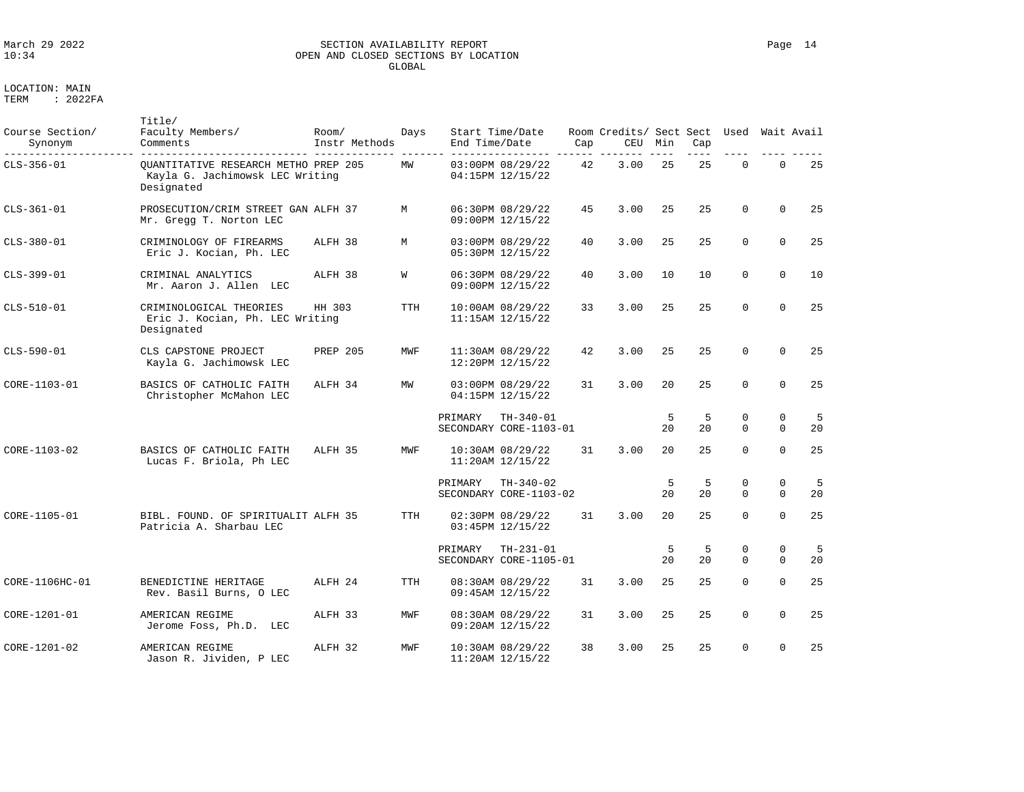# March 29 2022 SECTION AVAILABILITY REPORT Page 14 OPEN AND CLOSED SECTIONS BY LOCATION GLOBAL

LOCATION: MAIN

TERM : 2022FA

Title/

| Course Section/<br>Synonym | Faculty Members/<br>Comments                                                          | Room/<br>Instr Methods | Days       | End Time/Date | Start Time/Date                          | Cap | Room Credits/ Sect Sect Used Wait Avail<br>CEU | Min      | Cap     |                         |               |         |
|----------------------------|---------------------------------------------------------------------------------------|------------------------|------------|---------------|------------------------------------------|-----|------------------------------------------------|----------|---------|-------------------------|---------------|---------|
| $CLS-356-01$               | OUANTITATIVE RESEARCH METHO PREP 205<br>Kayla G. Jachimowsk LEC Writing<br>Designated |                        | MW         |               | 03:00PM 08/29/22<br>04:15PM 12/15/22     | 42  | 3.00                                           | 25       | 25      | $\mathbf 0$             | $\mathbf 0$   | 25      |
| $CLS-361-01$               | PROSECUTION/CRIM STREET GAN ALFH 37<br>Mr. Gregg T. Norton LEC                        |                        | М          |               | 06:30PM 08/29/22<br>09:00PM 12/15/22     | 45  | 3.00                                           | 25       | 25      | $\Omega$                | $\Omega$      | 25      |
| CLS-380-01                 | CRIMINOLOGY OF FIREARMS<br>Eric J. Kocian, Ph. LEC                                    | ALFH 38                | М          |               | 03:00PM 08/29/22<br>05:30PM 12/15/22     | 40  | 3.00                                           | 25       | 25      | $\Omega$                | $\Omega$      | 25      |
| CLS-399-01                 | CRIMINAL ANALYTICS<br>Mr. Aaron J. Allen LEC                                          | ALFH 38                | W          |               | 06:30PM 08/29/22<br>09:00PM 12/15/22     | 40  | 3.00                                           | 10       | 10      | $\mathbf 0$             | $\mathbf 0$   | 10      |
| CLS-510-01                 | CRIMINOLOGICAL THEORIES<br>Eric J. Kocian, Ph. LEC Writing<br>Designated              | HH 303                 | <b>TTH</b> |               | 10:00AM 08/29/22<br>11:15AM 12/15/22     | 33  | 3.00                                           | 25       | 25      | $\Omega$                | $\Omega$      | 25      |
| CLS-590-01                 | CLS CAPSTONE PROJECT<br>Kayla G. Jachimowsk LEC                                       | <b>PREP 205</b>        | MWF        |               | 11:30AM 08/29/22<br>12:20PM 12/15/22     | 42  | 3.00                                           | 25       | 25      | $\Omega$                | $\Omega$      | 25      |
| CORE-1103-01               | BASICS OF CATHOLIC FAITH<br>Christopher McMahon LEC                                   | ALFH 34                | MW         |               | 03:00PM 08/29/22<br>04:15PM 12/15/22     | 31  | 3.00                                           | 20       | 25      | $\Omega$                | $\Omega$      | 25      |
|                            |                                                                                       |                        |            | PRIMARY       | $TH-340-01$<br>SECONDARY CORE-1103-01    |     |                                                | -5<br>20 | 5<br>20 | $\mathbf 0$<br>$\Omega$ | 0<br>$\Omega$ | 5<br>20 |
| CORE-1103-02               | BASICS OF CATHOLIC FAITH<br>Lucas F. Briola, Ph LEC                                   | ALFH 35                | MWF        |               | $10:30AM$ $08/29/22$<br>11:20AM 12/15/22 | 31  | 3.00                                           | 20       | 25      | $\Omega$                | $\Omega$      | 25      |
|                            |                                                                                       |                        |            | PRIMARY       | $TH-340-02$<br>SECONDARY CORE-1103-02    |     |                                                | 5<br>20  | 5<br>20 | 0<br>$\Omega$           | 0<br>$\Omega$ | 5<br>20 |
| CORE-1105-01               | BIBL. FOUND. OF SPIRITUALIT ALFH 35<br>Patricia A. Sharbau LEC                        |                        | TTH        |               | 02:30PM 08/29/22<br>03:45PM 12/15/22     | 31  | 3.00                                           | 20       | 25      | $\Omega$                | $\Omega$      | 25      |
|                            |                                                                                       |                        |            | PRIMARY       | $TH-231-01$<br>SECONDARY CORE-1105-01    |     |                                                | 5<br>20  | 5<br>20 | $\mathbf 0$<br>$\Omega$ | 0<br>$\Omega$ | 5<br>20 |
| CORE-1106HC-01             | BENEDICTINE HERITAGE<br>Rev. Basil Burns, O LEC                                       | ALFH 24                | <b>TTH</b> |               | 08:30AM 08/29/22<br>09:45AM 12/15/22     | 31  | 3.00                                           | 25       | 25      | $\Omega$                | $\Omega$      | 25      |
| CORE-1201-01               | AMERICAN REGIME<br>Jerome Foss, Ph.D. LEC                                             | ALFH 33                | MWF        |               | 08:30AM 08/29/22<br>09:20AM 12/15/22     | 31  | 3.00                                           | 25       | 25      | $\Omega$                | $\Omega$      | 25      |
| CORE-1201-02               | AMERICAN REGIME<br>Jason R. Jividen, P LEC                                            | ALFH 32                | MWF        |               | 10:30AM 08/29/22<br>11:20AM 12/15/22     | 38  | 3.00                                           | 25       | 25      | $\Omega$                | $\mathbf 0$   | 25      |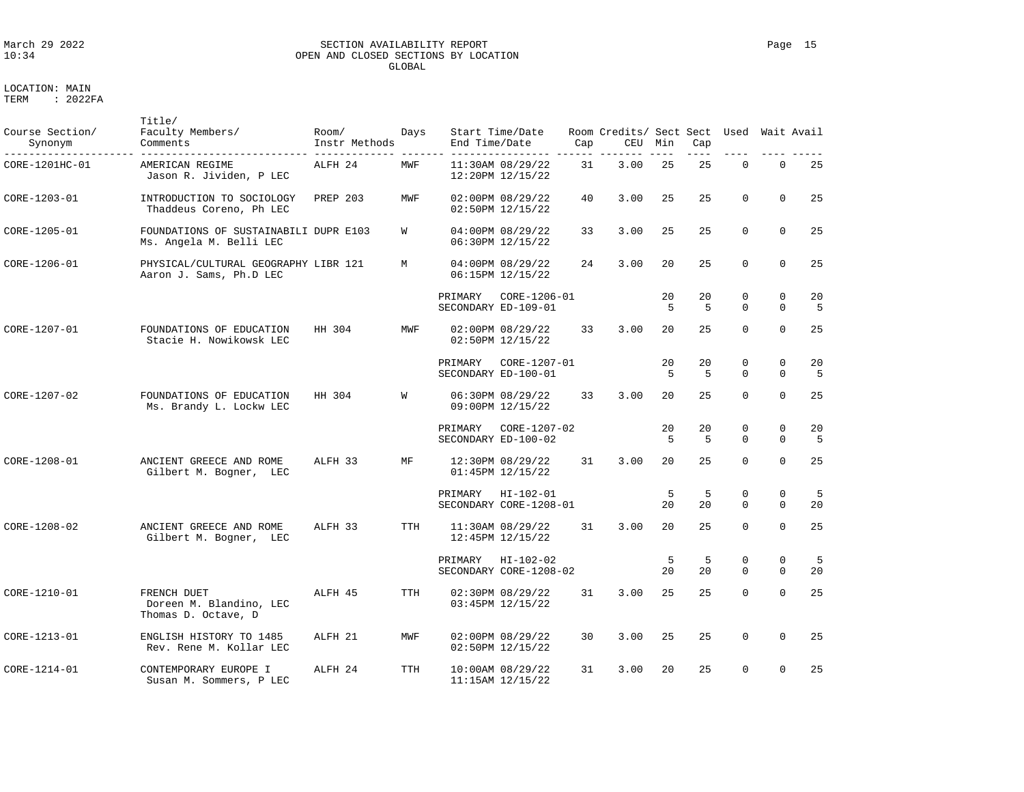### March 29 2022 SECTION AVAILABILITY REPORT Page 15 OPEN AND CLOSED SECTIONS BY LOCATION GLOBAL

LOCATION: MAIN

Title/

| Course Section/<br>Synonym | Faculty Members/<br>Comments                                     | Room/<br>Instr Methods | Days       | End Time/Date | Start Time/Date                          | Cap | Room Credits/ Sect Sect Used Wait Avail<br>CEU | Min     | Cap     |                         |                            |          |
|----------------------------|------------------------------------------------------------------|------------------------|------------|---------------|------------------------------------------|-----|------------------------------------------------|---------|---------|-------------------------|----------------------------|----------|
| CORE-1201HC-01             | AMERICAN REGIME<br>Jason R. Jividen, P LEC                       | ALFH 24                | MWF        |               | 11:30AM 08/29/22<br>12:20PM 12/15/22     | 31  | 3.00                                           | 25      | 25      | 0                       | $\mathbf 0$                | 25       |
| CORE-1203-01               | INTRODUCTION TO SOCIOLOGY<br>Thaddeus Coreno, Ph LEC             | PREP 203               | MWF        |               | 02:00PM 08/29/22<br>02:50PM 12/15/22     | 40  | 3.00                                           | 25      | 25      | $\Omega$                | $\Omega$                   | 25       |
| CORE-1205-01               | FOUNDATIONS OF SUSTAINABILI DUPR E103<br>Ms. Angela M. Belli LEC |                        | W          |               | 04:00PM 08/29/22<br>06:30PM 12/15/22     | 33  | 3.00                                           | 25      | 25      | $\mathbf 0$             | $\mathbf 0$                | 25       |
| CORE-1206-01               | PHYSICAL/CULTURAL GEOGRAPHY LIBR 121<br>Aaron J. Sams, Ph.D LEC  |                        | М          |               | 04:00PM 08/29/22<br>06:15PM 12/15/22     | 24  | 3.00                                           | 20      | 25      | $\Omega$                | $\Omega$                   | 25       |
|                            |                                                                  |                        |            | PRIMARY       | CORE-1206-01<br>SECONDARY ED-109-01      |     |                                                | 20<br>5 | 20<br>5 | $\mathbf 0$<br>$\Omega$ | $\Omega$<br>$\mathbf 0$    | 20<br>5  |
| CORE-1207-01               | FOUNDATIONS OF EDUCATION<br>Stacie H. Nowikowsk LEC              | HH 304                 | MWF        |               | 02:00PM 08/29/22<br>02:50PM 12/15/22     | 33  | 3.00                                           | 20      | 25      | $\Omega$                | $\Omega$                   | 25       |
|                            |                                                                  |                        |            | PRIMARY       | CORE-1207-01<br>SECONDARY ED-100-01      |     |                                                | 20<br>5 | 20<br>5 | 0<br>$\Omega$           | $\mathbf 0$<br>$\Omega$    | 20<br>-5 |
| CORE-1207-02               | FOUNDATIONS OF EDUCATION<br>Ms. Brandy L. Lockw LEC              | HH 304                 | W          |               | 06:30PM 08/29/22<br>09:00PM 12/15/22     | 33  | 3.00                                           | 20      | 25      | $\mathbf 0$             | $\mathbf 0$                | 25       |
|                            |                                                                  |                        |            | PRIMARY       | CORE-1207-02<br>SECONDARY ED-100-02      |     |                                                | 20<br>5 | 20<br>5 | 0<br>$\Omega$           | $\mathbf 0$<br>$\mathbf 0$ | 20<br>5  |
| CORE-1208-01               | ANCIENT GREECE AND ROME<br>Gilbert M. Bogner, LEC                | ALFH 33                | MF         |               | 12:30PM 08/29/22<br>01:45PM 12/15/22     | 31  | 3.00                                           | 20      | 25      | $\Omega$                | $\Omega$                   | 25       |
|                            |                                                                  |                        |            | PRIMARY       | $HI-102-01$<br>SECONDARY CORE-1208-01    |     |                                                | 5<br>20 | 5<br>20 | 0<br>$\Omega$           | 0<br>$\mathbf 0$           | 5<br>20  |
| CORE-1208-02               | ANCIENT GREECE AND ROME<br>Gilbert M. Bogner, LEC                | ALFH 33                | <b>TTH</b> |               | 11:30AM 08/29/22<br>12:45PM 12/15/22     | 31  | 3.00                                           | 20      | 25      | $\Omega$                | $\Omega$                   | 25       |
|                            |                                                                  |                        |            | PRIMARY       | $HI-102-02$<br>SECONDARY CORE-1208-02    |     |                                                | 5<br>20 | 5<br>20 | 0<br>$\Omega$           | $\mathbf 0$<br>$\Omega$    | -5<br>20 |
| CORE-1210-01               | FRENCH DUET<br>Doreen M. Blandino, LEC<br>Thomas D. Octave, D    | ALFH 45                | TTH        |               | 02:30PM 08/29/22<br>03:45PM 12/15/22     | 31  | 3.00                                           | 25      | 25      | $\Omega$                | $\mathbf 0$                | 25       |
| CORE-1213-01               | ENGLISH HISTORY TO 1485<br>Rev. Rene M. Kollar LEC               | ALFH 21                | MWF        |               | 02:00PM 08/29/22<br>02:50PM 12/15/22     | 30  | 3.00                                           | 25      | 25      | $\Omega$                | $\Omega$                   | 25       |
| CORE-1214-01               | CONTEMPORARY EUROPE I<br>Susan M. Sommers, P LEC                 | ALFH 24                | <b>TTH</b> |               | 10:00AM 08/29/22<br>$11:15AM$ $12/15/22$ | 31  | 3.00                                           | 20      | 25      | $\Omega$                | $\mathbf 0$                | 25       |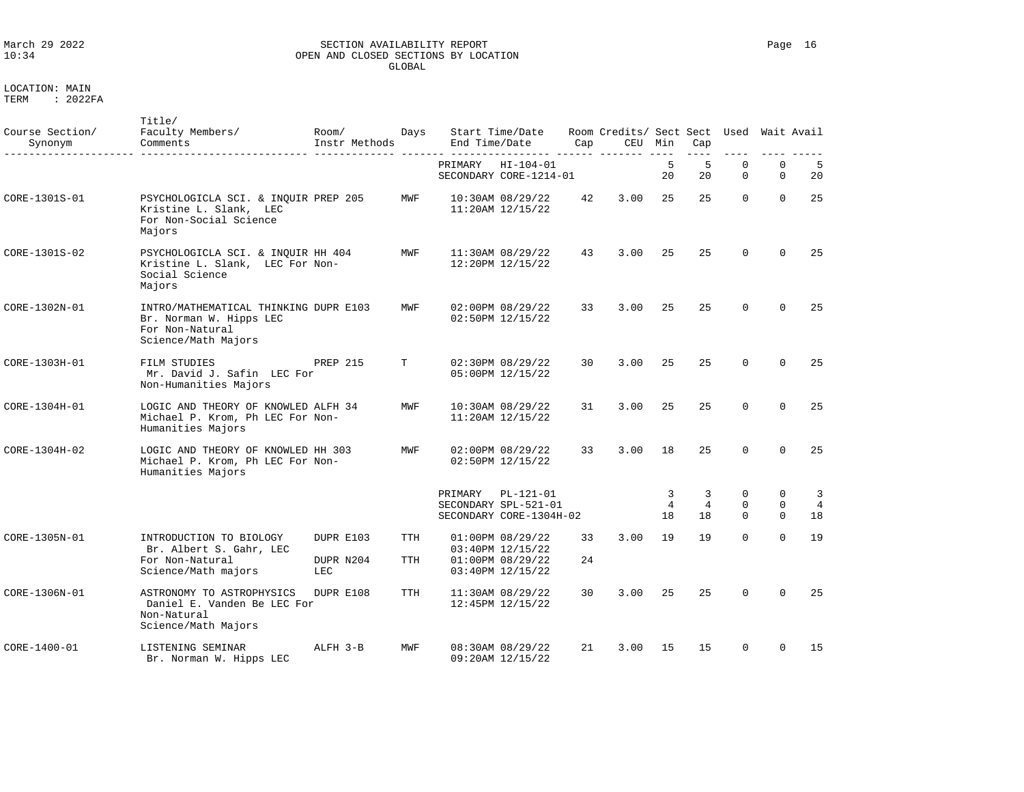# March 29 2022 SECTION AVAILABILITY REPORT Page 16 OPEN AND CLOSED SECTIONS BY LOCATION GLOBAL

| Course Section/<br>Synonym | Title/<br>Faculty Members/<br>Comments                                                                     | Room/<br>Instr Methods        | Days              | End Time/Date | Start Time/Date                                                              | Cap      | Room Credits/ Sect Sect<br>CEU | Min                       | Cap<br>----               | Used               | Wait Avail                   |                           |
|----------------------------|------------------------------------------------------------------------------------------------------------|-------------------------------|-------------------|---------------|------------------------------------------------------------------------------|----------|--------------------------------|---------------------------|---------------------------|--------------------|------------------------------|---------------------------|
|                            |                                                                                                            |                               |                   | PRIMARY       | $HI - 104 - 01$<br>SECONDARY CORE-1214-01                                    |          |                                | 5<br>20                   | -5<br>20                  | $\mathbf 0$<br>0   | $\mathbf 0$<br>0             | - 5<br>20                 |
| CORE-1301S-01              | PSYCHOLOGICLA SCI. & INQUIR PREP 205<br>Kristine L. Slank, LEC<br>For Non-Social Science<br>Majors         |                               | MWF               |               | 10:30AM 08/29/22<br>$11:20AM$ $12/15/22$                                     | 42       | 3.00                           | 25                        | 25                        | $\Omega$           | $\Omega$                     | 25                        |
| CORE-1301S-02              | PSYCHOLOGICLA SCI. & INQUIR HH 404<br>Kristine L. Slank, LEC For Non-<br>Social Science<br>Majors          |                               | MWF               |               | 11:30AM 08/29/22<br>12:20PM 12/15/22                                         | 43       | 3.00                           | 25                        | 25                        | $\Omega$           | $\Omega$                     | 25                        |
| CORE-1302N-01              | INTRO/MATHEMATICAL THINKING DUPR E103<br>Br. Norman W. Hipps LEC<br>For Non-Natural<br>Science/Math Majors |                               | MWF               |               | 02:00PM 08/29/22<br>02:50PM 12/15/22                                         | 33       | 3.00                           | 25                        | 25                        | $\Omega$           | $\Omega$                     | 25                        |
| CORE-1303H-01              | FILM STUDIES<br>Mr. David J. Safin LEC For<br>Non-Humanities Majors                                        | PREP 215                      | т                 |               | 02:30PM 08/29/22<br>05:00PM 12/15/22                                         | 30       | 3.00                           | 25                        | 25                        | $\Omega$           | $\Omega$                     | 25                        |
| CORE-1304H-01              | LOGIC AND THEORY OF KNOWLED ALFH 34<br>Michael P. Krom, Ph LEC For Non-<br>Humanities Majors               |                               | MWF               |               | 10:30AM 08/29/22<br>$11:20AM$ $12/15/22$                                     | 31       | 3.00                           | 25                        | 25                        | $\Omega$           | $\Omega$                     | 25                        |
| CORE-1304H-02              | LOGIC AND THEORY OF KNOWLED HH 303<br>Michael P. Krom, Ph LEC For Non-<br>Humanities Majors                |                               | MWF               |               | 02:00PM 08/29/22<br>02:50PM 12/15/22                                         | 33       | 3.00                           | 18                        | 25                        | $\Omega$           | $\Omega$                     | 25                        |
|                            |                                                                                                            |                               |                   | PRIMARY       | PL-121-01<br>SECONDARY SPL-521-01<br>SECONDARY CORE-1304H-02                 |          |                                | 3<br>$\overline{4}$<br>18 | 3<br>$\overline{4}$<br>18 | 0<br>0<br>$\Omega$ | 0<br>$\mathbf 0$<br>$\Omega$ | 3<br>$\overline{4}$<br>18 |
| CORE-1305N-01              | INTRODUCTION TO BIOLOGY<br>Br. Albert S. Gahr, LEC<br>For Non-Natural<br>Science/Math majors               | DUPR E103<br>DUPR N204<br>LEC | TTH<br><b>TTH</b> |               | 01:00PM 08/29/22<br>03:40PM 12/15/22<br>01:00PM 08/29/22<br>03:40PM 12/15/22 | 33<br>24 | 3.00                           | 19                        | 19                        | $\Omega$           | $\Omega$                     | 19                        |
| CORE-1306N-01              | ASTRONOMY TO ASTROPHYSICS<br>Daniel E. Vanden Be LEC For<br>Non-Natural<br>Science/Math Majors             | DUPR E108                     | <b>TTH</b>        |               | 11:30AM 08/29/22<br>12:45PM 12/15/22                                         | 30       | 3.00                           | 25                        | 25                        | $\Omega$           | $\Omega$                     | 25                        |
| CORE-1400-01               | LISTENING SEMINAR<br>Br. Norman W. Hipps LEC                                                               | ALFH 3-B                      | MWF               |               | 08:30AM 08/29/22<br>09:20AM 12/15/22                                         | 21       | 3.00                           | 15                        | 15                        | $\Omega$           | $\Omega$                     | 15                        |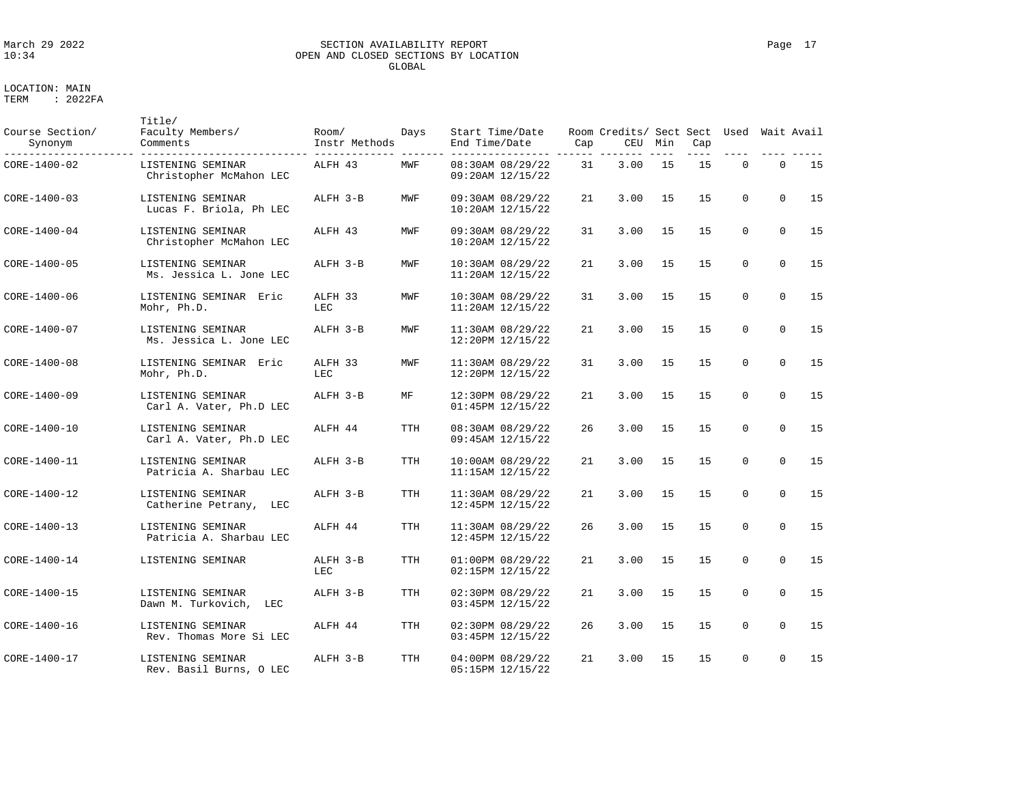### March 29 2022 SECTION AVAILABILITY REPORT Page 17 OPEN AND CLOSED SECTIONS BY LOCATION GLOBAL

| Course Section/<br>Synonym | Title/<br>Faculty Members/<br>Comments         | Room/<br>Instr Methods | Days       | Start Time/Date<br>End Time/Date         | Cap | Room Credits/ Sect Sect Used<br>CEU | Min | Cap |             |             | Wait Avail |
|----------------------------|------------------------------------------------|------------------------|------------|------------------------------------------|-----|-------------------------------------|-----|-----|-------------|-------------|------------|
| CORE-1400-02               | LISTENING SEMINAR<br>Christopher McMahon LEC   | ALFH 43                | MWF        | 08:30AM 08/29/22<br>09:20AM 12/15/22     | 31  | 3.00                                | 15  | 15  | $\mathbf 0$ | $\mathbf 0$ | 15         |
| CORE-1400-03               | LISTENING SEMINAR<br>Lucas F. Briola, Ph LEC   | ALFH 3-B               | MWF        | 09:30AM 08/29/22<br>$10:20AM$ $12/15/22$ | 21  | 3.00                                | 15  | 15  | $\Omega$    | $\Omega$    | 15         |
| CORE-1400-04               | LISTENING SEMINAR<br>Christopher McMahon LEC   | ALFH 43                | MWF        | 09:30AM 08/29/22<br>10:20AM 12/15/22     | 31  | 3.00                                | 15  | 15  | $\Omega$    | $\Omega$    | 15         |
| CORE-1400-05               | LISTENING SEMINAR<br>Ms. Jessica L. Jone LEC   | ALFH 3-B               | MWF        | 10:30AM 08/29/22<br>11:20AM 12/15/22     | 21  | 3.00                                | 15  | 15  | $\Omega$    | $\Omega$    | 15         |
| CORE-1400-06               | LISTENING SEMINAR Eric<br>Mohr, Ph.D.          | ALFH 33<br>LEC         | MWF        | 10:30AM 08/29/22<br>$11:20AM$ $12/15/22$ | 31  | 3.00                                | 15  | 15  | $\mathbf 0$ | $\Omega$    | 15         |
| CORE-1400-07               | LISTENING SEMINAR<br>Ms. Jessica L. Jone LEC   | ALFH 3-B               | MWF        | 11:30AM 08/29/22<br>12:20PM 12/15/22     | 21  | 3.00                                | 15  | 15  | $\mathbf 0$ | $\mathbf 0$ | 15         |
| CORE-1400-08               | LISTENING SEMINAR Eric<br>Mohr, Ph.D.          | ALFH 33<br>LEC         | MWF        | 11:30AM 08/29/22<br>12:20PM 12/15/22     | 31  | 3.00                                | 15  | 15  | $\Omega$    | $\Omega$    | 15         |
| CORE-1400-09               | LISTENING SEMINAR<br>Carl A. Vater, Ph.D LEC   | ALFH 3-B               | МF         | 12:30PM 08/29/22<br>01:45PM 12/15/22     | 21  | 3.00                                | 15  | 15  | $\Omega$    | $\Omega$    | 15         |
| CORE-1400-10               | LISTENING SEMINAR<br>Carl A. Vater, Ph.D LEC   | ALFH 44                | <b>TTH</b> | 08:30AM 08/29/22<br>09:45AM 12/15/22     | 26  | 3.00                                | 15  | 15  | $\Omega$    | $\Omega$    | 15         |
| CORE-1400-11               | LISTENING SEMINAR<br>Patricia A. Sharbau LEC   | ALFH 3-B               | <b>TTH</b> | 10:00AM 08/29/22<br>$11:15AM$ $12/15/22$ | 21  | 3.00                                | 15  | 15  | $\Omega$    | $\Omega$    | 15         |
| CORE-1400-12               | LISTENING SEMINAR<br>Catherine Petrany,<br>LEC | ALFH 3-B               | <b>TTH</b> | 11:30AM 08/29/22<br>12:45PM 12/15/22     | 21  | 3.00                                | 15  | 15  | $\mathbf 0$ | $\mathbf 0$ | 15         |
| CORE-1400-13               | LISTENING SEMINAR<br>Patricia A. Sharbau LEC   | ALFH 44                | TTH        | 11:30AM 08/29/22<br>12:45PM 12/15/22     | 26  | 3.00                                | 15  | 15  | $\Omega$    | $\Omega$    | 15         |
| CORE-1400-14               | LISTENING SEMINAR                              | ALFH 3-B<br>LEC        | <b>TTH</b> | 01:00PM 08/29/22<br>02:15PM 12/15/22     | 21  | 3.00                                | 15  | 15  | $\Omega$    | $\Omega$    | 15         |
| CORE-1400-15               | LISTENING SEMINAR<br>Dawn M. Turkovich,<br>LEC | ALFH 3-B               | <b>TTH</b> | 02:30PM 08/29/22<br>03:45PM 12/15/22     | 21  | 3.00                                | 15  | 15  | $\Omega$    | $\Omega$    | 15         |
| CORE-1400-16               | LISTENING SEMINAR<br>Rev. Thomas More Si LEC   | ALFH 44                | <b>TTH</b> | 02:30PM 08/29/22<br>03:45PM 12/15/22     | 26  | 3.00                                | 15  | 15  | $\mathbf 0$ | $\mathbf 0$ | 15         |
| CORE-1400-17               | LISTENING SEMINAR<br>Rev. Basil Burns, O LEC   | ALFH 3-B               | <b>TTH</b> | 04:00PM 08/29/22<br>05:15PM 12/15/22     | 21  | 3.00                                | 15  | 15  | $\mathbf 0$ | $\mathbf 0$ | 15         |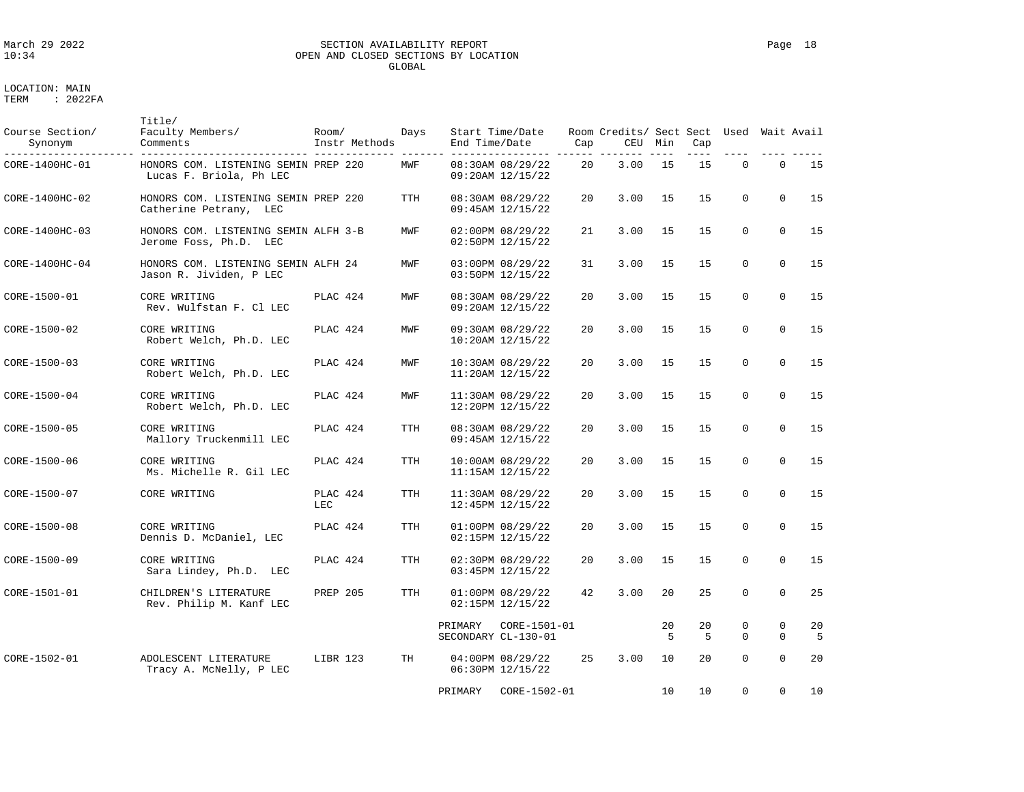### March 29 2022 SECTION AVAILABILITY REPORT Page 18 OPEN AND CLOSED SECTIONS BY LOCATION GLOBAL

| Course Section/<br>Synonym | Title/<br>Faculty Members/<br>Comments                          | Room/<br>Instr Methods | Days       | End Time/Date | Start Time/Date                          | Cap               | Room Credits/ Sect Sect Used Wait Avail<br>CEU | Min     | Cap                  |               |                          | $- - - - -$          |
|----------------------------|-----------------------------------------------------------------|------------------------|------------|---------------|------------------------------------------|-------------------|------------------------------------------------|---------|----------------------|---------------|--------------------------|----------------------|
| CORE-1400HC-01             | HONORS COM. LISTENING SEMIN PREP 220<br>Lucas F. Briola, Ph LEC |                        | MWF        |               | 08:30AM 08/29/22<br>09:20AM 12/15/22     | 20                | 3.00                                           | 15      | 15                   | $\Omega$      | $\Omega$                 | 15                   |
| CORE-1400HC-02             | HONORS COM. LISTENING SEMIN PREP 220<br>Catherine Petrany, LEC  |                        | TTH        |               | 08:30AM 08/29/22<br>09:45AM 12/15/22     | 20                | 3.00                                           | 15      | 15                   | $\mathbf 0$   | $\Omega$                 | 15                   |
| CORE-1400HC-03             | HONORS COM. LISTENING SEMIN ALFH 3-B<br>Jerome Foss, Ph.D. LEC  |                        | MWF        |               | 02:00PM 08/29/22<br>02:50PM 12/15/22     | 21                | 3.00                                           | 15      | 15                   | $\Omega$      | $\Omega$                 | 15                   |
| $CORE-1400HC-04$           | HONORS COM. LISTENING SEMIN ALFH 24<br>Jason R. Jividen, P LEC  |                        | MWF        |               | 03:00PM 08/29/22<br>03:50PM 12/15/22     | 31                | 3.00                                           | 15      | 15                   | $\Omega$      | $\Omega$                 | 15                   |
| CORE-1500-01               | CORE WRITING<br>Rev. Wulfstan F. Cl LEC                         | PLAC 424               | MWF        |               | 08:30AM 08/29/22<br>09:20AM 12/15/22     | $20 \overline{a}$ | 3.00                                           | 15      | 15                   | $\Omega$      | $\Omega$                 | 15                   |
| CORE-1500-02               | CORE WRITING<br>Robert Welch, Ph.D. LEC                         | PLAC 424               | MWF        |               | 09:30AM 08/29/22<br>$10:20AM$ $12/15/22$ | $20 \overline{0}$ | 3.00                                           | 15      | 15                   | $\Omega$      | $\Omega$                 | 15                   |
| $CORE - 1500 - 03$         | CORE WRITING<br>Robert Welch, Ph.D. LEC                         | PLAC 424               | MWF        |               | 10:30AM 08/29/22<br>$11:20AM$ $12/15/22$ | $20 \overline{0}$ | 3.00                                           | 15      | 15                   | $\Omega$      | $\Omega$                 | 15                   |
| $CORE-1500-04$             | CORE WRITING<br>Robert Welch, Ph.D. LEC                         | PLAC 424               | MWF        |               | 11:30AM 08/29/22<br>12:20PM 12/15/22     | $20 \overline{0}$ | 3.00                                           | 15      | 1.5                  | $\Omega$      | $\Omega$                 | 15                   |
| CORE-1500-05               | CORE WRITING<br>Mallory Truckenmill LEC                         | PLAC 424               | TTH        |               | 08:30AM 08/29/22<br>09:45AM 12/15/22     | 20                | 3.00                                           | 15      | 15                   | $\mathbf{0}$  | $\Omega$                 | 15                   |
| CORE-1500-06               | CORE WRITING<br>Ms. Michelle R. Gil LEC                         | PLAC 424               | TTH        |               | $10:00AM$ $08/29/22$<br>11:15AM 12/15/22 | 20                | 3.00                                           | 15      | 15                   | $\mathbf 0$   | $\mathbf 0$              | 15                   |
| CORE-1500-07               | CORE WRITING                                                    | PLAC 424<br>LEC        | TTH        |               | 11:30AM 08/29/22<br>12:45PM 12/15/22     | 20                | 3.00                                           | 15      | 15                   | $\mathbf 0$   | $\Omega$                 | 15                   |
| CORE-1500-08               | CORE WRITING<br>Dennis D. McDaniel, LEC                         | PLAC 424               | <b>TTH</b> |               | 01:00PM 08/29/22<br>02:15PM 12/15/22     | 20                | 3.00                                           | 15      | 15                   | $\Omega$      | $\Omega$                 | 15                   |
| CORE-1500-09               | CORE WRITING<br>Sara Lindey, Ph.D. LEC                          | PLAC 424               | TTH        |               | 02:30PM 08/29/22<br>03:45PM 12/15/22     | 20                | 3.00                                           | 15      | 15                   | $\Omega$      | $\Omega$                 | 15                   |
| CORE-1501-01               | CHILDREN'S LITERATURE<br>Rev. Philip M. Kanf LEC                | <b>PREP 205</b>        | TTH        |               | 01:00PM 08/29/22<br>02:15PM 12/15/22     | 42                | 3.00                                           | 20      | 25                   | $\Omega$      | $\Omega$                 | 25                   |
|                            |                                                                 |                        |            | PRIMARY       | CORE-1501-01<br>SECONDARY CL-130-01      |                   |                                                | 20<br>5 | 20<br>$\overline{5}$ | 0<br>$\Omega$ | $\mathbf{0}$<br>$\Omega$ | 20<br>$\overline{5}$ |
| CORE-1502-01               | ADOLESCENT LITERATURE<br>Tracy A. McNelly, P LEC                | LIBR 123               | TH         |               | 04:00PM 08/29/22<br>06:30PM 12/15/22     | 25                | 3.00                                           | 10      | 20                   | $\Omega$      | $\Omega$                 | 20                   |
|                            |                                                                 |                        |            | PRIMARY       | CORE-1502-01                             |                   |                                                | 10      | 10                   | $\Omega$      | $\Omega$                 | 10                   |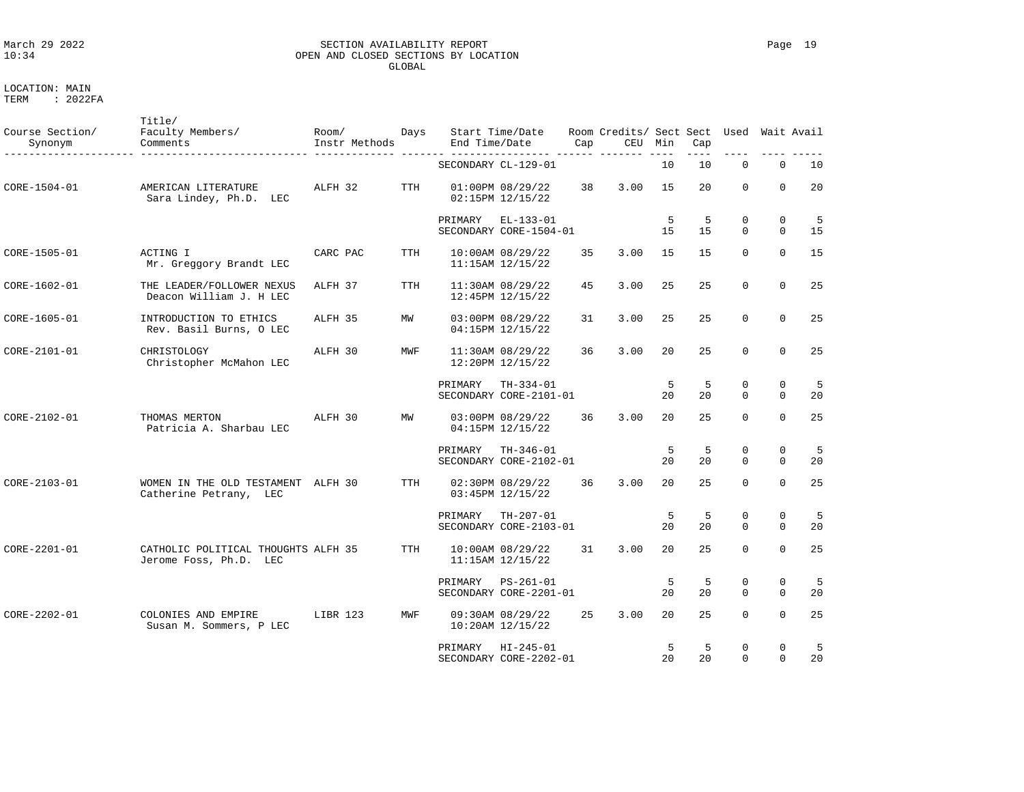### March 29 2022 SECTION AVAILABILITY REPORT Page 19 OPEN AND CLOSED SECTIONS BY LOCATION GLOBAL

LOCATION: MAIN

| Course Section/<br>Synonym | Title/<br>Faculty Members/<br>Comments                        | Room/<br>Instr Methods | Days       | End Time/Date | Start Time/Date                              | Cap | Room Credits/ Sect Sect<br>CEU | Min               | Cap      | Used                    |                            | Wait Avail |
|----------------------------|---------------------------------------------------------------|------------------------|------------|---------------|----------------------------------------------|-----|--------------------------------|-------------------|----------|-------------------------|----------------------------|------------|
|                            |                                                               |                        |            |               | SECONDARY CL-129-01                          |     |                                | 10                | 10       | $\mathbf 0$             | $\mathbf 0$                | 10         |
| CORE-1504-01               | AMERICAN LITERATURE<br>Sara Lindey, Ph.D. LEC                 | ALFH 32                | TTH        |               | 01:00PM 08/29/22<br>02:15PM 12/15/22         | 38  | 3.00                           | 15                | 20       | $\Omega$                | $\Omega$                   | 20         |
|                            |                                                               |                        |            | PRIMARY       | $EL-133-01$<br>SECONDARY CORE-1504-01        |     |                                | 5<br>15           | -5<br>15 | 0<br>$\Omega$           | $\mathbf 0$<br>$\Omega$    | -5<br>15   |
| CORE-1505-01               | ACTING I<br>Mr. Greggory Brandt LEC                           | CARC PAC               | <b>TTH</b> |               | 10:00AM 08/29/22<br>$11:15AM$ $12/15/22$     | 35  | 3.00                           | 1.5               | 1.5      | $\Omega$                | $\Omega$                   | 15         |
| CORE-1602-01               | THE LEADER/FOLLOWER NEXUS<br>Deacon William J. H LEC          | ALFH 37                | <b>TTH</b> |               | 11:30AM 08/29/22<br>12:45PM 12/15/22         | 45  | 3.00                           | 25                | 25       | $\mathbf 0$             | $\mathbf 0$                | 25         |
| CORE-1605-01               | INTRODUCTION TO ETHICS<br>Rev. Basil Burns, O LEC             | ALFH 35                | MW         |               | 03:00PM 08/29/22<br>04:15PM 12/15/22         | 31  | 3.00                           | 25                | 25       | $\mathbf 0$             | $\mathbf 0$                | 25         |
| CORE-2101-01               | CHRISTOLOGY<br>Christopher McMahon LEC                        | ALFH 30                | MWF        |               | 11:30AM 08/29/22<br>12:20PM 12/15/22         | 36  | 3.00                           | 20                | 25       | $\mathbf 0$             | $\mathbf 0$                | 25         |
|                            |                                                               |                        |            | PRIMARY       | $TH-334-01$<br>SECONDARY CORE-2101-01        |     |                                | 5<br>$20^{\circ}$ | 5<br>20  | $\mathbf 0$<br>$\Omega$ | $\mathbf 0$<br>$\Omega$    | 5<br>20    |
| CORE-2102-01               | THOMAS MERTON<br>Patricia A. Sharbau LEC                      | ALFH 30                | MW         |               | 03:00PM 08/29/22<br>04:15PM 12/15/22         | 36  | 3.00                           | 20                | 25       | $\Omega$                | $\mathbf 0$                | 25         |
|                            |                                                               |                        |            | PRIMARY       | $TH-346-01$<br>SECONDARY CORE-2102-01        |     |                                | 5<br>20           | -5<br>20 | $\mathbf 0$<br>$\Omega$ | $\mathbf 0$<br>$\Omega$    | -5<br>20   |
| CORE-2103-01               | WOMEN IN THE OLD TESTAMENT<br>Catherine Petrany, LEC          | ALFH 30                | TTH        |               | 02:30PM 08/29/22<br>03:45PM 12/15/22         | 36  | 3.00                           | 20                | 25       | $\Omega$                | $\mathbf 0$                | 25         |
|                            |                                                               |                        |            | PRIMARY       | TH-207-01<br>SECONDARY CORE-2103-01          |     |                                | 5<br>20           | 5<br>20  | 0<br>$\Omega$           | $\mathbf 0$<br>$\mathbf 0$ | - 5<br>20  |
| CORE-2201-01               | CATHOLIC POLITICAL THOUGHTS ALFH 35<br>Jerome Foss, Ph.D. LEC |                        | TTH        |               | $10:00AM$ $08/29/22$<br>$11:15AM$ $12/15/22$ | 31  | 3.00                           | 20                | 25       | $\Omega$                | $\Omega$                   | 25         |
|                            |                                                               |                        |            | PRIMARY       | PS-261-01<br>SECONDARY CORE-2201-01          |     |                                | 5<br>20           | 5<br>20  | $\mathbf 0$<br>$\Omega$ | 0<br>$\mathbf 0$           | -5<br>20   |
| CORE-2202-01               | COLONIES AND EMPIRE<br>Susan M. Sommers, P LEC                | LIBR 123               | MWF        |               | 09:30AM 08/29/22<br>$10:20AM$ $12/15/22$     | 25  | 3.00                           | 20                | 25       | $\Omega$                | $\Omega$                   | 25         |
|                            |                                                               |                        |            | PRIMARY       | $HI - 245 - 01$<br>SECONDARY CORE-2202-01    |     |                                | 5<br>20           | 5<br>20  | $\mathbf 0$<br>$\Omega$ | $\mathbf 0$<br>$\Omega$    | -5<br>20   |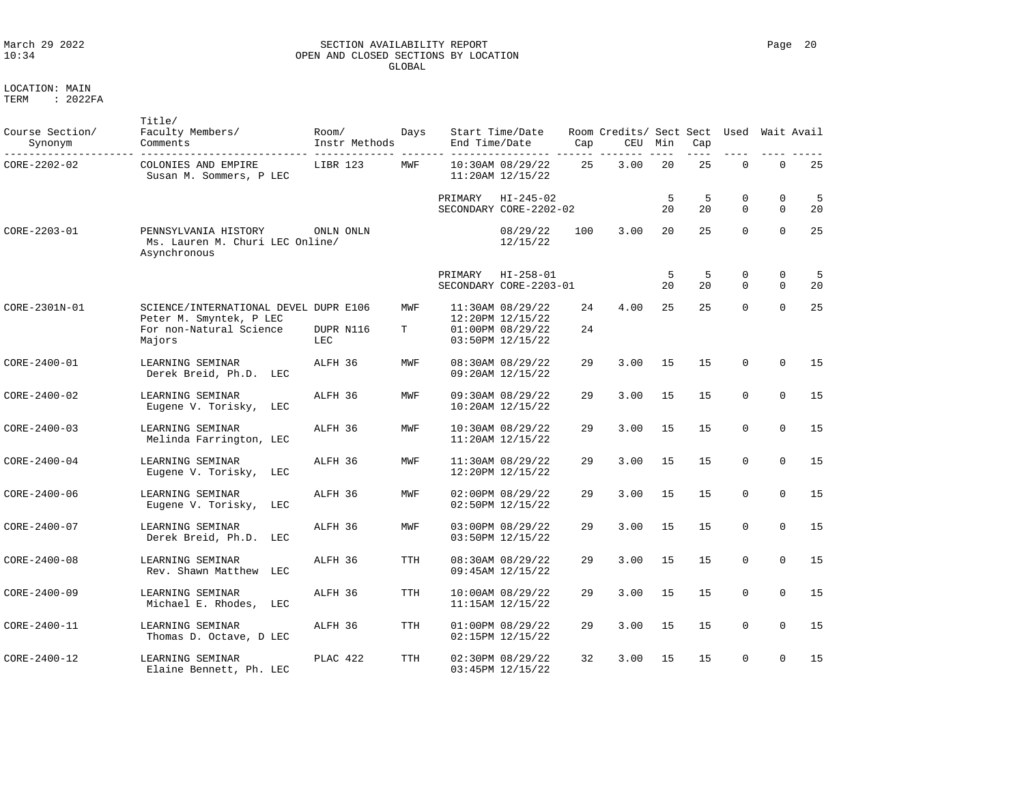# March 29 2022 SECTION AVAILABILITY REPORT Page 20 OPEN AND CLOSED SECTIONS BY LOCATION GLOBAL

LOCATION: MAIN

| Course Section/<br>Synonym | Title/<br>Faculty Members/<br>Comments                                  | Room/<br>Instr Methods | Days       | End Time/Date | Start Time/Date                           | Cap | Room Credits/ Sect Sect<br>CEU | Min     | Cap     | Used Wait Avail |                            |         |
|----------------------------|-------------------------------------------------------------------------|------------------------|------------|---------------|-------------------------------------------|-----|--------------------------------|---------|---------|-----------------|----------------------------|---------|
| CORE-2202-02               | COLONIES AND EMPIRE<br>Susan M. Sommers, P LEC                          | LIBR 123               | MWF        |               | 10:30AM 08/29/22<br>$11:20AM$ $12/15/22$  | 25  | 3.00                           | 20      | 25      | $\Omega$        | $\Omega$                   | 25      |
|                            |                                                                         |                        |            | PRIMARY       | $HI - 245 - 02$<br>SECONDARY CORE-2202-02 |     |                                | 5<br>20 | 5<br>20 | 0<br>$\Omega$   | $\mathbf 0$<br>$\mathbf 0$ | 5<br>20 |
| CORE-2203-01               | PENNSYLVANIA HISTORY<br>Ms. Lauren M. Churi LEC Online/<br>Asynchronous | ONLN ONLN              |            |               | 08/29/22<br>12/15/22                      | 100 | 3.00                           | 20      | 25      | $\Omega$        | $\Omega$                   | 25      |
|                            |                                                                         |                        |            | PRIMARY       | $HI - 258 - 01$<br>SECONDARY CORE-2203-01 |     |                                | 5<br>20 | 5<br>20 | 0<br>$\Omega$   | $\mathbf 0$<br>$\Omega$    | 5<br>20 |
| CORE-2301N-01              | SCIENCE/INTERNATIONAL DEVEL DUPR E106<br>Peter M. Smyntek, P LEC        |                        | MWF        |               | 11:30AM 08/29/22<br>12:20PM 12/15/22      | 24  | 4.00                           | 25      | 25      | $\Omega$        | $\Omega$                   | 25      |
|                            | For non-Natural Science<br>Majors                                       | DUPR N116<br>LEC       | т          |               | 01:00PM 08/29/22<br>03:50PM 12/15/22      | 24  |                                |         |         |                 |                            |         |
| CORE-2400-01               | LEARNING SEMINAR<br>Derek Breid, Ph.D. LEC                              | ALFH 36                | MWF        |               | 08:30AM 08/29/22<br>09:20AM 12/15/22      | 29  | 3.00                           | 15      | 15      | $\Omega$        | $\Omega$                   | 15      |
| CORE-2400-02               | LEARNING SEMINAR<br>Eugene V. Torisky,<br>LEC                           | ALFH 36                | MWF        |               | 09:30AM 08/29/22<br>10:20AM 12/15/22      | 29  | 3.00                           | 15      | 15      | $\Omega$        | $\Omega$                   | 15      |
| CORE-2400-03               | LEARNING SEMINAR<br>Melinda Farrington, LEC                             | ALFH 36                | MWF        |               | 10:30AM 08/29/22<br>11:20AM 12/15/22      | 29  | 3.00                           | 15      | 15      | $\Omega$        | $\Omega$                   | 15      |
| CORE-2400-04               | LEARNING SEMINAR<br>Eugene V. Torisky,<br>LEC                           | ALFH 36                | MWF        |               | 11:30AM 08/29/22<br>12:20PM 12/15/22      | 29  | 3.00                           | 15      | 15      | $\Omega$        | $\Omega$                   | 15      |
| CORE-2400-06               | LEARNING SEMINAR<br>Eugene V. Torisky,<br>LEC                           | ALFH 36                | MWF        |               | 02:00PM 08/29/22<br>02:50PM 12/15/22      | 29  | 3.00                           | 15      | 15      | $\mathbf 0$     | $\mathbf 0$                | 15      |
| CORE-2400-07               | LEARNING SEMINAR<br>Derek Breid, Ph.D.<br>LEC                           | ALFH 36                | MWF        |               | 03:00PM 08/29/22<br>03:50PM 12/15/22      | 29  | 3.00                           | 15      | 1.5     | $\Omega$        | $\Omega$                   | 15      |
| CORE-2400-08               | LEARNING SEMINAR<br>Rev. Shawn Matthew LEC                              | ALFH 36                | <b>TTH</b> |               | 08:30AM 08/29/22<br>09:45AM 12/15/22      | 29  | 3.00                           | 15      | 15      | $\Omega$        | $\mathbf 0$                | 15      |
| CORE-2400-09               | LEARNING SEMINAR<br>Michael E. Rhodes, LEC                              | ALFH 36                | TTH        |               | 10:00AM 08/29/22<br>11:15AM 12/15/22      | 29  | 3.00                           | 15      | 15      | $\Omega$        | $\mathbf 0$                | 15      |
| CORE-2400-11               | LEARNING SEMINAR<br>Thomas D. Octave, D LEC                             | ALFH 36                | <b>TTH</b> |               | 01:00PM 08/29/22<br>02:15PM 12/15/22      | 29  | 3.00                           | 15      | 15      | $\Omega$        | $\Omega$                   | 15      |
| CORE-2400-12               | LEARNING SEMINAR<br>Elaine Bennett, Ph. LEC                             | PLAC 422               | TTH        |               | 02:30PM 08/29/22<br>03:45PM 12/15/22      | 32  | 3.00                           | 15      | 15      | $\mathbf 0$     | $\mathbf 0$                | 15      |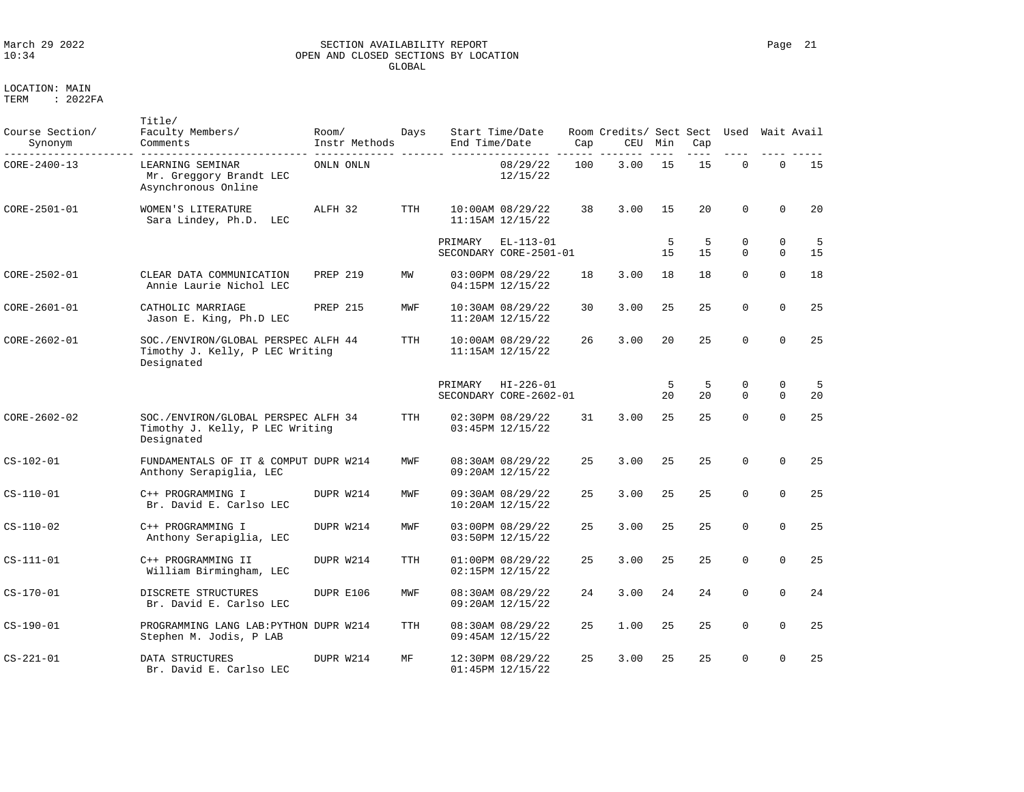### March 29 2022 SECTION AVAILABILITY REPORT Page 21 OPEN AND CLOSED SECTIONS BY LOCATION GLOBAL

LOCATION: MAIN

| Course Section/<br>Synonym | Title/<br>Faculty Members/<br>Comments                                               | Room/<br>Instr Methods | Days       | End Time/Date | Start Time/Date                           | Cap | Room Credits/ Sect Sect<br>CEU | Min     | Cap     | Used                    |                         | Wait Avail |
|----------------------------|--------------------------------------------------------------------------------------|------------------------|------------|---------------|-------------------------------------------|-----|--------------------------------|---------|---------|-------------------------|-------------------------|------------|
| CORE-2400-13               | LEARNING SEMINAR<br>Mr. Greggory Brandt LEC<br>Asynchronous Online                   | ONLN ONLN              |            |               | 08/29/22<br>12/15/22                      | 100 | 3.00                           | 15      | 15      | 0                       | $\mathbf 0$             | 15         |
| CORE-2501-01               | WOMEN'S LITERATURE<br>Sara Lindey, Ph.D.<br>LEC                                      | ALFH 32                | <b>TTH</b> |               | 10:00AM 08/29/22<br>11:15AM 12/15/22      | 38  | 3.00                           | 15      | 20      | 0                       | $\mathbf{0}$            | 20         |
|                            |                                                                                      |                        |            | PRIMARY       | $EL-113-01$<br>SECONDARY CORE-2501-01     |     |                                | 5<br>15 | 5<br>15 | $\mathbf 0$<br>$\Omega$ | $\mathbf 0$<br>$\Omega$ | 5<br>15    |
| CORE-2502-01               | CLEAR DATA COMMUNICATION<br>Annie Laurie Nichol LEC                                  | <b>PREP 219</b>        | MW         |               | 03:00PM 08/29/22<br>04:15PM 12/15/22      | 18  | 3.00                           | 18      | 18      | $\Omega$                | $\Omega$                | 18         |
| CORE-2601-01               | CATHOLIC MARRIAGE<br>Jason E. King, Ph.D LEC                                         | <b>PREP 215</b>        | MWF        |               | 10:30AM 08/29/22<br>11:20AM 12/15/22      | 30  | 3.00                           | 25      | 25      | $\Omega$                | $\Omega$                | 25         |
| CORE-2602-01               | SOC./ENVIRON/GLOBAL PERSPEC ALFH 44<br>Timothy J. Kelly, P LEC Writing<br>Designated |                        | <b>TTH</b> |               | 10:00AM 08/29/22<br>11:15AM 12/15/22      | 26  | 3.00                           | 20      | 25      | $\Omega$                | $\mathbf 0$             | 25         |
|                            |                                                                                      |                        |            | PRIMARY       | $HI - 226 - 01$<br>SECONDARY CORE-2602-01 |     |                                | 5<br>20 | 5<br>20 | 0<br>$\Omega$           | 0<br>$\Omega$           | 5<br>20    |
| $CORE - 2602 - 02$         | SOC./ENVIRON/GLOBAL PERSPEC ALFH 34<br>Timothy J. Kelly, P LEC Writing<br>Designated |                        | <b>TTH</b> |               | 02:30PM 08/29/22<br>03:45PM 12/15/22      | 31  | 3.00                           | 25      | 25      | $\Omega$                | $\Omega$                | 25         |
| $CS - 102 - 01$            | FUNDAMENTALS OF IT & COMPUT DUPR W214<br>Anthony Serapiglia, LEC                     |                        | MWF        |               | 08:30AM 08/29/22<br>09:20AM 12/15/22      | 25  | 3.00                           | 25      | 25      | 0                       | $\mathbf 0$             | 25         |
| $CS-110-01$                | C++ PROGRAMMING I<br>Br. David E. Carlso LEC                                         | DUPR W214              | MWF        |               | 09:30AM 08/29/22<br>10:20AM 12/15/22      | 25  | 3.00                           | 25      | 25      | $\Omega$                | $\Omega$                | 25         |
| $CS-110-02$                | C++ PROGRAMMING I<br>Anthony Serapiglia, LEC                                         | DUPR W214              | MWF        |               | 03:00PM 08/29/22<br>03:50PM 12/15/22      | 25  | 3.00                           | 25      | 25      | $\Omega$                | $\Omega$                | 25         |
| $CS-111-01$                | C++ PROGRAMMING II<br>William Birmingham, LEC                                        | DUPR W214              | <b>TTH</b> |               | 01:00PM 08/29/22<br>02:15PM 12/15/22      | 25  | 3.00                           | 25      | 25      | $\Omega$                | $\Omega$                | 25         |
| $CS-170-01$                | DISCRETE STRUCTURES<br>Br. David E. Carlso LEC                                       | DUPR E106              | MWF        |               | 08:30AM 08/29/22<br>09:20AM 12/15/22      | 24  | 3.00                           | 24      | 24      | 0                       | $\Omega$                | 24         |
| $CS-190-01$                | PROGRAMMING LANG LAB: PYTHON DUPR W214<br>Stephen M. Jodis, P LAB                    |                        | <b>TTH</b> |               | 08:30AM 08/29/22<br>09:45AM 12/15/22      | 25  | 1.00                           | 25      | 25      | 0                       | $\mathbf 0$             | 25         |
| $CS - 221 - 01$            | DATA STRUCTURES<br>Br. David E. Carlso LEC                                           | DUPR W214              | МF         |               | 12:30PM 08/29/22<br>01:45PM 12/15/22      | 25  | 3.00                           | 25      | 25      | 0                       | $\mathbf 0$             | 25         |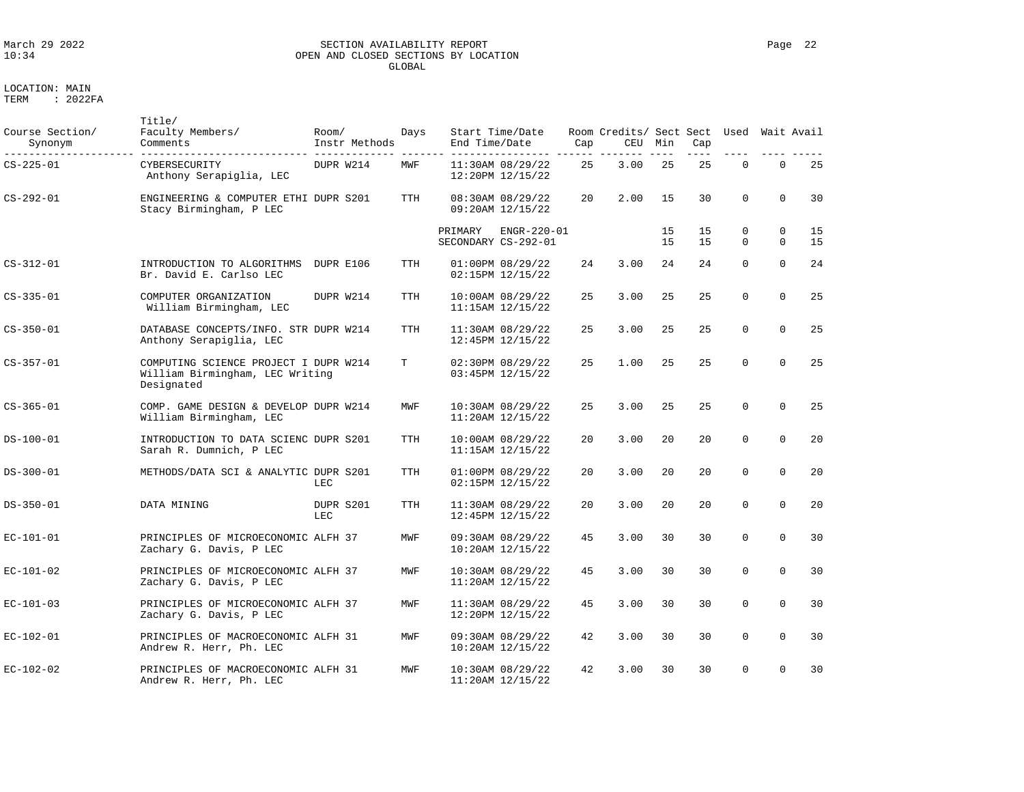### March 29 2022 SECTION AVAILABILITY REPORT Page 22 OPEN AND CLOSED SECTIONS BY LOCATION GLOBAL

LOCATION: MAIN

| Course Section/<br>Synonym | Title/<br>Faculty Members/<br>Comments                                                 | Room/<br>Instr Methods | Days       | End Time/Date | Start Time/Date                          | Cap | Room Credits/ Sect Sect Used<br>CEU | Min      | Cap      |               | Wait Avail               |          |
|----------------------------|----------------------------------------------------------------------------------------|------------------------|------------|---------------|------------------------------------------|-----|-------------------------------------|----------|----------|---------------|--------------------------|----------|
| CS-225-01                  | CYBERSECURITY<br>Anthony Serapiglia, LEC                                               | DUPR W214              | MWF        |               | 11:30AM 08/29/22<br>12:20PM 12/15/22     | 25  | 3.00                                | 25       | 25       | $\Omega$      | $\Omega$                 | 25       |
| $CS - 292 - 01$            | ENGINEERING & COMPUTER ETHI DUPR S201<br>Stacy Birmingham, P LEC                       |                        | <b>TTH</b> |               | 08:30AM 08/29/22<br>09:20AM 12/15/22     | 20  | 2.00                                | 15       | 30       | $\Omega$      | $\Omega$                 | 30       |
|                            |                                                                                        |                        |            | PRIMARY       | ENGR-220-01<br>SECONDARY CS-292-01       |     |                                     | 15<br>15 | 15<br>15 | 0<br>$\Omega$ | $\mathbf{0}$<br>$\Omega$ | 15<br>15 |
| CS-312-01                  | INTRODUCTION TO ALGORITHMS<br>Br. David E. Carlso LEC                                  | DUPR E106              | <b>TTH</b> |               | 01:00PM 08/29/22<br>02:15PM 12/15/22     | 24  | 3.00                                | 24       | 24       | $\Omega$      | $\Omega$                 | 24       |
| CS-335-01                  | COMPUTER ORGANIZATION<br>William Birmingham, LEC                                       | DUPR W214              | TTH        |               | 10:00AM 08/29/22<br>11:15AM 12/15/22     | 25  | 3.00                                | 25       | 25       | $\Omega$      | $\Omega$                 | 25       |
| $CS - 350 - 01$            | DATABASE CONCEPTS/INFO. STR DUPR W214<br>Anthony Serapiglia, LEC                       |                        | <b>TTH</b> |               | 11:30AM 08/29/22<br>12:45PM 12/15/22     | 25  | 3.00                                | 25       | 25       | $\mathbf 0$   | $\Omega$                 | 25       |
| $CS - 357 - 01$            | COMPUTING SCIENCE PROJECT I DUPR W214<br>William Birmingham, LEC Writing<br>Designated |                        | T          |               | 02:30PM 08/29/22<br>03:45PM 12/15/22     | 25  | 1.00                                | 25       | 25       | $\Omega$      | $\Omega$                 | 25       |
| $CS - 365 - 01$            | COMP. GAME DESIGN & DEVELOP DUPR W214<br>William Birmingham, LEC                       |                        | MWF        |               | 10:30AM 08/29/22<br>11:20AM 12/15/22     | 25  | 3.00                                | 25       | 2.5      | $\mathbf 0$   | $\Omega$                 | 25       |
| DS-100-01                  | INTRODUCTION TO DATA SCIENC DUPR S201<br>Sarah R. Dumnich, P LEC                       |                        | <b>TTH</b> |               | 10:00AM 08/29/22<br>$11:15AM$ $12/15/22$ | 20  | 3.00                                | 20       | 20       | $\Omega$      | $\mathbf 0$              | 20       |
| DS-300-01                  | METHODS/DATA SCI & ANALYTIC DUPR S201                                                  | LEC                    | TTH        |               | 01:00PM 08/29/22<br>02:15PM 12/15/22     | 20  | 3.00                                | 20       | 20       | $\mathbf 0$   | $\mathbf 0$              | 20       |
| DS-350-01                  | DATA MINING                                                                            | DUPR S201<br>LEC       | TTH        |               | 11:30AM 08/29/22<br>12:45PM 12/15/22     | 20  | 3.00                                | 2.0      | 20       | $\Omega$      | $\Omega$                 | 20       |
| $EC - 101 - 01$            | PRINCIPLES OF MICROECONOMIC ALFH 37<br>Zachary G. Davis, P LEC                         |                        | MWF        |               | 09:30AM 08/29/22<br>10:20AM 12/15/22     | 45  | 3.00                                | 30       | 30       | $\Omega$      | $\Omega$                 | 30       |
| EC-101-02                  | PRINCIPLES OF MICROECONOMIC ALFH 37<br>Zachary G. Davis, P LEC                         |                        | MWF        |               | 10:30AM 08/29/22<br>11:20AM 12/15/22     | 45  | 3.00                                | 30       | 30       | $\mathbf 0$   | $\Omega$                 | 30       |
| EC-101-03                  | PRINCIPLES OF MICROECONOMIC ALFH 37<br>Zachary G. Davis, P LEC                         |                        | MWF        |               | 11:30AM 08/29/22<br>12:20PM 12/15/22     | 45  | 3.00                                | 30       | 30       | $\mathbf 0$   | $\mathbf 0$              | 30       |
| EC-102-01                  | PRINCIPLES OF MACROECONOMIC ALFH 31<br>Andrew R. Herr, Ph. LEC                         |                        | MWF        |               | 09:30AM 08/29/22<br>10:20AM 12/15/22     | 42  | 3.00                                | 30       | 30       | $\Omega$      | $\Omega$                 | 30       |
| EC-102-02                  | PRINCIPLES OF MACROECONOMIC ALFH 31<br>Andrew R. Herr, Ph. LEC                         |                        | MWF        |               | 10:30AM 08/29/22<br>11:20AM 12/15/22     | 42  | 3.00                                | 30       | 30       | $\Omega$      | $\Omega$                 | 30       |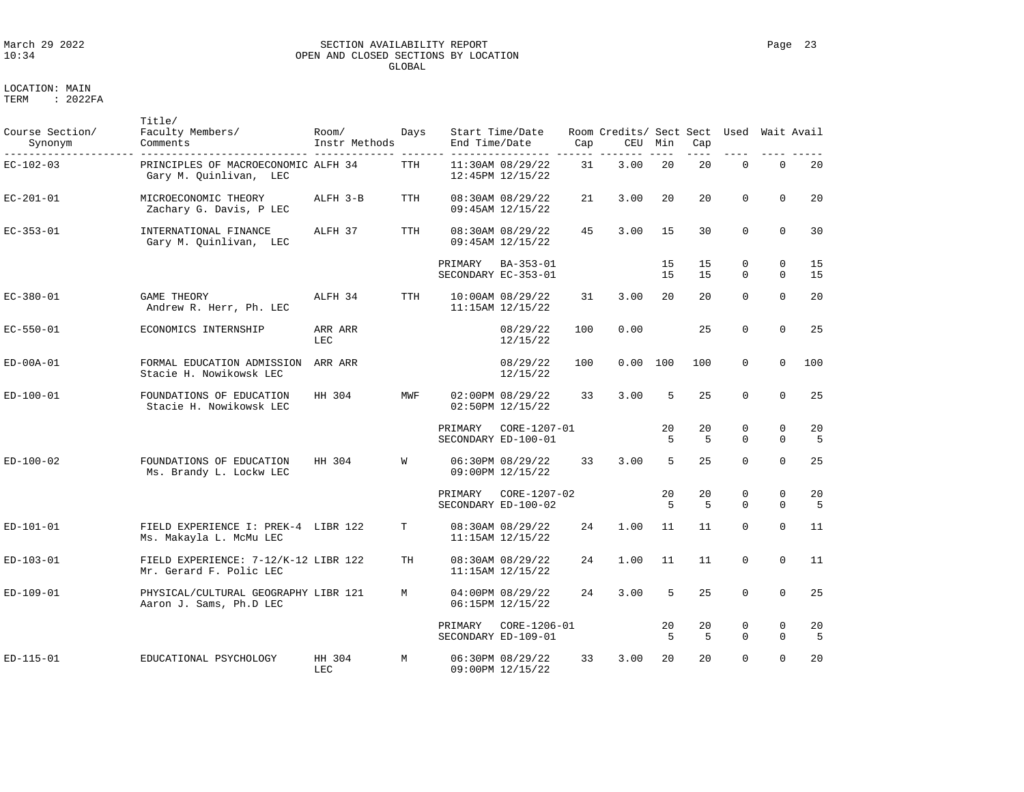# March 29 2022 SECTION AVAILABILITY REPORT Page 23 OPEN AND CLOSED SECTIONS BY LOCATION GLOBAL

LOCATION: MAIN

| Course Section/<br>Synonym | Title/<br>Faculty Members/<br>Comments                          | Room/<br>Instr Methods | Days       | End Time/Date | Start Time/Date                              | Cap | Room Credits/ Sect Sect<br>CEU | Min      | Cap      | Used          |                            | Wait Avail |
|----------------------------|-----------------------------------------------------------------|------------------------|------------|---------------|----------------------------------------------|-----|--------------------------------|----------|----------|---------------|----------------------------|------------|
| EC-102-03                  | PRINCIPLES OF MACROECONOMIC ALFH 34<br>Gary M. Quinlivan, LEC   |                        | TTH        |               | 11:30AM 08/29/22<br>12:45PM 12/15/22         | 31  | 3.00                           | 20       | 20       | $\mathbf 0$   | $\mathsf{O}\xspace$        | 20         |
| EC-201-01                  | MICROECONOMIC THEORY<br>Zachary G. Davis, P LEC                 | ALFH 3-B               | TTH        |               | 08:30AM 08/29/22<br>09:45AM 12/15/22         | 21  | 3.00                           | 20       | 20       | $\Omega$      | $\Omega$                   | 20         |
| $EC-353-01$                | INTERNATIONAL FINANCE<br>Gary M. Quinlivan, LEC                 | ALFH 37                | <b>TTH</b> |               | 08:30AM 08/29/22<br>09:45AM 12/15/22         | 45  | 3.00                           | 15       | 30       | $\Omega$      | $\Omega$                   | 30         |
|                            |                                                                 |                        |            | PRIMARY       | BA-353-01<br>SECONDARY EC-353-01             |     |                                | 15<br>15 | 15<br>15 | 0<br>$\Omega$ | $\mathbf 0$<br>$\Omega$    | 15<br>15   |
| EC-380-01                  | <b>GAME THEORY</b><br>Andrew R. Herr, Ph. LEC                   | ALFH 34                | TTH        |               | $10:00AM$ $08/29/22$<br>$11:15AM$ $12/15/22$ | 31  | 3.00                           | 20       | 20       | $\Omega$      | $\mathbf{0}$               | 20         |
| EC-550-01                  | ECONOMICS INTERNSHIP                                            | ARR ARR<br>LEC         |            |               | 08/29/22<br>12/15/22                         | 100 | 0.00                           |          | 25       | $\mathbf 0$   | $\mathbf 0$                | 25         |
| ED-00A-01                  | FORMAL EDUCATION ADMISSION<br>Stacie H. Nowikowsk LEC           | ARR ARR                |            |               | 08/29/22<br>12/15/22                         | 100 | 0.00                           | 100      | 100      | $\mathbf 0$   | $\mathbf 0$                | 100        |
| ED-100-01                  | FOUNDATIONS OF EDUCATION<br>Stacie H. Nowikowsk LEC             | HH 304                 | MWF        |               | 02:00PM 08/29/22<br>02:50PM 12/15/22         | 33  | 3.00                           | 5        | 25       | $\Omega$      | $\Omega$                   | 25         |
|                            |                                                                 |                        |            | PRIMARY       | CORE-1207-01<br>SECONDARY ED-100-01          |     |                                | 20<br>5  | 20<br>5  | 0<br>$\Omega$ | $\mathbf 0$<br>$\Omega$    | 20<br>5    |
| ED-100-02                  | FOUNDATIONS OF EDUCATION<br>Ms. Brandy L. Lockw LEC             | HH 304                 | W          |               | 06:30PM 08/29/22<br>09:00PM 12/15/22         | 33  | 3.00                           | 5        | 25       | $\mathbf 0$   | $\mathbf 0$                | 25         |
|                            |                                                                 |                        |            | PRIMARY       | CORE-1207-02<br>SECONDARY ED-100-02          |     |                                | 20<br>5  | 20<br>5  | 0<br>$\Omega$ | $\mathbf 0$<br>$\mathbf 0$ | 20<br>5    |
| ED-101-01                  | FIELD EXPERIENCE I: PREK-4 LIBR 122<br>Ms. Makayla L. McMu LEC  |                        | Т          |               | 08:30AM 08/29/22<br>11:15AM 12/15/22         | 24  | 1.00                           | 11       | 11       | $\Omega$      | $\Omega$                   | 11         |
| ED-103-01                  | FIELD EXPERIENCE: 7-12/K-12 LIBR 122<br>Mr. Gerard F. Polic LEC |                        | TH         |               | 08:30AM 08/29/22<br>11:15AM 12/15/22         | 24  | 1.00                           | 11       | 11       | $\mathbf 0$   | $\mathbf 0$                | 11         |
| ED-109-01                  | PHYSICAL/CULTURAL GEOGRAPHY LIBR 121<br>Aaron J. Sams, Ph.D LEC |                        | M          |               | 04:00PM 08/29/22<br>06:15PM 12/15/22         | 24  | 3.00                           | 5        | 25       | $\mathbf 0$   | $\Omega$                   | 25         |
|                            |                                                                 |                        |            | PRIMARY       | CORE-1206-01<br>SECONDARY ED-109-01          |     |                                | 20<br>5  | 20<br>5  | 0<br>$\Omega$ | $\mathbf 0$<br>$\mathbf 0$ | 20<br>5    |
| ED-115-01                  | EDUCATIONAL PSYCHOLOGY                                          | HH 304<br>LEC          | М          |               | 06:30PM 08/29/22<br>09:00PM 12/15/22         | 33  | 3.00                           | 20       | 20       | $\Omega$      | $\Omega$                   | 20         |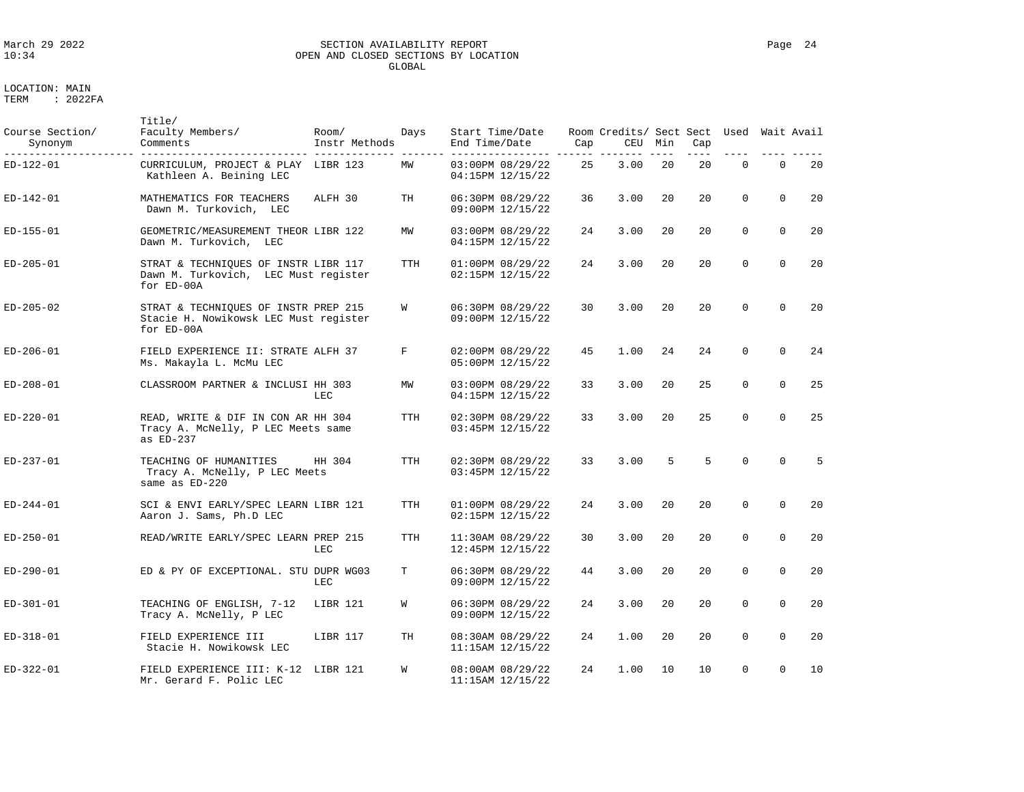# March 29 2022 SECTION AVAILABILITY REPORT Page 24 OPEN AND CLOSED SECTIONS BY LOCATION GLOBAL

| Course Section/<br>Synonym | Title/<br>Faculty Members/<br>Comments                                                      | Room/<br>Instr Methods | Days       | Start Time/Date<br>End Time/Date         | Cap | Room Credits/ Sect Sect Used Wait Avail<br>CEU | Min | Cap<br>$- - -$ |             |             |    |
|----------------------------|---------------------------------------------------------------------------------------------|------------------------|------------|------------------------------------------|-----|------------------------------------------------|-----|----------------|-------------|-------------|----|
| ED-122-01                  | CURRICULUM, PROJECT & PLAY LIBR 123<br>Kathleen A. Beining LEC                              |                        | MW         | 03:00PM 08/29/22<br>04:15PM 12/15/22     | 25  | 3.00                                           | 20  | 20             | $\Omega$    | $\Omega$    | 20 |
| ED-142-01                  | MATHEMATICS FOR TEACHERS<br>Dawn M. Turkovich, LEC                                          | ALFH 30                | TH         | 06:30PM 08/29/22<br>09:00PM 12/15/22     | 36  | 3.00                                           | 20  | 20             | $\Omega$    | $\Omega$    | 20 |
| ED-155-01                  | GEOMETRIC/MEASUREMENT THEOR LIBR 122<br>Dawn M. Turkovich, LEC                              |                        | MW         | 03:00PM 08/29/22<br>04:15PM 12/15/22     | 24  | 3.00                                           | 20  | 20             | $\Omega$    | $\mathbf 0$ | 20 |
| ED-205-01                  | STRAT & TECHNIQUES OF INSTR LIBR 117<br>Dawn M. Turkovich, LEC Must register<br>for ED-00A  |                        | TTH        | 01:00PM 08/29/22<br>02:15PM 12/15/22     | 24  | 3.00                                           | 20  | 20             | $\mathbf 0$ | $\Omega$    | 20 |
| ED-205-02                  | STRAT & TECHNIQUES OF INSTR PREP 215<br>Stacie H. Nowikowsk LEC Must register<br>for ED-00A |                        | W          | 06:30PM 08/29/22<br>09:00PM 12/15/22     | 30  | 3.00                                           | 20  | 20             | $\Omega$    | $\Omega$    | 20 |
| ED-206-01                  | FIELD EXPERIENCE II: STRATE ALFH 37<br>Ms. Makayla L. McMu LEC                              |                        | F          | 02:00PM 08/29/22<br>05:00PM 12/15/22     | 45  | 1.00                                           | 24  | 24             | $\Omega$    | $\Omega$    | 24 |
| ED-208-01                  | CLASSROOM PARTNER & INCLUSI HH 303                                                          | LEC                    | MW         | 03:00PM 08/29/22<br>04:15PM 12/15/22     | 33  | 3.00                                           | 20  | 25             | $\Omega$    | $\Omega$    | 25 |
| ED-220-01                  | READ, WRITE & DIF IN CON AR HH 304<br>Tracy A. McNelly, P LEC Meets same<br>as ED-237       |                        | <b>TTH</b> | 02:30PM 08/29/22<br>03:45PM 12/15/22     | 33  | 3.00                                           | 20  | 25             | $\mathbf 0$ | $\Omega$    | 25 |
| ED-237-01                  | TEACHING OF HUMANITIES<br>Tracy A. McNelly, P LEC Meets<br>same as ED-220                   | HH 304                 | <b>TTH</b> | 02:30PM 08/29/22<br>03:45PM 12/15/22     | 33  | 3.00                                           | 5   | 5              | $\Omega$    | $\Omega$    | 5  |
| ED-244-01                  | SCI & ENVI EARLY/SPEC LEARN LIBR 121<br>Aaron J. Sams, Ph.D LEC                             |                        | TTH        | 01:00PM 08/29/22<br>02:15PM 12/15/22     | 24  | 3.00                                           | 20  | 20             | $\Omega$    | $\Omega$    | 20 |
| ED-250-01                  | READ/WRITE EARLY/SPEC LEARN PREP 215                                                        | LEC                    | <b>TTH</b> | 11:30AM 08/29/22<br>12:45PM 12/15/22     | 30  | 3.00                                           | 20  | 20             | $\Omega$    | $\Omega$    | 20 |
| ED-290-01                  | ED & PY OF EXCEPTIONAL. STU DUPR WG03                                                       | LEC                    | т          | 06:30PM 08/29/22<br>09:00PM 12/15/22     | 44  | 3.00                                           | 20  | 20             | $\mathbf 0$ | $\mathbf 0$ | 20 |
| ED-301-01                  | TEACHING OF ENGLISH, 7-12<br>Tracy A. McNelly, P LEC                                        | LIBR 121               | W          | 06:30PM 08/29/22<br>09:00PM 12/15/22     | 24  | 3.00                                           | 20  | 20             | 0           | $\mathbf 0$ | 20 |
| ED-318-01                  | FIELD EXPERIENCE III<br>Stacie H. Nowikowsk LEC                                             | LIBR 117               | TН         | 08:30AM 08/29/22<br>11:15AM 12/15/22     | 24  | 1.00                                           | 20  | 20             | $\Omega$    | $\Omega$    | 20 |
| ED-322-01                  | FIELD EXPERIENCE III: K-12 LIBR 121<br>Mr. Gerard F. Polic LEC                              |                        | W          | 08:00AM 08/29/22<br>$11:15AM$ $12/15/22$ | 24  | 1.00                                           | 10  | 10             | $\Omega$    | $\Omega$    | 10 |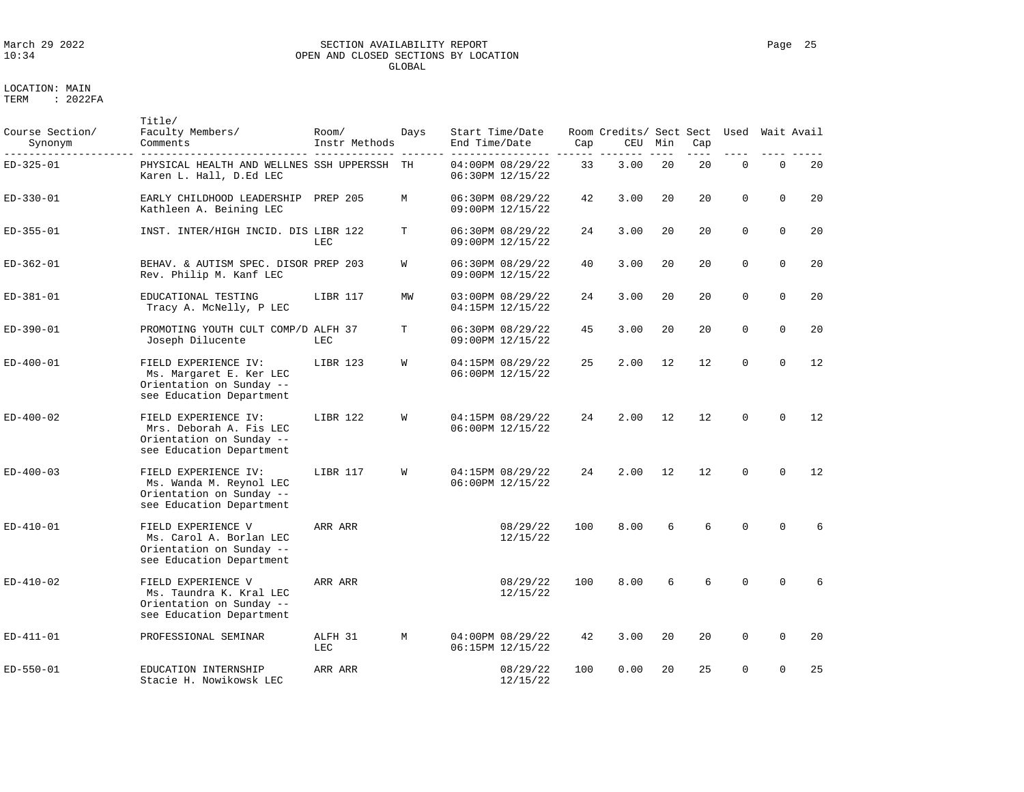# March 29 2022 SECTION AVAILABILITY REPORT Page 25 OPEN AND CLOSED SECTIONS BY LOCATION GLOBAL

LOCATION: MAIN

| Course Section/<br>Synonym | Title/<br>Faculty Members/<br>Comments                                                                  | Room/<br>Instr Methods | Days | End Time/Date | Start Time/Date                      | Cap | Room Credits/ Sect Sect<br>CEU | Min | Cap | Used        |             | Wait Avail |
|----------------------------|---------------------------------------------------------------------------------------------------------|------------------------|------|---------------|--------------------------------------|-----|--------------------------------|-----|-----|-------------|-------------|------------|
| ED-325-01                  | PHYSICAL HEALTH AND WELLNES SSH UPPERSSH<br>Karen L. Hall, D.Ed LEC                                     |                        | TH   |               | 04:00PM 08/29/22<br>06:30PM 12/15/22 | 33  | 3.00                           | 20  | 20  | $\Omega$    | $\Omega$    | 20         |
| ED-330-01                  | EARLY CHILDHOOD LEADERSHIP<br>Kathleen A. Beining LEC                                                   | <b>PREP 205</b>        | M    |               | 06:30PM 08/29/22<br>09:00PM 12/15/22 | 42  | 3.00                           | 20  | 20  | $\Omega$    | $\Omega$    | 20         |
| ED-355-01                  | INST. INTER/HIGH INCID. DIS LIBR 122                                                                    | <b>LEC</b>             | т    |               | 06:30PM 08/29/22<br>09:00PM 12/15/22 | 24  | 3.00                           | 20  | 20  | $\mathbf 0$ | $\mathbf 0$ | 20         |
| ED-362-01                  | BEHAV. & AUTISM SPEC. DISOR PREP 203<br>Rev. Philip M. Kanf LEC                                         |                        | W    |               | 06:30PM 08/29/22<br>09:00PM 12/15/22 | 40  | 3.00                           | 20  | 20  | $\mathbf 0$ | $\mathbf 0$ | 20         |
| ED-381-01                  | EDUCATIONAL TESTING<br>Tracy A. McNelly, P LEC                                                          | LIBR 117               | МW   |               | 03:00PM 08/29/22<br>04:15PM 12/15/22 | 24  | 3.00                           | 20  | 20  | $\mathbf 0$ | $\Omega$    | 20         |
| ED-390-01                  | PROMOTING YOUTH CULT COMP/D ALFH 37<br>Joseph Dilucente                                                 | LEC                    | т    |               | 06:30PM 08/29/22<br>09:00PM 12/15/22 | 45  | 3.00                           | 20  | 20  | $\mathbf 0$ | $\mathbf 0$ | 20         |
| ED-400-01                  | FIELD EXPERIENCE IV:<br>Ms. Margaret E. Ker LEC<br>Orientation on Sunday --<br>see Education Department | LIBR 123               | W    |               | 04:15PM 08/29/22<br>06:00PM 12/15/22 | 25  | 2.00                           | 12  | 12  | $\mathbf 0$ | $\mathbf 0$ | 12         |
| ED-400-02                  | FIELD EXPERIENCE IV:<br>Mrs. Deborah A. Fis LEC<br>Orientation on Sunday --<br>see Education Department | LIBR 122               | W    |               | 04:15PM 08/29/22<br>06:00PM 12/15/22 | 24  | 2.00                           | 12  | 12  | $\mathbf 0$ | $\Omega$    | 12         |
| ED-400-03                  | FIELD EXPERIENCE IV:<br>Ms. Wanda M. Reynol LEC<br>Orientation on Sunday --<br>see Education Department | LIBR 117               | W    |               | 04:15PM 08/29/22<br>06:00PM 12/15/22 | 24  | 2.00                           | 12  | 12  | $\Omega$    | $\Omega$    | 12         |
| $ED-410-01$                | FIELD EXPERIENCE V<br>Ms. Carol A. Borlan LEC<br>Orientation on Sunday --<br>see Education Department   | ARR ARR                |      |               | 08/29/22<br>12/15/22                 | 100 | 8.00                           | 6   | 6   | $\Omega$    | $\Omega$    | 6          |
| ED-410-02                  | FIELD EXPERIENCE V<br>Ms. Taundra K. Kral LEC<br>Orientation on Sunday --<br>see Education Department   | ARR ARR                |      |               | 08/29/22<br>12/15/22                 | 100 | 8.00                           | 6   | 6   | $\Omega$    | $\Omega$    | 6          |
| ED-411-01                  | PROFESSIONAL SEMINAR                                                                                    | ALFH 31<br>LEC         | M    |               | 04:00PM 08/29/22<br>06:15PM 12/15/22 | 42  | 3.00                           | 20  | 20  | $\Omega$    | $\Omega$    | 20         |
| ED-550-01                  | EDUCATION INTERNSHIP<br>Stacie H. Nowikowsk LEC                                                         | ARR ARR                |      |               | 08/29/22<br>12/15/22                 | 100 | 0.00                           | 20  | 25  | $\Omega$    | $\Omega$    | 25         |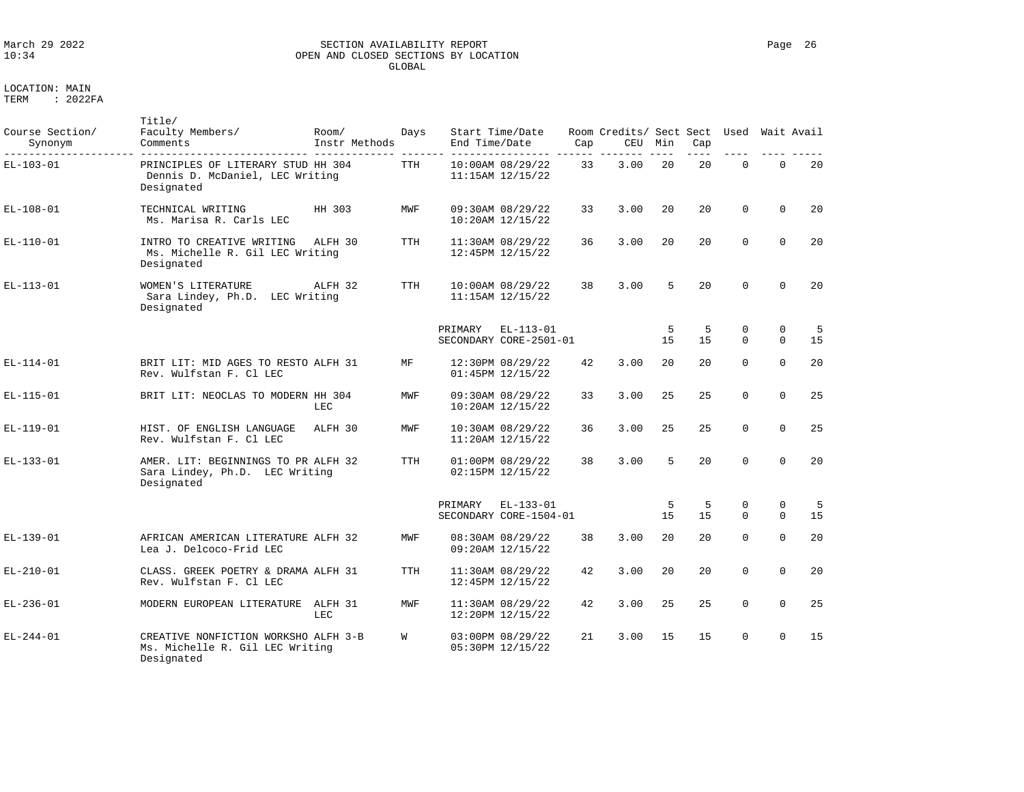### March 29 2022 SECTION AVAILABILITY REPORT Page 26 OPEN AND CLOSED SECTIONS BY LOCATION GLOBAL

| Course Section/<br>Synonym | Title/<br>Faculty Members/<br>Comments                                                | Room/<br>Instr Methods | Days       | End Time/Date | Start Time/Date                          | Cap | Room Credits/ Sect Sect<br>CEU | Min     | Cap       | Used                    | Wait Avail              |           |
|----------------------------|---------------------------------------------------------------------------------------|------------------------|------------|---------------|------------------------------------------|-----|--------------------------------|---------|-----------|-------------------------|-------------------------|-----------|
| $EL-103-01$                | PRINCIPLES OF LITERARY STUD HH 304<br>Dennis D. McDaniel, LEC Writing<br>Designated   |                        | <b>TTH</b> |               | 10:00AM 08/29/22<br>$11:15AM$ $12/15/22$ | 33  | 3.00                           | 2.0     | 20        | $\Omega$                | $\Omega$                | 20        |
| $EL-108-01$                | TECHNICAL WRITING<br>Ms. Marisa R. Carls LEC                                          | HH 303                 | MWF        |               | 09:30AM 08/29/22<br>10:20AM 12/15/22     | 33  | 3.00                           | 20      | 20        | $\Omega$                | $\Omega$                | 20        |
| $EL-110-01$                | INTRO TO CREATIVE WRITING<br>Ms. Michelle R. Gil LEC Writing<br>Designated            | ALFH 30                | <b>TTH</b> |               | 11:30AM 08/29/22<br>12:45PM 12/15/22     | 36  | 3.00                           | 20      | 20        | $\Omega$                | $\Omega$                | 20        |
| $EL-113-01$                | WOMEN'S LITERATURE<br>Sara Lindey, Ph.D. LEC Writing<br>Designated                    | ALFH 32                | <b>TTH</b> |               | 10:00AM 08/29/22<br>$11:15AM$ $12/15/22$ | 38  | 3.00                           | 5       | 20        | $\Omega$                | $\Omega$                | 20        |
|                            |                                                                                       |                        |            | PRIMARY       | $EL-113-01$<br>SECONDARY CORE-2501-01    |     |                                | 5<br>15 | -5<br>1.5 | 0<br>$\Omega$           | $\mathbf 0$<br>$\Omega$ | - 5<br>15 |
| $EL-114-01$                | BRIT LIT: MID AGES TO RESTO ALFH 31<br>Rev. Wulfstan F. Cl LEC                        |                        | MF         |               | 12:30PM 08/29/22<br>01:45PM 12/15/22     | 42  | 3.00                           | 20      | 20        | $\Omega$                | $\Omega$                | 20        |
| $EL-115-01$                | BRIT LIT: NEOCLAS TO MODERN HH 304                                                    | LEC                    | MWF        |               | 09:30AM 08/29/22<br>$10:20AM$ $12/15/22$ | 33  | 3.00                           | 25      | 2.5       | $\Omega$                | $\Omega$                | 25        |
| $EL-119-01$                | HIST. OF ENGLISH LANGUAGE<br>Rev. Wulfstan F. Cl LEC                                  | ALFH 30                | MWF        |               | 10:30AM 08/29/22<br>11:20AM 12/15/22     | 36  | 3.00                           | 25      | 25        | $\Omega$                | $\Omega$                | 25        |
| $EL-133-01$                | AMER. LIT: BEGINNINGS TO PR ALFH 32<br>Sara Lindey, Ph.D. LEC Writing<br>Designated   |                        | <b>TTH</b> |               | 01:00PM 08/29/22<br>02:15PM 12/15/22     | 38  | 3.00                           | 5       | 20        | $\Omega$                | $\Omega$                | 20        |
|                            |                                                                                       |                        |            | PRIMARY       | $EL-133-01$<br>SECONDARY CORE-1504-01    |     |                                | 5<br>15 | 5<br>1.5  | $\mathbf 0$<br>$\Omega$ | $\mathbf 0$<br>$\Omega$ | 5<br>15   |
| $EL-139-01$                | AFRICAN AMERICAN LITERATURE ALFH 32<br>Lea J. Delcoco-Frid LEC                        |                        | MWF        |               | 08:30AM 08/29/22<br>09:20AM 12/15/22     | 38  | 3.00                           | 20      | 20        | $\Omega$                | $\Omega$                | 20        |
| $EL-210-01$                | CLASS. GREEK POETRY & DRAMA ALFH 31<br>Rev. Wulfstan F. Cl LEC                        |                        | <b>TTH</b> |               | 11:30AM 08/29/22<br>12:45PM 12/15/22     | 42  | 3.00                           | 20      | 20        | $\Omega$                | $\Omega$                | 20        |
| $EL-236-01$                | MODERN EUROPEAN LITERATURE ALFH 31                                                    | LEC                    | MWF        |               | 11:30AM 08/29/22<br>12:20PM 12/15/22     | 42  | 3.00                           | 25      | 25        | $\Omega$                | $\Omega$                | 25        |
| $EL-244-01$                | CREATIVE NONFICTION WORKSHO ALFH 3-B<br>Ms. Michelle R. Gil LEC Writing<br>Designated |                        | W          |               | 03:00PM 08/29/22<br>05:30PM 12/15/22     | 21  | 3.00                           | 15      | 15        | $\Omega$                | $\Omega$                | 15        |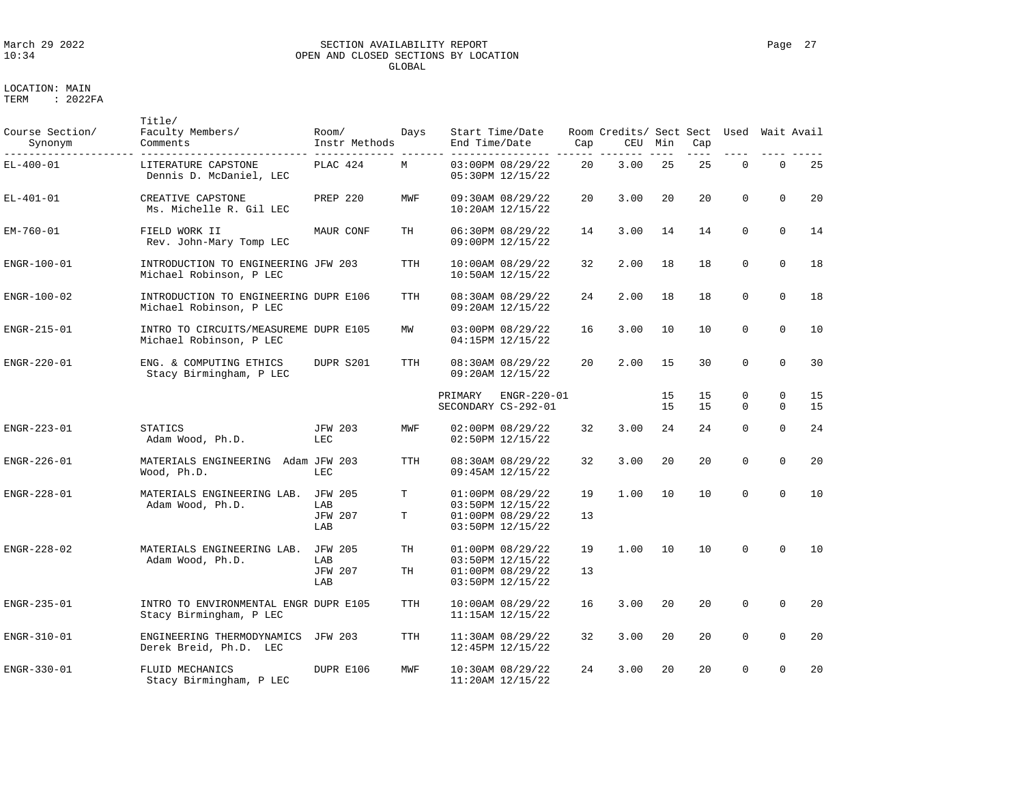### March 29 2022 SECTION AVAILABILITY REPORT Page 27 OPEN AND CLOSED SECTIONS BY LOCATION GLOBAL

| Course Section/<br>Synonym | Title/<br>Faculty Members/<br>Comments                           | Room/<br>Instr Methods                         | Days       | End Time/Date | Start Time/Date                                                                  | Cap      | Room Credits/ Sect Sect Used<br>CEU | Min      | Cap       |                         | Wait Avail                 |          |
|----------------------------|------------------------------------------------------------------|------------------------------------------------|------------|---------------|----------------------------------------------------------------------------------|----------|-------------------------------------|----------|-----------|-------------------------|----------------------------|----------|
| $EL-400-01$                | LITERATURE CAPSTONE<br>Dennis D. McDaniel, LEC                   | PLAC 424                                       | М          |               | 03:00PM 08/29/22<br>05:30PM 12/15/22                                             | 20       | 3.00                                | 25       | 25        | $\mathbf 0$             | $\mathbf 0$                | 25       |
| $EL-401-01$                | CREATIVE CAPSTONE<br>Ms. Michelle R. Gil LEC                     | PREP 220                                       | MWF        |               | 09:30AM 08/29/22<br>$10:20AM$ $12/15/22$                                         | 20       | 3.00                                | 20       | 20        | $\Omega$                | $\Omega$                   | 20       |
| $EM-760-01$                | FIELD WORK II<br>Rev. John-Mary Tomp LEC                         | MAUR CONF                                      | TH         |               | 06:30PM 08/29/22<br>09:00PM 12/15/22                                             | 14       | 3.00                                | 14       | 14        | $\Omega$                | $\Omega$                   | 14       |
| ENGR-100-01                | INTRODUCTION TO ENGINEERING JFW 203<br>Michael Robinson, P LEC   |                                                | <b>TTH</b> |               | 10:00AM 08/29/22<br>$10:50AM$ $12/15/22$                                         | 32       | 2.00                                | 18       | 18        | $\Omega$                | $\Omega$                   | 18       |
| $ENGR-100-02$              | INTRODUCTION TO ENGINEERING DUPR E106<br>Michael Robinson, P LEC |                                                | <b>TTH</b> |               | 08:30AM 08/29/22<br>09:20AM 12/15/22                                             | 24       | 2.00                                | 18       | 18        | $\mathbf 0$             | $\Omega$                   | 18       |
| ENGR-215-01                | INTRO TO CIRCUITS/MEASUREME DUPR E105<br>Michael Robinson, P LEC |                                                | ΜW         |               | 03:00PM 08/29/22<br>04:15PM 12/15/22                                             | 16       | 3.00                                | 10       | 10        | $\mathbf 0$             | $\mathbf 0$                | 10       |
| ENGR-220-01                | ENG. & COMPUTING ETHICS<br>Stacy Birmingham, P LEC               | DUPR S201                                      | TTH        |               | 08:30AM 08/29/22<br>09:20AM 12/15/22                                             | 20       | 2.00                                | 15       | 30        | $\mathbf 0$             | $\mathbf 0$                | 30       |
|                            |                                                                  |                                                |            | PRIMARY       | ENGR-220-01<br>SECONDARY CS-292-01                                               |          |                                     | 15<br>15 | 15<br>1.5 | $\mathbf 0$<br>$\Omega$ | $\mathbf 0$<br>$\mathbf 0$ | 15<br>15 |
| $ENGR-223-01$              | <b>STATICS</b><br>Adam Wood, Ph.D.                               | <b>JFW 203</b><br>LEC                          | MWF        |               | $02:00PM$ $08/29/22$<br>02:50PM 12/15/22                                         | 32       | 3.00                                | 24       | 24        | $\Omega$                | $\Omega$                   | 24       |
| ENGR-226-01                | MATERIALS ENGINEERING Adam JFW 203<br>Wood, Ph.D.                | LEC                                            | TTH        |               | 08:30AM 08/29/22<br>09:45AM 12/15/22                                             | 32       | 3.00                                | 20       | 20        | $\Omega$                | $\Omega$                   | 20       |
| $ENGR-228-01$              | MATERIALS ENGINEERING LAB.<br>Adam Wood, Ph.D.                   | <b>JFW 205</b><br>LAB<br><b>JFW 207</b><br>LAB | Т<br>т     |               | 01:00PM 08/29/22<br>03:50PM 12/15/22<br>$01:00PM$ $08/29/22$<br>03:50PM 12/15/22 | 19<br>13 | 1.00                                | 10       | 10        | $\Omega$                | $\Omega$                   | 10       |
| $ENGR-228-02$              | MATERIALS ENGINEERING LAB.<br>Adam Wood, Ph.D.                   | <b>JFW 205</b><br>LAB<br><b>JFW 207</b><br>LAB | TH<br>TH   |               | 01:00PM 08/29/22<br>03:50PM 12/15/22<br>$01:00PM$ $08/29/22$<br>03:50PM 12/15/22 | 19<br>13 | 1.00                                | 10       | 10        | $\Omega$                | $\Omega$                   | 10       |
| $ENGR-235-01$              | INTRO TO ENVIRONMENTAL ENGR DUPR E105<br>Stacy Birmingham, P LEC |                                                | TTH        |               | $10:00$ AM $08/29/22$<br>$11:15AM$ $12/15/22$                                    | 16       | 3.00                                | 20       | 20        | $\mathbf 0$             | $\Omega$                   | 20       |
| ENGR-310-01                | ENGINEERING THERMODYNAMICS<br>Derek Breid, Ph.D. LEC             | <b>JFW 203</b>                                 | <b>TTH</b> |               | 11:30AM 08/29/22<br>12:45PM 12/15/22                                             | 32       | 3.00                                | 20       | 20        | $\mathbf 0$             | $\mathbf 0$                | 20       |
| $ENGR-330-01$              | FLUID MECHANICS<br>Stacy Birmingham, P LEC                       | DUPR E106                                      | MWF        |               | $10:30AM$ $08/29/22$<br>$11:20AM$ $12/15/22$                                     | 24       | 3.00                                | 20       | 20        | $\Omega$                | $\mathbf 0$                | 20       |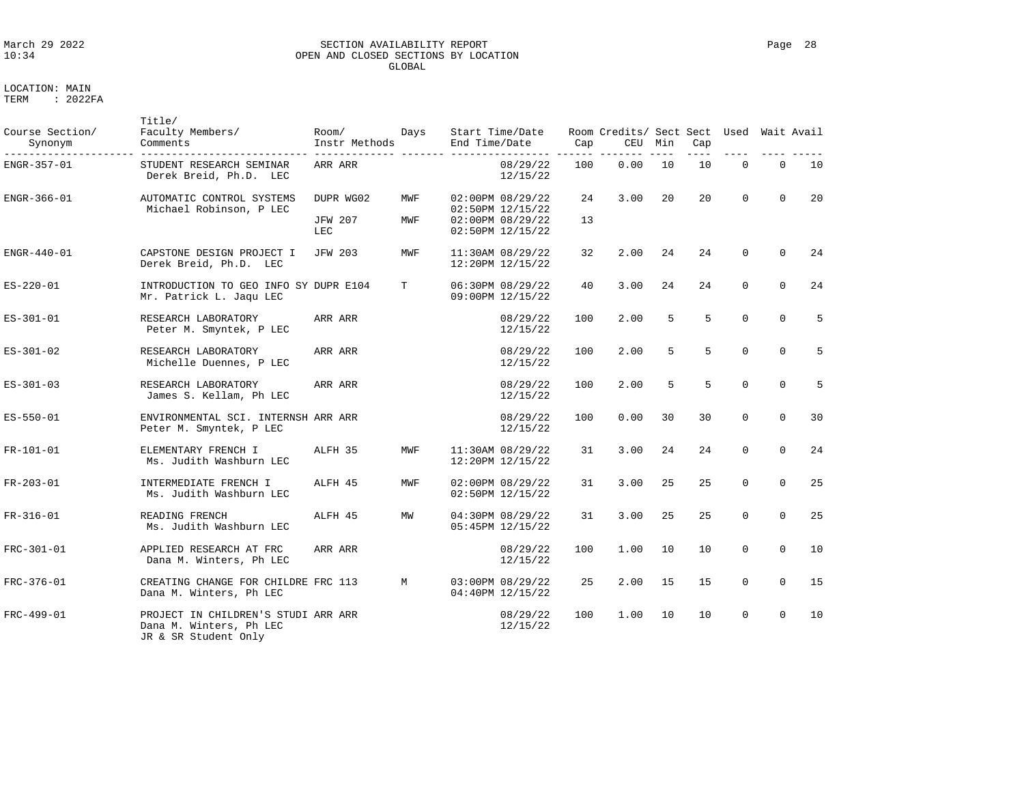# LOCATION: MAIN<br>TERM : 20221 : 2022FA

JR & SR Student Only

| March 29 2022 | SECTION AVAILABILITY REPORT          | Page | 28 |
|---------------|--------------------------------------|------|----|
| 10:34         | OPEN AND CLOSED SECTIONS BY LOCATION |      |    |
|               | GLOBAL                               |      |    |

| Course Section/<br>Synonym | Title/<br>Faculty Members/<br>Comments                           | Room/<br>Instr Methods      | Days       | Start Time/Date<br>End Time/Date                         |                      | Cap      | Room Credits/ Sect Sect<br>CEU | Min | Cap | Used        |             | Wait Avail |
|----------------------------|------------------------------------------------------------------|-----------------------------|------------|----------------------------------------------------------|----------------------|----------|--------------------------------|-----|-----|-------------|-------------|------------|
| ENGR-357-01                | STUDENT RESEARCH SEMINAR<br>Derek Breid, Ph.D. LEC               | ARR ARR                     |            |                                                          | 08/29/22<br>12/15/22 | 100      | 0.00                           | 10  | 10  | $\mathbf 0$ | $\mathbf 0$ | 10         |
| ENGR-366-01                | AUTOMATIC CONTROL SYSTEMS<br>Michael Robinson, P LEC             | DUPR WG02<br><b>JFW 207</b> | MWF<br>MWF | 02:00PM 08/29/22<br>02:50PM 12/15/22<br>02:00PM 08/29/22 |                      | 24<br>13 | 3.00                           | 20  | 20  | $\Omega$    | $\Omega$    | 20         |
|                            |                                                                  | LEC                         |            | 02:50PM 12/15/22                                         |                      |          |                                |     |     |             |             |            |
| ENGR-440-01                | CAPSTONE DESIGN PROJECT I<br>Derek Breid, Ph.D. LEC              | <b>JFW 203</b>              | MWF        | 11:30AM 08/29/22<br>12:20PM 12/15/22                     |                      | 32       | 2.00                           | 24  | 24  | $\mathbf 0$ | $\Omega$    | 24         |
| $ES - 220 - 01$            | INTRODUCTION TO GEO INFO SY DUPR E104<br>Mr. Patrick L. Jaqu LEC |                             | т          | 06:30PM 08/29/22<br>09:00PM 12/15/22                     |                      | 40       | 3.00                           | 24  | 24  | $\mathbf 0$ | $\mathbf 0$ | 24         |
| ES-301-01                  | RESEARCH LABORATORY<br>Peter M. Smyntek, P LEC                   | ARR ARR                     |            |                                                          | 08/29/22<br>12/15/22 | 100      | 2.00                           | 5   | 5   | $\Omega$    | $\Omega$    | 5          |
| $ES-301-02$                | RESEARCH LABORATORY<br>Michelle Duennes, P LEC                   | ARR ARR                     |            |                                                          | 08/29/22<br>12/15/22 | 100      | 2.00                           | 5   | 5   | $\Omega$    | $\Omega$    | 5          |
| $ES-301-03$                | RESEARCH LABORATORY<br>James S. Kellam, Ph LEC                   | ARR ARR                     |            |                                                          | 08/29/22<br>12/15/22 | 100      | 2.00                           | 5   | 5   | $\mathbf 0$ | $\Omega$    | 5          |
| ES-550-01                  | ENVIRONMENTAL SCI. INTERNSH ARR ARR<br>Peter M. Smyntek, P LEC   |                             |            |                                                          | 08/29/22<br>12/15/22 | 100      | 0.00                           | 30  | 30  | $\Omega$    | $\Omega$    | 30         |
| FR-101-01                  | ELEMENTARY FRENCH I<br>Ms. Judith Washburn LEC                   | ALFH 35                     | MWF        | 11:30AM 08/29/22<br>12:20PM 12/15/22                     |                      | 31       | 3.00                           | 2.4 | 24  | $\Omega$    | $\Omega$    | 24         |
| $FR - 203 - 01$            | INTERMEDIATE FRENCH I<br>Ms. Judith Washburn LEC                 | ALFH 45                     | MWF        | 02:00PM 08/29/22<br>02:50PM 12/15/22                     |                      | 31       | 3.00                           | 2.5 | 25  | $\Omega$    | $\Omega$    | 25         |
| FR-316-01                  | READING FRENCH<br>Ms. Judith Washburn LEC                        | ALFH 45                     | MW         | 04:30PM 08/29/22<br>05:45PM 12/15/22                     |                      | 31       | 3.00                           | 25  | 25  | $\mathbf 0$ | $\mathbf 0$ | 25         |
| FRC-301-01                 | APPLIED RESEARCH AT FRC<br>Dana M. Winters, Ph LEC               | ARR ARR                     |            |                                                          | 08/29/22<br>12/15/22 | 100      | 1.00                           | 10  | 10  | $\mathbf 0$ | $\Omega$    | 10         |
| FRC-376-01                 | CREATING CHANGE FOR CHILDRE FRC 113<br>Dana M. Winters, Ph LEC   |                             | М          | 03:00PM 08/29/22<br>04:40PM 12/15/22                     |                      | 25       | 2.00                           | 15  | 15  | $\mathbf 0$ | $\Omega$    | 15         |
| FRC-499-01                 | PROJECT IN CHILDREN'S STUDI ARR ARR<br>Dana M. Winters, Ph LEC   |                             |            |                                                          | 08/29/22<br>12/15/22 | 100      | 1.00                           | 10  | 10  | $\mathbf 0$ | $\Omega$    | 10         |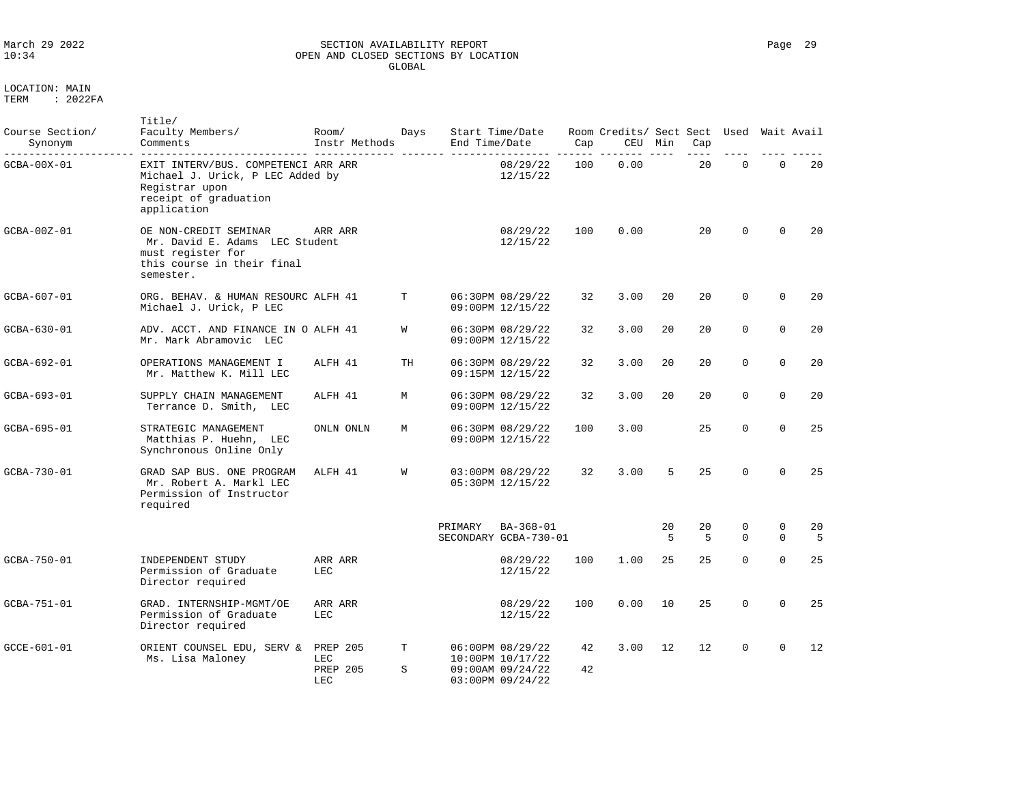### March 29 2022 SECTION AVAILABILITY REPORT Page 29 OPEN AND CLOSED SECTIONS BY LOCATION GLOBAL

LOCATION: MAIN

| Course Section/<br>Synonym | Title/<br>Faculty Members/<br>Comments                                                                                            | Room/<br>Instr Methods                           | Days   | End Time/Date | Start Time/Date                                                              | Cap      | Room Credits/ Sect Sect Used<br>CEU | Min     | Cap     |               | Wait Avail    |         |
|----------------------------|-----------------------------------------------------------------------------------------------------------------------------------|--------------------------------------------------|--------|---------------|------------------------------------------------------------------------------|----------|-------------------------------------|---------|---------|---------------|---------------|---------|
| GCBA-00X-01                | EXIT INTERV/BUS. COMPETENCI ARR ARR<br>Michael J. Urick, P LEC Added by<br>Registrar upon<br>receipt of graduation<br>application |                                                  |        |               | 08/29/22<br>12/15/22                                                         | 100      | 0.00                                |         | 20      | $\mathbf 0$   | $\mathbf 0$   | 20      |
| GCBA-00Z-01                | OE NON-CREDIT SEMINAR<br>Mr. David E. Adams LEC Student<br>must register for<br>this course in their final<br>semester.           | ARR ARR                                          |        |               | 08/29/22<br>12/15/22                                                         | 100      | 0.00                                |         | 20      | $\Omega$      | $\Omega$      | 20      |
| GCBA-607-01                | ORG. BEHAV. & HUMAN RESOURC ALFH 41<br>Michael J. Urick, P LEC                                                                    |                                                  | T      |               | 06:30PM 08/29/22<br>09:00PM 12/15/22                                         | 32       | 3.00                                | 20      | 20      | $\mathbf 0$   | $\mathbf 0$   | 20      |
| GCBA-630-01                | ADV. ACCT. AND FINANCE IN O ALFH 41<br>Mr. Mark Abramovic LEC                                                                     |                                                  | W      |               | 06:30PM 08/29/22<br>09:00PM 12/15/22                                         | 32       | 3.00                                | 20      | 20      | 0             | $\mathbf 0$   | 20      |
| GCBA-692-01                | OPERATIONS MANAGEMENT I<br>Mr. Matthew K. Mill LEC                                                                                | ALFH 41                                          | TH     |               | 06:30PM 08/29/22<br>09:15PM 12/15/22                                         | 32       | 3.00                                | 20      | 20      | $\mathbf 0$   | $\mathbf 0$   | 20      |
| GCBA-693-01                | SUPPLY CHAIN MANAGEMENT<br>Terrance D. Smith, LEC                                                                                 | ALFH 41                                          | М      |               | 06:30PM 08/29/22<br>09:00PM 12/15/22                                         | 32       | 3.00                                | 20      | 20      | $\mathbf 0$   | $\mathbf 0$   | 20      |
| GCBA-695-01                | STRATEGIC MANAGEMENT<br>Matthias P. Huehn, LEC<br>Synchronous Online Only                                                         | ONLN ONLN                                        | М      |               | 06:30PM 08/29/22<br>09:00PM 12/15/22                                         | 100      | 3.00                                |         | 25      | $\Omega$      | $\Omega$      | 25      |
| GCBA-730-01                | GRAD SAP BUS. ONE PROGRAM<br>Mr. Robert A. Markl LEC<br>Permission of Instructor<br>required                                      | ALFH 41                                          | W      |               | 03:00PM 08/29/22<br>05:30PM 12/15/22                                         | 32       | 3.00                                | 5       | 25      | $\Omega$      | $\Omega$      | 25      |
|                            |                                                                                                                                   |                                                  |        | PRIMARY       | BA-368-01<br>SECONDARY GCBA-730-01                                           |          |                                     | 20<br>5 | 20<br>5 | 0<br>$\Omega$ | 0<br>$\Omega$ | 20<br>5 |
| GCBA-750-01                | INDEPENDENT STUDY<br>Permission of Graduate<br>Director required                                                                  | ARR ARR<br><b>LEC</b>                            |        |               | 08/29/22<br>12/15/22                                                         | 100      | 1.00                                | 25      | 25      | $\Omega$      | $\mathbf 0$   | 25      |
| GCBA-751-01                | GRAD. INTERNSHIP-MGMT/OE<br>Permission of Graduate<br>Director required                                                           | ARR ARR<br>LEC                                   |        |               | 08/29/22<br>12/15/22                                                         | 100      | 0.00                                | 10      | 25      | $\Omega$      | $\Omega$      | 25      |
| GCCE-601-01                | ORIENT COUNSEL EDU, SERV &<br>Ms. Lisa Maloney                                                                                    | <b>PREP 205</b><br>LEC<br><b>PREP 205</b><br>LEC | T<br>S |               | 06:00PM 08/29/22<br>10:00PM 10/17/22<br>09:00AM 09/24/22<br>03:00PM 09/24/22 | 42<br>42 | 3.00                                | 12      | 12      | $\mathbf 0$   | $\Omega$      | 12      |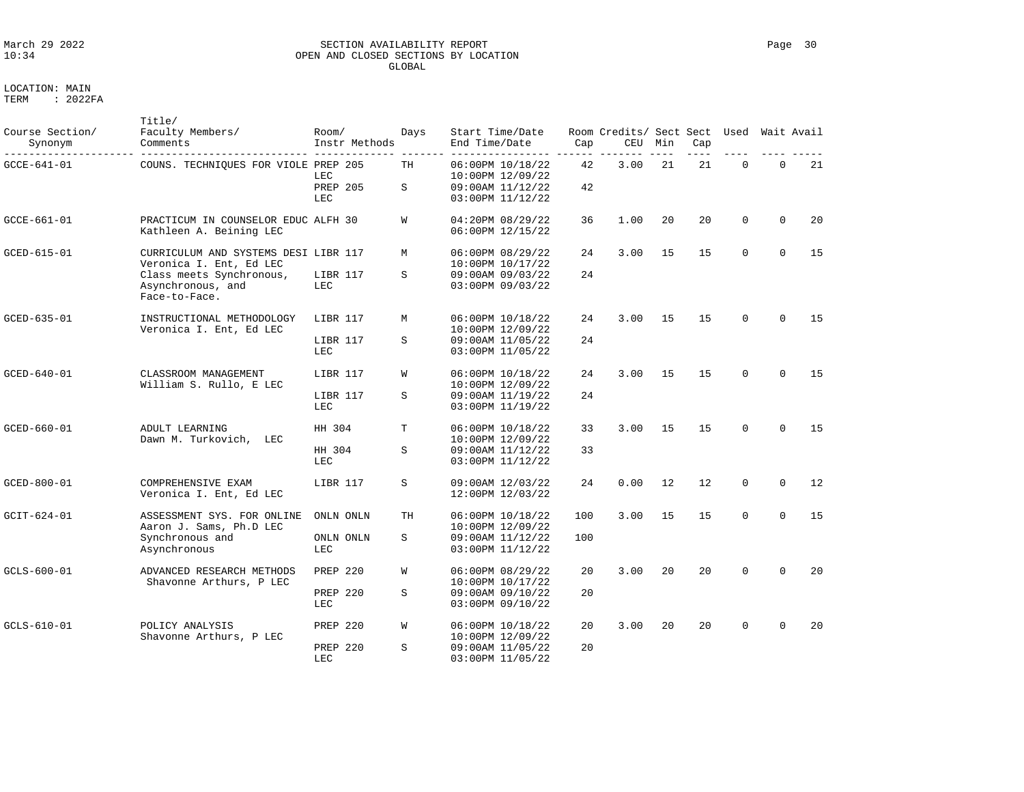### March 29 2022 SECTION AVAILABILITY REPORT Page 30 OPEN AND CLOSED SECTIONS BY LOCATION GLOBAL

| Course Section/<br>Synonym | Title/<br>Faculty Members/<br>Comments | Room/            | Instr Methods | Davs | Start Time/Date<br>End Time/Date     | Cap | Room Credits/ Sect Sect Used<br>CEU | Min | Cap | Wait Avail |    |
|----------------------------|----------------------------------------|------------------|---------------|------|--------------------------------------|-----|-------------------------------------|-----|-----|------------|----|
| GCCE-641-01                | COUNS. TECHNIQUES FOR VIOLE PREP 205   | LEC              |               | TН   | 06:00PM 10/18/22<br>10:00PM 12/09/22 | 42  | 3.00                                | -21 | 21  |            | 21 |
|                            |                                        | PREP 205<br>LEC. |               | S    | 09:00AM 11/12/22<br>03:00PM 11/12/22 | 42  |                                     |     |     |            |    |
| GCCE-661-01                | PRACTICUM IN COUNSELOR EDUC ALFH 30    |                  |               |      | $04:20PM$ $08/29/22$                 | 36  | .00                                 | 20  | 2.0 |            | 20 |

|                   |                                                                 | LEC                     |    | 03:00PM 11/12/22                     |     |      |     |    |             |             |    |
|-------------------|-----------------------------------------------------------------|-------------------------|----|--------------------------------------|-----|------|-----|----|-------------|-------------|----|
| $GCCE - 661 - 01$ | PRACTICUM IN COUNSELOR EDUC ALFH 30<br>Kathleen A. Beining LEC  |                         | W  | 04:20PM 08/29/22<br>06:00PM 12/15/22 | 36  | 1.00 | 20  | 20 | $\mathbf 0$ | $\Omega$    | 20 |
| GCED-615-01       | CURRICULUM AND SYSTEMS DESI LIBR 117<br>Veronica I. Ent, Ed LEC |                         | M  | 06:00PM 08/29/22<br>10:00PM 10/17/22 | 24  | 3.00 | 15  | 15 | $\mathbf 0$ | $\Omega$    | 15 |
|                   | Class meets Synchronous,<br>Asynchronous, and<br>Face-to-Face.  | LIBR 117<br><b>LEC</b>  | S  | 09:00AM 09/03/22<br>03:00PM 09/03/22 | 24  |      |     |    |             |             |    |
| GCED-635-01       | INSTRUCTIONAL METHODOLOGY<br>Veronica I. Ent, Ed LEC            | LIBR 117                | M  | 06:00PM 10/18/22<br>10:00PM 12/09/22 | 24  | 3.00 | 15  | 15 | $\Omega$    | $\Omega$    | 15 |
|                   |                                                                 | LIBR 117<br>LEC         | S  | 09:00AM 11/05/22<br>03:00PM 11/05/22 | 24  |      |     |    |             |             |    |
| GCED-640-01       | CLASSROOM MANAGEMENT<br>William S. Rullo, E LEC                 | LIBR 117                | W  | 06:00PM 10/18/22<br>10:00PM 12/09/22 | 24  | 3.00 | 15  | 15 | $\Omega$    | $\Omega$    | 15 |
|                   |                                                                 | LIBR 117<br>LEC         | S  | 09:00AM 11/19/22<br>03:00PM 11/19/22 | 24  |      |     |    |             |             |    |
| GCED-660-01       | ADULT LEARNING<br>Dawn M. Turkovich,<br>LEC                     | HH 304                  | т  | 06:00PM 10/18/22<br>10:00PM 12/09/22 | 33  | 3.00 | 15  | 15 | $\Omega$    | $\Omega$    | 15 |
|                   |                                                                 | HH 304<br><b>LEC</b>    | S  | 09:00AM 11/12/22<br>03:00PM 11/12/22 | 33  |      |     |    |             |             |    |
| GCED-800-01       | COMPREHENSIVE EXAM<br>Veronica I. Ent, Ed LEC                   | LIBR 117                | S  | 09:00AM 12/03/22<br>12:00PM 12/03/22 | 24  | 0.00 | 12  | 12 | $\mathbf 0$ | $\mathbf 0$ | 12 |
| $GCIT-624-01$     | ASSESSMENT SYS. FOR ONLINE<br>Aaron J. Sams, Ph.D LEC           | ONLN ONLN               | TH | 06:00PM 10/18/22<br>10:00PM 12/09/22 | 100 | 3.00 | 15  | 15 | $\Omega$    | $\Omega$    | 15 |
|                   | Synchronous and<br>Asynchronous                                 | ONLN ONLN<br><b>LEC</b> | S  | 09:00AM 11/12/22<br>03:00PM 11/12/22 | 100 |      |     |    |             |             |    |
| $GCLS-600-01$     | ADVANCED RESEARCH METHODS<br>Shavonne Arthurs, P LEC            | PREP 220                | W  | 06:00PM 08/29/22<br>10:00PM 10/17/22 | 20  | 3.00 | 2.0 | 20 | $\Omega$    | $\Omega$    | 20 |
|                   |                                                                 | PREP 220<br>LEC         | S  | 09:00AM 09/10/22<br>03:00PM 09/10/22 | 20  |      |     |    |             |             |    |
| $GCLS-610-01$     | POLICY ANALYSIS<br>Shavonne Arthurs, P LEC                      | PREP 220                | W  | 06:00PM 10/18/22<br>10:00PM 12/09/22 | 20  | 3.00 | 2.0 | 20 | $\Omega$    | $\Omega$    | 20 |
|                   |                                                                 | PREP 220<br><b>LEC</b>  | S  | 09:00AM 11/05/22<br>03:00PM 11/05/22 | 20  |      |     |    |             |             |    |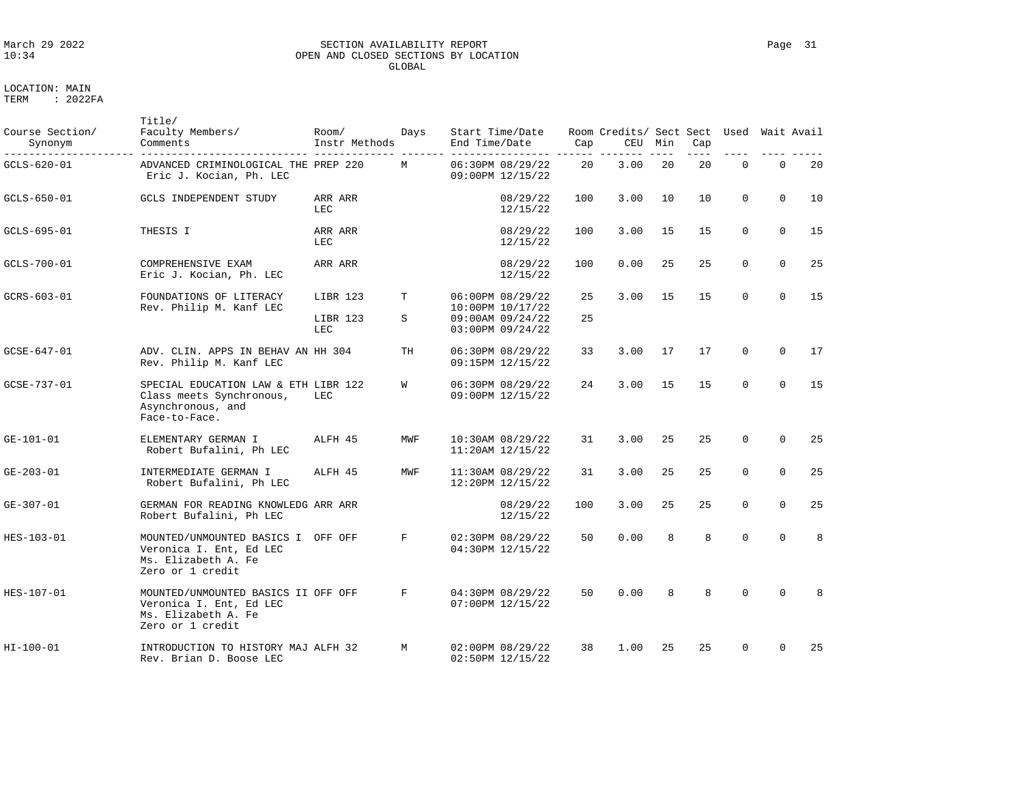# March 29 2022 SECTION AVAILABILITY REPORT Page 31 OPEN AND CLOSED SECTIONS BY LOCATION GLOBAL

| . | 2022 D<br>$\sim$ |  |
|---|------------------|--|
|   |                  |  |
|   |                  |  |
|   |                  |  |

| Course Section/<br>Synonym | Title/<br>Faculty Members/<br>Comments                                                                    | Room/<br>Instr Methods      | Days   | Start Time/Date<br>End Time/Date                                                 | Cap      | Room Credits/ Sect Sect Used Wait Avail<br>CEU | Min | Cap |              |             |    |
|----------------------------|-----------------------------------------------------------------------------------------------------------|-----------------------------|--------|----------------------------------------------------------------------------------|----------|------------------------------------------------|-----|-----|--------------|-------------|----|
| GCLS-620-01                | ADVANCED CRIMINOLOGICAL THE PREP 220<br>Eric J. Kocian, Ph. LEC                                           |                             | М      | 06:30PM 08/29/22<br>09:00PM 12/15/22                                             | 20       | 3.00                                           | 20  | 20  | $\mathbf{0}$ | $\mathbf 0$ | 20 |
| GCLS-650-01                | <b>GCLS INDEPENDENT STUDY</b>                                                                             | ARR ARR<br>LEC              |        | 08/29/22<br>12/15/22                                                             | 100      | 3.00                                           | 10  | 10  | $\Omega$     | $\Omega$    | 10 |
| GCLS-695-01                | THESIS I                                                                                                  | ARR ARR<br>LEC              |        | 08/29/22<br>12/15/22                                                             | 100      | 3.00                                           | 15  | 15  | $\Omega$     | $\Omega$    | 15 |
| GCLS-700-01                | COMPREHENSIVE EXAM<br>Eric J. Kocian, Ph. LEC                                                             | ARR ARR                     |        | 08/29/22<br>12/15/22                                                             | 100      | 0.00                                           | 25  | 25  | $\Omega$     | $\Omega$    | 25 |
| GCRS-603-01                | FOUNDATIONS OF LITERACY<br>Rev. Philip M. Kanf LEC                                                        | LIBR 123<br>LIBR 123<br>LEC | т<br>S | 06:00PM 08/29/22<br>10:00PM 10/17/22<br>$09:00AM$ $09/24/22$<br>03:00PM 09/24/22 | 25<br>25 | 3.00                                           | 15  | 15  | $\Omega$     | $\Omega$    | 15 |
| GCSE-647-01                | ADV. CLIN. APPS IN BEHAV AN HH 304<br>Rev. Philip M. Kanf LEC                                             |                             | TН     | 06:30PM 08/29/22<br>09:15PM 12/15/22                                             | 33       | 3.00                                           | 17  | 17  | $\Omega$     | $\Omega$    | 17 |
| GCSE-737-01                | SPECIAL EDUCATION LAW & ETH LIBR 122<br>Class meets Synchronous,<br>Asynchronous, and<br>Face-to-Face.    | LEC                         | W      | 06:30PM 08/29/22<br>09:00PM 12/15/22                                             | 24       | 3.00                                           | 15  | 15  | $\Omega$     | $\Omega$    | 15 |
| $GE - 101 - 01$            | ELEMENTARY GERMAN I<br>Robert Bufalini, Ph LEC                                                            | ALFH 45                     | MWF    | 10:30AM 08/29/22<br>$11:20AM$ $12/15/22$                                         | 31       | 3.00                                           | 25  | 25  | $\Omega$     | $\Omega$    | 25 |
| GE-203-01                  | INTERMEDIATE GERMAN I<br>Robert Bufalini, Ph LEC                                                          | ALFH 45                     | MWF    | 11:30AM 08/29/22<br>12:20PM 12/15/22                                             | 31       | 3.00                                           | 25  | 25  | $\Omega$     | $\Omega$    | 25 |
| GE-307-01                  | GERMAN FOR READING KNOWLEDG ARR ARR<br>Robert Bufalini, Ph LEC                                            |                             |        | 08/29/22<br>12/15/22                                                             | 100      | 3.00                                           | 25  | 25  | $\Omega$     | $\Omega$    | 25 |
| HES-103-01                 | MOUNTED/UNMOUNTED BASICS I OFF OFF<br>Veronica I. Ent, Ed LEC<br>Ms. Elizabeth A. Fe<br>Zero or 1 credit  |                             | F      | 02:30PM 08/29/22<br>04:30PM 12/15/22                                             | 50       | 0.00                                           | 8   | 8   | $\Omega$     | $\Omega$    | 8  |
| HES-107-01                 | MOUNTED/UNMOUNTED BASICS II OFF OFF<br>Veronica I. Ent, Ed LEC<br>Ms. Elizabeth A. Fe<br>Zero or 1 credit |                             | F      | 04:30PM 08/29/22<br>07:00PM 12/15/22                                             | 50       | 0.00                                           | 8   | 8   | $\Omega$     | $\Omega$    | 8  |
| HI-100-01                  | INTRODUCTION TO HISTORY MAJ ALFH 32<br>Rev. Brian D. Boose LEC                                            |                             | M      | 02:00PM 08/29/22<br>02:50PM 12/15/22                                             | 38       | 1.00                                           | 25  | 25  | $\Omega$     | $\Omega$    | 25 |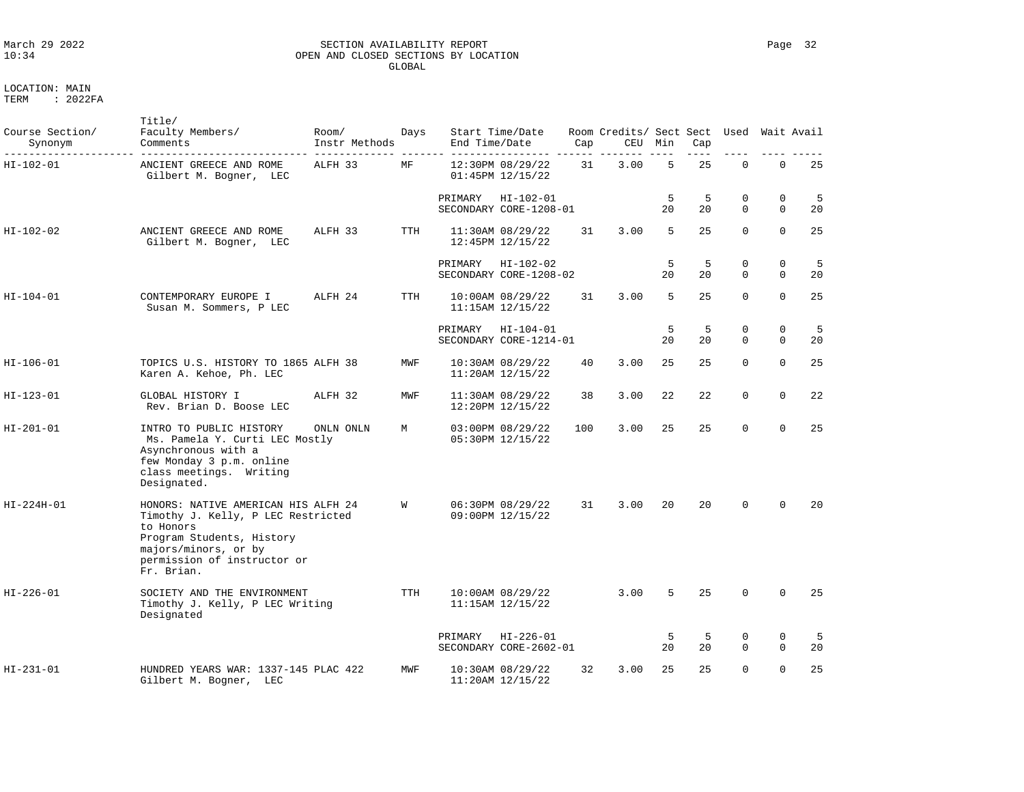# March 29 2022 SECTION AVAILABILITY REPORT Page 32 OPEN AND CLOSED SECTIONS BY LOCATION GLOBAL

LOCATION: MAIN

| Course Section/<br>Synonym | Title/<br>Faculty Members/<br>Comments                                                                                                                                                   | Room/<br>Instr Methods | Days       | End Time/Date | Start Time/Date                              | Cap | Room Credits/ Sect Sect Used Wait Avail<br>CEU | Min     | Cap      |                         |                            |           |
|----------------------------|------------------------------------------------------------------------------------------------------------------------------------------------------------------------------------------|------------------------|------------|---------------|----------------------------------------------|-----|------------------------------------------------|---------|----------|-------------------------|----------------------------|-----------|
| HI-102-01                  | ANCIENT GREECE AND ROME<br>Gilbert M. Bogner, LEC                                                                                                                                        | ALFH 33                | MF         |               | 12:30PM 08/29/22<br>01:45PM 12/15/22         | 31  | 3.00                                           | 5       | 25       | $\mathbf 0$             | $\mathbf 0$                | 25        |
|                            |                                                                                                                                                                                          |                        |            | PRIMARY       | HI-102-01<br>SECONDARY CORE-1208-01          |     |                                                | 5<br>20 | 5<br>20  | $\mathbf 0$<br>$\Omega$ | $\mathbf 0$<br>$\Omega$    | 5<br>20   |
| HI-102-02                  | ANCIENT GREECE AND ROME<br>Gilbert M. Bogner, LEC                                                                                                                                        | ALFH 33                | TTH        |               | 11:30AM 08/29/22<br>12:45PM 12/15/22         | 31  | 3.00                                           | 5       | 25       | $\Omega$                | $\mathbf 0$                | 25        |
|                            |                                                                                                                                                                                          |                        |            | PRIMARY       | HI-102-02<br>SECONDARY CORE-1208-02          |     |                                                | 5<br>20 | -5<br>20 | $\Omega$<br>$\Omega$    | $\mathbf 0$<br>$\Omega$    | - 5<br>20 |
| HI-104-01                  | CONTEMPORARY EUROPE I<br>Susan M. Sommers, P LEC                                                                                                                                         | ALFH 24                | <b>TTH</b> |               | $10:00AM$ $08/29/22$<br>$11:15AM$ $12/15/22$ | 31  | 3.00                                           | 5       | 25       | $\Omega$                | $\Omega$                   | 25        |
|                            |                                                                                                                                                                                          |                        |            | PRIMARY       | $HI - 104 - 01$<br>SECONDARY CORE-1214-01    |     |                                                | 5<br>20 | 5<br>20  | 0<br>$\Omega$           | $\mathbf 0$<br>$\Omega$    | 5<br>20   |
| HI-106-01                  | TOPICS U.S. HISTORY TO 1865 ALFH 38<br>Karen A. Kehoe, Ph. LEC                                                                                                                           |                        | MWF        |               | 10:30AM 08/29/22<br>11:20AM 12/15/22         | 40  | 3.00                                           | 25      | 25       | $\Omega$                | $\Omega$                   | 25        |
| HI-123-01                  | GLOBAL HISTORY I<br>Rev. Brian D. Boose LEC                                                                                                                                              | ALFH 32                | MWF        |               | 11:30AM 08/29/22<br>12:20PM 12/15/22         | 38  | 3.00                                           | 22      | 22       | $\mathbf 0$             | $\mathbf 0$                | 22        |
| HI-201-01                  | INTRO TO PUBLIC HISTORY<br>Ms. Pamela Y. Curti LEC Mostly<br>Asynchronous with a<br>few Monday 3 p.m. online<br>class meetings. Writing<br>Designated.                                   | ONLN ONLN              | M          |               | 03:00PM 08/29/22<br>05:30PM 12/15/22         | 100 | 3.00                                           | 25      | 25       | $\Omega$                | $\Omega$                   | 25        |
| HI-224H-01                 | HONORS: NATIVE AMERICAN HIS ALFH 24<br>Timothy J. Kelly, P LEC Restricted<br>to Honors<br>Program Students, History<br>majors/minors, or by<br>permission of instructor or<br>Fr. Brian. |                        | W          |               | 06:30PM 08/29/22<br>09:00PM 12/15/22         | 31  | 3.00                                           | 20      | 20       | $\Omega$                | $\Omega$                   | 20        |
| HI-226-01                  | SOCIETY AND THE ENVIRONMENT<br>Timothy J. Kelly, P LEC Writing<br>Designated                                                                                                             |                        | <b>TTH</b> |               | 10:00AM 08/29/22<br>$11:15AM$ $12/15/22$     |     | 3.00                                           | 5       | 25       | $\mathbf 0$             | $\mathbf 0$                | 25        |
|                            |                                                                                                                                                                                          |                        |            | PRIMARY       | $HI - 226 - 01$<br>SECONDARY CORE-2602-01    |     |                                                | 5<br>20 | 5<br>20  | $\mathbf 0$<br>$\Omega$ | $\mathbf 0$<br>$\mathbf 0$ | -5<br>20  |
| HI-231-01                  | HUNDRED YEARS WAR: 1337-145 PLAC 422<br>Gilbert M. Bogner, LEC                                                                                                                           |                        | MWF        |               | 10:30AM 08/29/22<br>11:20AM 12/15/22         | 32  | 3.00                                           | 25      | 25       | $\Omega$                | $\Omega$                   | 25        |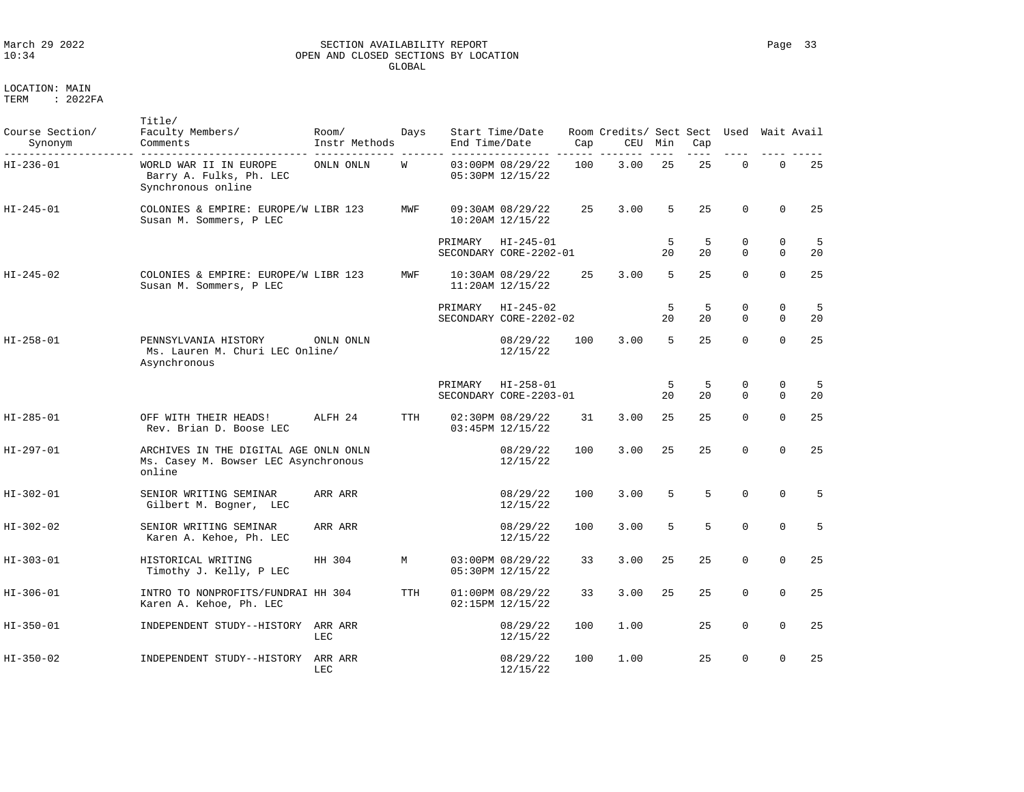### March 29 2022 SECTION AVAILABILITY REPORT Page 33 OPEN AND CLOSED SECTIONS BY LOCATION GLOBAL

| Course Section/<br>Synonym | Title/<br>Faculty Members/<br>Comments                                                  | Room/<br>Instr Methods | Days       | End Time/Date | Start Time/Date                           | Cap | Room Credits/ Sect Sect Used Wait Avail<br>CEU | Min     | Cap      |                         |                         |          |
|----------------------------|-----------------------------------------------------------------------------------------|------------------------|------------|---------------|-------------------------------------------|-----|------------------------------------------------|---------|----------|-------------------------|-------------------------|----------|
| HI-236-01                  | WORLD WAR II IN EUROPE<br>Barry A. Fulks, Ph. LEC<br>Synchronous online                 | ONLN ONLN              | W          |               | 03:00PM 08/29/22<br>05:30PM 12/15/22      | 100 | 3.00                                           | 25      | 25       | $\Omega$                | $\Omega$                | 25       |
| $HI - 245 - 01$            | COLONIES & EMPIRE: EUROPE/W LIBR 123<br>Susan M. Sommers, P LEC                         |                        | MWF        |               | 09:30AM 08/29/22<br>$10:20AM$ $12/15/22$  | 25  | 3.00                                           | 5       | 25       | $\Omega$                | $\Omega$                | 25       |
|                            |                                                                                         |                        |            | PRIMARY       | $HI - 245 - 01$<br>SECONDARY CORE-2202-01 |     |                                                | 5<br>20 | 5<br>20  | $\mathbf 0$<br>$\Omega$ | $\mathbf 0$<br>$\Omega$ | -5<br>20 |
| HI-245-02                  | COLONIES & EMPIRE: EUROPE/W LIBR 123<br>Susan M. Sommers, P LEC                         |                        | MWF        |               | 10:30AM 08/29/22<br>$11:20AM$ $12/15/22$  | 25  | 3.00                                           | 5       | 25       | $\Omega$                | $\Omega$                | 25       |
|                            |                                                                                         |                        |            | PRIMARY       | $HI - 245 - 02$<br>SECONDARY CORE-2202-02 |     |                                                | 5<br>20 | -5<br>20 | $\mathbf 0$<br>$\Omega$ | $\mathbf 0$<br>$\Omega$ | 5<br>20  |
| HI-258-01                  | PENNSYLVANIA HISTORY<br>Ms. Lauren M. Churi LEC Online/<br>Asynchronous                 | ONLN ONLN              |            |               | 08/29/22<br>12/15/22                      | 100 | 3.00                                           | 5       | 25       | $\Omega$                | $\Omega$                | 25       |
|                            |                                                                                         |                        |            | PRIMARY       | $HI - 258 - 01$<br>SECONDARY CORE-2203-01 |     |                                                | 5<br>20 | 5<br>20  | 0<br>$\Omega$           | 0<br>$\Omega$           | -5<br>20 |
| HI-285-01                  | OFF WITH THEIR HEADS!<br>Rev. Brian D. Boose LEC                                        | ALFH 24                | <b>TTH</b> |               | 02:30PM 08/29/22<br>03:45PM 12/15/22      | 31  | 3.00                                           | 25      | 25       | $\mathbf 0$             | $\Omega$                | 25       |
| HI-297-01                  | ARCHIVES IN THE DIGITAL AGE ONLN ONLN<br>Ms. Casey M. Bowser LEC Asynchronous<br>online |                        |            |               | 08/29/22<br>12/15/22                      | 100 | 3.00                                           | 25      | 25       | $\Omega$                | $\Omega$                | 25       |
| HI-302-01                  | SENIOR WRITING SEMINAR<br>Gilbert M. Bogner, LEC                                        | ARR ARR                |            |               | 08/29/22<br>12/15/22                      | 100 | 3.00                                           | 5       | 5        | $\mathbf 0$             | $\mathbf 0$             | 5        |
| HI-302-02                  | SENIOR WRITING SEMINAR<br>Karen A. Kehoe, Ph. LEC                                       | ARR ARR                |            |               | 08/29/22<br>12/15/22                      | 100 | 3.00                                           | 5       | 5        | $\Omega$                | $\Omega$                | 5        |
| HI-303-01                  | HISTORICAL WRITING<br>Timothy J. Kelly, P LEC                                           | HH 304                 | M          |               | 03:00PM 08/29/22<br>05:30PM 12/15/22      | 33  | 3.00                                           | 25      | 25       | $\mathbf 0$             | $\Omega$                | 25       |
| HI-306-01                  | INTRO TO NONPROFITS/FUNDRAI HH 304<br>Karen A. Kehoe, Ph. LEC                           |                        | TTH        |               | 01:00PM 08/29/22<br>02:15PM 12/15/22      | 33  | 3.00                                           | 25      | 25       | $\mathbf 0$             | $\Omega$                | 25       |
| HI-350-01                  | INDEPENDENT STUDY--HISTORY                                                              | ARR ARR<br>LEC         |            |               | 08/29/22<br>12/15/22                      | 100 | 1.00                                           |         | 25       | $\mathbf 0$             | $\Omega$                | 25       |
| HI-350-02                  | INDEPENDENT STUDY--HISTORY                                                              | ARR ARR<br>LEC         |            |               | 08/29/22<br>12/15/22                      | 100 | 1.00                                           |         | 25       | $\mathbf 0$             | $\mathbf 0$             | 25       |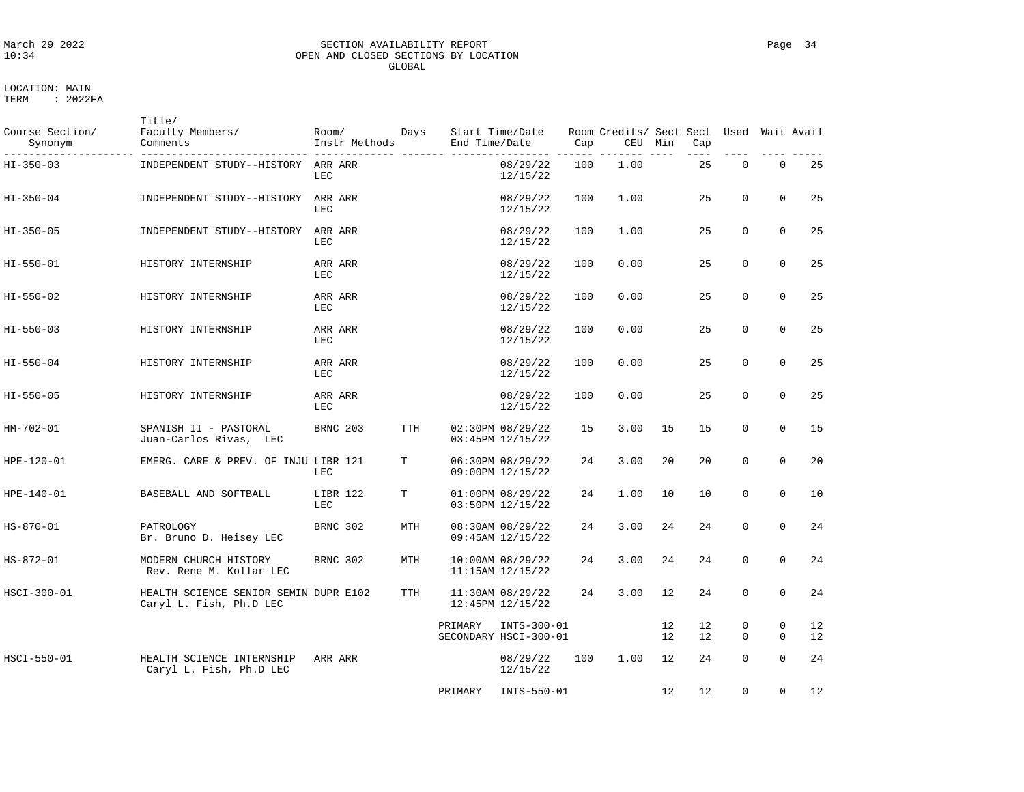# March 29 2022 SECTION AVAILABILITY REPORT Page 34 OPEN AND CLOSED SECTIONS BY LOCATION GLOBAL

LOCATION: MAIN TERM : 2022FA

Title/

| Course Section/<br>Synonym<br>. | Faculty Members/<br>Comments                                     | Room/<br>Instr Methods | Days       | End Time/Date | Start Time/Date                          | Cap | Room Credits/ Sect Sect Used Wait Avail | CEU Min  | Cap      |               |                          |          |
|---------------------------------|------------------------------------------------------------------|------------------------|------------|---------------|------------------------------------------|-----|-----------------------------------------|----------|----------|---------------|--------------------------|----------|
| HI-350-03                       | INDEPENDENT STUDY--HISTORY ARR ARR                               | LEC                    |            |               | 08/29/22<br>12/15/22                     | 100 | 1.00                                    |          | 25       | $\mathsf 0$   | $\mathbf 0$              | 25       |
| HI-350-04                       | INDEPENDENT STUDY--HISTORY                                       | ARR ARR<br>LEC         |            |               | 08/29/22<br>12/15/22                     | 100 | 1.00                                    |          | 25       | $\Omega$      | $\Omega$                 | 25       |
| HI-350-05                       | INDEPENDENT STUDY--HISTORY                                       | ARR ARR<br>LEC         |            |               | 08/29/22<br>12/15/22                     | 100 | 1.00                                    |          | 25       | $\mathbf 0$   | $\mathbf 0$              | 25       |
| HI-550-01                       | HISTORY INTERNSHIP                                               | ARR ARR<br>LEC         |            |               | 08/29/22<br>12/15/22                     | 100 | 0.00                                    |          | 25       | $\Omega$      | $\Omega$                 | 25       |
| HI-550-02                       | HISTORY INTERNSHIP                                               | ARR ARR<br>LEC         |            |               | 08/29/22<br>12/15/22                     | 100 | 0.00                                    |          | 25       | $\mathbf 0$   | $\mathbf{0}$             | 25       |
| HI-550-03                       | HISTORY INTERNSHIP                                               | ARR ARR<br>LEC         |            |               | 08/29/22<br>12/15/22                     | 100 | 0.00                                    |          | 25       | $\Omega$      | $\Omega$                 | 25       |
| HI-550-04                       | HISTORY INTERNSHIP                                               | ARR ARR<br>LEC         |            |               | 08/29/22<br>12/15/22                     | 100 | 0.00                                    |          | 25       | $\Omega$      | $\Omega$                 | 25       |
| HI-550-05                       | HISTORY INTERNSHIP                                               | ARR ARR<br>LEC         |            |               | 08/29/22<br>12/15/22                     | 100 | 0.00                                    |          | 25       | $\mathbf 0$   | $\mathbf 0$              | 25       |
| HM-702-01                       | SPANISH II - PASTORAL<br>Juan-Carlos Rivas, LEC                  | BRNC 203               | <b>TTH</b> |               | 02:30PM 08/29/22<br>03:45PM 12/15/22     | 15  | 3.00                                    | 15       | 15       | $\Omega$      | $\Omega$                 | 15       |
| HPE-120-01                      | EMERG. CARE & PREV. OF INJU LIBR 121                             | LEC                    | т          |               | 06:30PM 08/29/22<br>09:00PM 12/15/22     | 24  | 3.00                                    | 20       | 20       | $\mathbf 0$   | $\mathbf 0$              | 20       |
| HPE-140-01                      | BASEBALL AND SOFTBALL                                            | LIBR 122<br>LEC        | т          |               | 01:00PM 08/29/22<br>03:50PM 12/15/22     | 24  | 1.00                                    | 10       | 10       | $\Omega$      | $\Omega$                 | 10       |
| HS-870-01                       | PATROLOGY<br>Br. Bruno D. Heisey LEC                             | BRNC 302               | MTH        |               | 08:30AM 08/29/22<br>09:45AM 12/15/22     | 24  | 3.00                                    | 24       | 24       | $\mathbf 0$   | $\mathbf{0}$             | 24       |
| HS-872-01                       | MODERN CHURCH HISTORY<br>Rev. Rene M. Kollar LEC                 | BRNC 302               | MTH        |               | 10:00AM 08/29/22<br>$11:15AM$ $12/15/22$ | 24  | 3.00                                    | 24       | 24       | $\Omega$      | $\Omega$                 | 24       |
| HSCI-300-01                     | HEALTH SCIENCE SENIOR SEMIN DUPR E102<br>Caryl L. Fish, Ph.D LEC |                        | TTH        |               | 11:30AM 08/29/22<br>12:45PM 12/15/22     | 24  | 3.00                                    | 12       | 24       | $\Omega$      | $\Omega$                 | 24       |
|                                 |                                                                  |                        |            | PRIMARY       | INTS-300-01<br>SECONDARY HSCI-300-01     |     |                                         | 12<br>12 | 12<br>12 | 0<br>$\Omega$ | $\mathbf{0}$<br>$\Omega$ | 12<br>12 |
| HSCI-550-01                     | HEALTH SCIENCE INTERNSHIP<br>Caryl L. Fish, Ph.D LEC             | ARR ARR                |            |               | 08/29/22<br>12/15/22                     | 100 | 1.00                                    | 12       | 24       | $\Omega$      | $\Omega$                 | 24       |
|                                 |                                                                  |                        |            | PRIMARY       | INTS-550-01                              |     |                                         | 12       | 12       | 0             | $\mathbf{0}$             | 12       |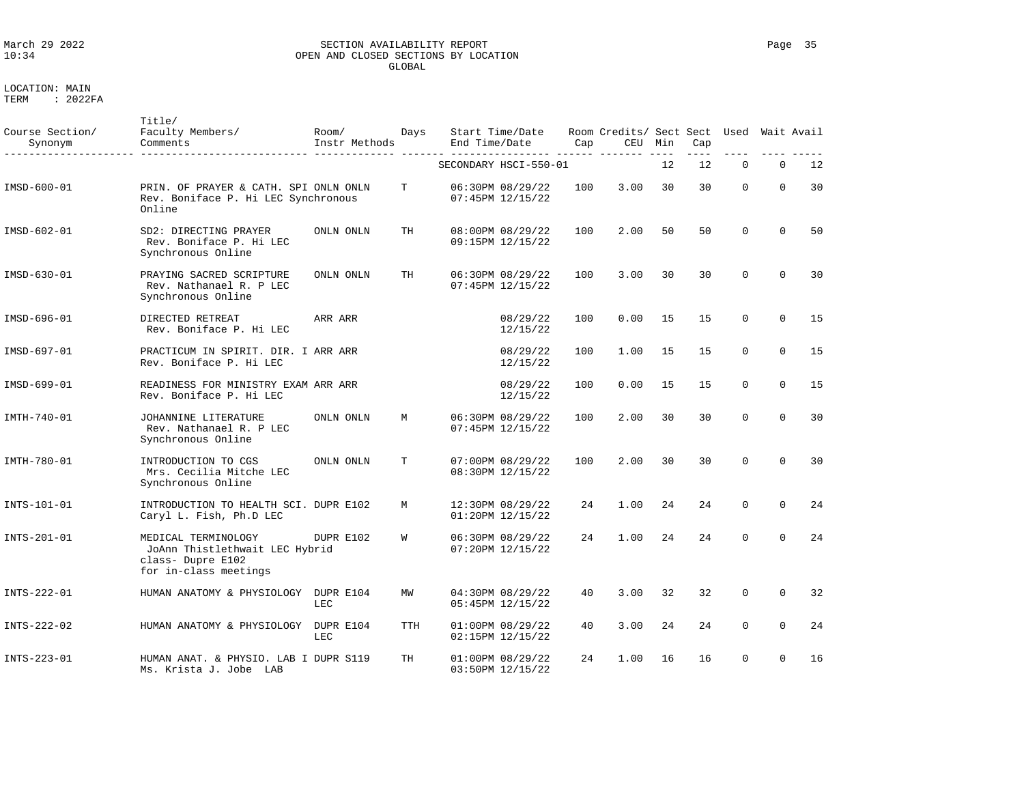### March 29 2022 SECTION AVAILABILITY REPORT Page 35 OPEN AND CLOSED SECTIONS BY LOCATION GLOBAL

| Course Section/<br>Synonym | Title/<br>Faculty Members/<br>Comments                                                              | Room/<br>Instr Methods | Days | Start Time/Date<br>End Time/Date         |                      | Cap | Room Credits/ Sect Sect<br>CEU | Min | Cap | Used        |             | Wait Avail |
|----------------------------|-----------------------------------------------------------------------------------------------------|------------------------|------|------------------------------------------|----------------------|-----|--------------------------------|-----|-----|-------------|-------------|------------|
|                            |                                                                                                     |                        |      | SECONDARY HSCI-550-01                    |                      |     |                                | 12  | 12  | $\Omega$    | $\Omega$    | 12         |
| IMSD-600-01                | PRIN. OF PRAYER & CATH. SPI ONLN ONLN<br>Rev. Boniface P. Hi LEC Synchronous<br>Online              |                        | T    | 06:30PM 08/29/22<br>07:45PM 12/15/22     |                      | 100 | 3.00                           | 30  | 30  | 0           | $\Omega$    | 30         |
| IMSD-602-01                | SD2: DIRECTING PRAYER<br>Rev. Boniface P. Hi LEC<br>Synchronous Online                              | ONLN ONLN              | TH   | 08:00PM 08/29/22<br>09:15PM 12/15/22     |                      | 100 | 2.00                           | 50  | 50  | $\Omega$    | $\Omega$    | 50         |
| IMSD-630-01                | PRAYING SACRED SCRIPTURE<br>Rev. Nathanael R. P LEC<br>Synchronous Online                           | ONLN ONLN              | TH   | 06:30PM 08/29/22<br>07:45PM 12/15/22     |                      | 100 | 3.00                           | 30  | 30  | $\Omega$    | $\Omega$    | 30         |
| IMSD-696-01                | DIRECTED RETREAT<br>Rev. Boniface P. Hi LEC                                                         | ARR ARR                |      |                                          | 08/29/22<br>12/15/22 | 100 | 0.00                           | 15  | 15  | 0           | $\Omega$    | 15         |
| IMSD-697-01                | PRACTICUM IN SPIRIT. DIR. I ARR ARR<br>Rev. Boniface P. Hi LEC                                      |                        |      |                                          | 08/29/22<br>12/15/22 | 100 | 1.00                           | 15  | 15  | $\mathbf 0$ | $\Omega$    | 15         |
| IMSD-699-01                | READINESS FOR MINISTRY EXAM ARR ARR<br>Rev. Boniface P. Hi LEC                                      |                        |      |                                          | 08/29/22<br>12/15/22 | 100 | 0.00                           | 15  | 15  | $\mathbf 0$ | $\mathbf 0$ | 15         |
| IMTH-740-01                | JOHANNINE LITERATURE<br>Rev. Nathanael R. P LEC<br>Synchronous Online                               | ONLN ONLN              | M    | 06:30PM 08/29/22<br>07:45PM 12/15/22     |                      | 100 | 2.00                           | 30  | 30  | $\Omega$    | $\Omega$    | 30         |
| IMTH-780-01                | INTRODUCTION TO CGS<br>Mrs. Cecilia Mitche LEC<br>Synchronous Online                                | ONLN ONLN              | T    | 07:00PM 08/29/22<br>08:30PM 12/15/22     |                      | 100 | 2.00                           | 30  | 30  | $\Omega$    | $\Omega$    | 30         |
| INTS-101-01                | INTRODUCTION TO HEALTH SCI. DUPR E102<br>Caryl L. Fish, Ph.D LEC                                    |                        | M    | 12:30PM 08/29/22<br>01:20PM 12/15/22     |                      | 24  | 1.00                           | 24  | 2.4 | $\Omega$    | $\Omega$    | 24         |
| INTS-201-01                | MEDICAL TERMINOLOGY<br>JoAnn Thistlethwait LEC Hybrid<br>class- Dupre E102<br>for in-class meetings | DUPR E102              | W    | 06:30PM 08/29/22<br>07:20PM 12/15/22     |                      | 24  | 1.00                           | 24  | 24  | $\Omega$    | $\Omega$    | 24         |
| INTS-222-01                | HUMAN ANATOMY & PHYSIOLOGY                                                                          | DUPR E104<br>LEC       | ΜW   | 04:30PM 08/29/22<br>05:45PM 12/15/22     |                      | 40  | 3.00                           | 32  | 32  | $\mathbf 0$ | $\Omega$    | 32         |
| INTS-222-02                | HUMAN ANATOMY & PHYSIOLOGY                                                                          | DUPR E104<br>LEC       | TTH  | $01:00PM$ $08/29/22$<br>02:15PM 12/15/22 |                      | 40  | 3.00                           | 24  | 24  | $\mathbf 0$ | 0           | 24         |
| INTS-223-01                | HUMAN ANAT. & PHYSIO. LAB I DUPR S119<br>Ms. Krista J. Jobe LAB                                     |                        | TH   | 01:00PM 08/29/22<br>03:50PM 12/15/22     |                      | 24  | 1.00                           | 16  | 16  | $\mathbf 0$ | $\mathbf 0$ | 16         |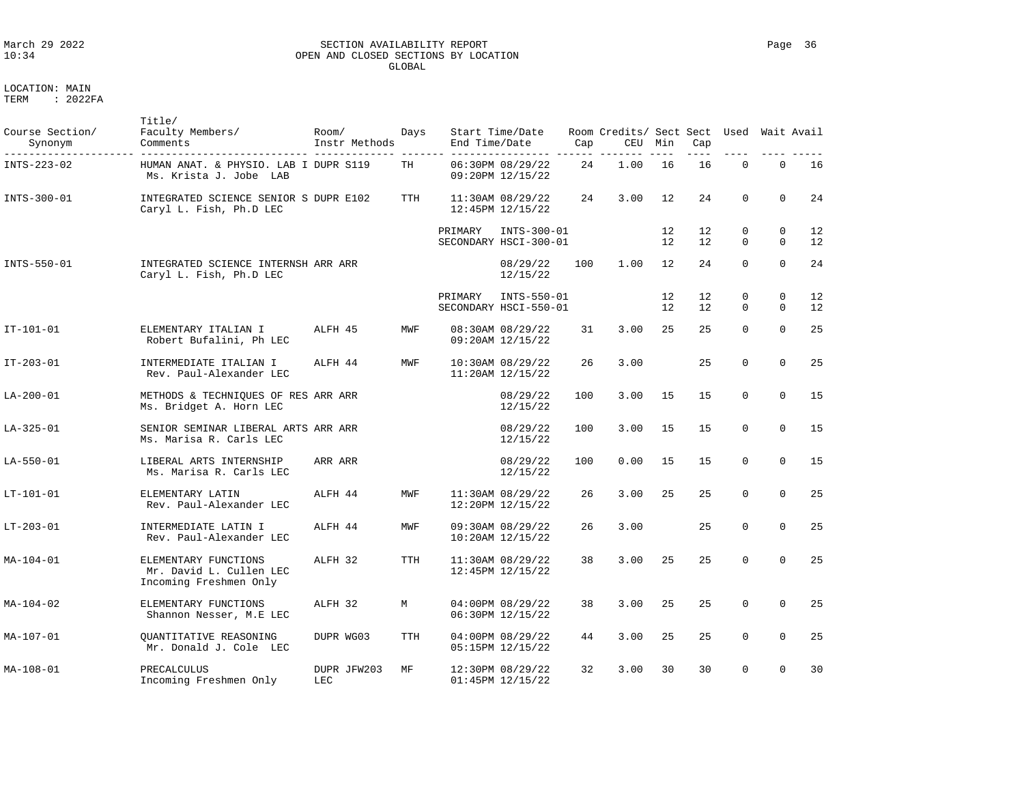### March 29 2022 SECTION AVAILABILITY REPORT Page 36 OPEN AND CLOSED SECTIONS BY LOCATION GLOBAL

LOCATION: MAIN

| Course Section/<br>Synonym | Title/<br>Faculty Members/<br>Comments                                    | Room/<br>Instr Methods<br>____________ ______________ | Days       | End Time/Date | Start Time/Date                          | Cap | Room Credits/ Sect Sect Used Wait Avail<br>CEU | Min      | Cap      |               |                      |          |
|----------------------------|---------------------------------------------------------------------------|-------------------------------------------------------|------------|---------------|------------------------------------------|-----|------------------------------------------------|----------|----------|---------------|----------------------|----------|
| INTS-223-02                | HUMAN ANAT. & PHYSIO. LAB I DUPR S119<br>Ms. Krista J. Jobe LAB           |                                                       | TH         |               | 06:30PM 08/29/22<br>09:20PM 12/15/22     | 24  | 1.00                                           | 16       | 16       | $\Omega$      | $\Omega$             | 16       |
| INTS-300-01                | INTEGRATED SCIENCE SENIOR S DUPR E102<br>Caryl L. Fish, Ph.D LEC          |                                                       | <b>TTH</b> |               | 11:30AM 08/29/22<br>12:45PM 12/15/22     | 24  | 3.00                                           | 12       | 24       | $\Omega$      | $\Omega$             | 24       |
|                            |                                                                           |                                                       |            | PRIMARY       | INTS-300-01<br>SECONDARY HSCI-300-01     |     |                                                | 12<br>12 | 12<br>12 | 0<br>$\Omega$ | 0<br>$\Omega$        | 12<br>12 |
| INTS-550-01                | INTEGRATED SCIENCE INTERNSH ARR ARR<br>Caryl L. Fish, Ph.D LEC            |                                                       |            |               | 08/29/22<br>12/15/22                     | 100 | 1.00                                           | 12       | 24       | $\Omega$      | $\Omega$             | 24       |
|                            |                                                                           |                                                       |            | PRIMARY       | INTS-550-01<br>SECONDARY HSCI-550-01     |     |                                                | 12<br>12 | 12<br>12 | 0<br>$\Omega$ | $\Omega$<br>$\Omega$ | 12<br>12 |
| $IT - 101 - 01$            | ELEMENTARY ITALIAN I<br>Robert Bufalini, Ph LEC                           | ALFH 45                                               | MWF        |               | 08:30AM 08/29/22<br>09:20AM 12/15/22     | 31  | 3.00                                           | 25       | 25       | $\Omega$      | $\Omega$             | 25       |
| IT-203-01                  | INTERMEDIATE ITALIAN I<br>Rev. Paul-Alexander LEC                         | ALFH 44                                               | MWF        |               | 10:30AM 08/29/22<br>$11:20AM$ $12/15/22$ | 26  | 3.00                                           |          | 25       | 0             | $\mathbf 0$          | 25       |
| LA-200-01                  | METHODS & TECHNIQUES OF RES ARR ARR<br>Ms. Bridget A. Horn LEC            |                                                       |            |               | 08/29/22<br>12/15/22                     | 100 | 3.00                                           | 15       | 15       | 0             | $\mathbf 0$          | 15       |
| LA-325-01                  | SENIOR SEMINAR LIBERAL ARTS ARR ARR<br>Ms. Marisa R. Carls LEC            |                                                       |            |               | 08/29/22<br>12/15/22                     | 100 | 3.00                                           | 15       | 15       | $\Omega$      | $\Omega$             | 15       |
| $LA - 550 - 01$            | LIBERAL ARTS INTERNSHIP<br>Ms. Marisa R. Carls LEC                        | ARR ARR                                               |            |               | 08/29/22<br>12/15/22                     | 100 | 0.00                                           | 15       | 15       | $\Omega$      | $\Omega$             | 15       |
| LT-101-01                  | ELEMENTARY LATIN<br>Rev. Paul-Alexander LEC                               | ALFH 44                                               | MWF        |               | 11:30AM 08/29/22<br>12:20PM 12/15/22     | 26  | 3.00                                           | 25       | 25       | 0             | $\Omega$             | 25       |
| LT-203-01                  | INTERMEDIATE LATIN I<br>Rev. Paul-Alexander LEC                           | ALFH 44                                               | MWF        |               | 09:30AM 08/29/22<br>10:20AM 12/15/22     | 26  | 3.00                                           |          | 25       | 0             | $\mathbf 0$          | 25       |
| MA-104-01                  | ELEMENTARY FUNCTIONS<br>Mr. David L. Cullen LEC<br>Incoming Freshmen Only | ALFH 32                                               | <b>TTH</b> |               | 11:30AM 08/29/22<br>12:45PM 12/15/22     | 38  | 3.00                                           | 25       | 25       | $\Omega$      | $\Omega$             | 25       |
| MA-104-02                  | ELEMENTARY FUNCTIONS<br>Shannon Nesser, M.E LEC                           | ALFH 32                                               | М          |               | 04:00PM 08/29/22<br>06:30PM 12/15/22     | 38  | 3.00                                           | 25       | 25       | 0             | $\mathbf 0$          | 25       |
| MA-107-01                  | <b>OUANTITATIVE REASONING</b><br>Mr. Donald J. Cole LEC                   | DUPR WG03                                             | <b>TTH</b> |               | 04:00PM 08/29/22<br>05:15PM 12/15/22     | 44  | 3.00                                           | 25       | 25       | $\Omega$      | $\Omega$             | 25       |
| MA-108-01                  | PRECALCULUS<br>Incoming Freshmen Only                                     | DUPR JFW203<br>LEC                                    | MF         |               | 12:30PM 08/29/22<br>01:45PM 12/15/22     | 32  | 3.00                                           | 30       | 30       | $\Omega$      | $\mathbf 0$          | 30       |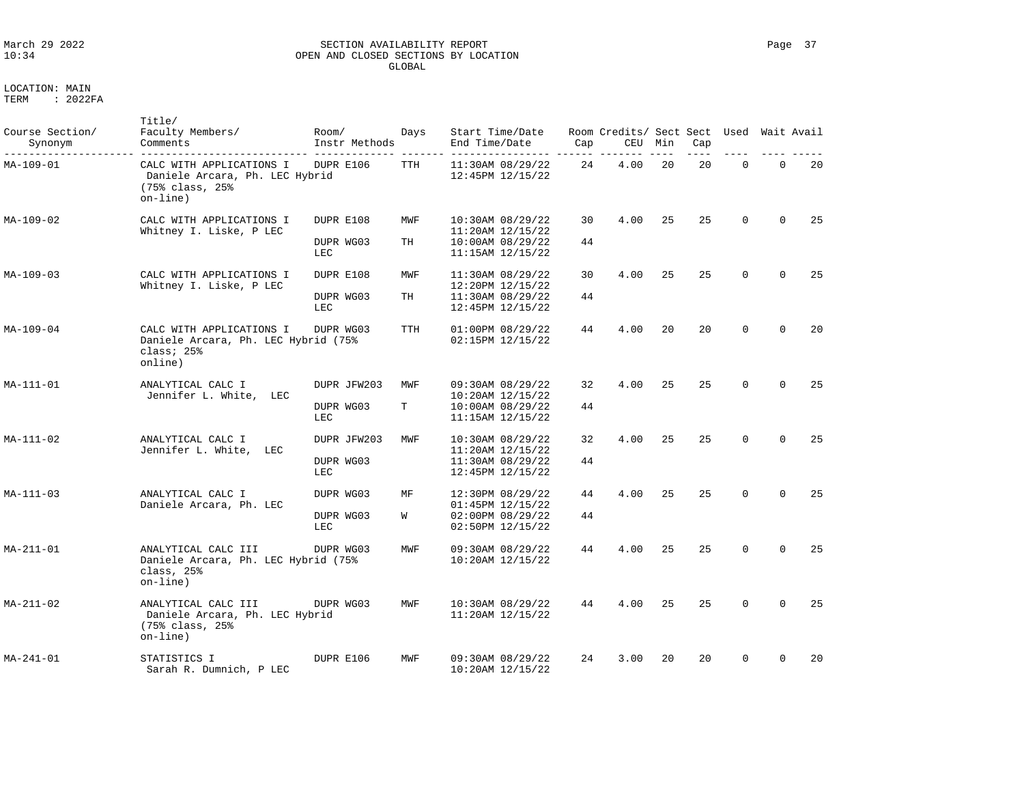### March 29 2022 SECTION AVAILABILITY REPORT Page 37 OPEN AND CLOSED SECTIONS BY LOCATION GLOBAL

| Course Section/<br>Synonym | Title/<br>Faculty Members/<br>Comments                                                     | Room/<br>Instr Methods          | Days      | Start Time/Date<br>End Time/Date                                                     | Cap      | Room Credits/ Sect Sect<br>CEU | Min | Cap | Used        | Wait Avail  |     |
|----------------------------|--------------------------------------------------------------------------------------------|---------------------------------|-----------|--------------------------------------------------------------------------------------|----------|--------------------------------|-----|-----|-------------|-------------|-----|
| MA-109-01                  | CALC WITH APPLICATIONS I<br>Daniele Arcara, Ph. LEC Hybrid<br>(75% class, 25%)<br>on-line) | DUPR E106                       | TTH       | 11:30AM 08/29/22<br>12:45PM 12/15/22                                                 | 24       | 4.00                           | 20  | 20  | $\mathbf 0$ | $\mathbf 0$ | 20  |
| $MA - 109 - 02$            | CALC WITH APPLICATIONS I<br>Whitney I. Liske, P LEC                                        | DUPR E108<br>DUPR WG03<br>LEC   | MWF<br>TH | 10:30AM 08/29/22<br>$11:20AM$ $12/15/22$<br>$10:00AM$ $08/29/22$<br>11:15AM 12/15/22 | 30<br>44 | 4.00                           | 25  | 25  | $\Omega$    | $\Omega$    | 25  |
| MA-109-03                  | CALC WITH APPLICATIONS I<br>Whitney I. Liske, P LEC                                        | DUPR E108<br>DUPR WG03          | MWF<br>TH | 11:30AM 08/29/22<br>12:20PM 12/15/22<br>11:30AM 08/29/22                             | 30<br>44 | 4.00                           | 25  | 25  | $\Omega$    | $\Omega$    | 25  |
| MA-109-04                  | CALC WITH APPLICATIONS I<br>Daniele Arcara, Ph. LEC Hybrid (75%<br>class; 25%<br>online)   | LEC<br>DUPR WG03                | TTH       | 12:45PM 12/15/22<br>01:00PM 08/29/22<br>02:15PM 12/15/22                             | 44       | 4.00                           | 20  | 20  | $\Omega$    | $\Omega$    | 20  |
| $MA - 111 - 01$            | ANALYTICAL CALC I<br>Jennifer L. White, LEC                                                | DUPR JFW203<br>DUPR WG03<br>LEC | MWF<br>T  | 09:30AM 08/29/22<br>10:20AM 12/15/22<br>$10:00AM$ $08/29/22$<br>$11:15AM$ $12/15/22$ | 32<br>44 | 4.00                           | 25  | 25  | $\Omega$    | $\Omega$    | 2.5 |
| MA-111-02                  | ANALYTICAL CALC I<br>Jennifer L. White,<br>LEC                                             | DUPR JFW203<br>DUPR WG03<br>LEC | MWF       | 10:30AM 08/29/22<br>$11:20AM$ $12/15/22$<br>11:30AM 08/29/22<br>12:45PM 12/15/22     | 32<br>44 | 4.00                           | 25  | 25  | $\Omega$    | $\Omega$    | 25  |
| MA-111-03                  | ANALYTICAL CALC I<br>Daniele Arcara, Ph. LEC                                               | DUPR WG03<br>DUPR WG03<br>LEC   | МF<br>W   | 12:30PM 08/29/22<br>01:45PM 12/15/22<br>02:00PM 08/29/22<br>02:50PM 12/15/22         | 44<br>44 | 4.00                           | 25  | 25  | $\Omega$    | $\Omega$    | 25  |
| MA-211-01                  | ANALYTICAL CALC III<br>Daniele Arcara, Ph. LEC Hybrid (75%<br>class, 25%<br>$on$ -line)    | DUPR WG03                       | MWF       | 09:30AM 08/29/22<br>$10:20AM$ $12/15/22$                                             | 44       | 4.00                           | 25  | 25  | $\Omega$    | $\Omega$    | 25  |
| MA-211-02                  | ANALYTICAL CALC III<br>Daniele Arcara, Ph. LEC Hybrid<br>(75% class, 25%)<br>$on$ -line)   | DUPR WG03                       | MWF       | $10:30AM$ $08/29/22$<br>$11:20AM$ $12/15/22$                                         | 44       | 4.00                           | 25  | 25  | $\Omega$    | $\Omega$    | 25  |
| $MA - 241 - 01$            | STATISTICS I<br>Sarah R. Dumnich, P LEC                                                    | DUPR E106                       | MWF       | 09:30AM 08/29/22<br>10:20AM 12/15/22                                                 | 2.4      | 3.00                           | 20  | 20  | $\Omega$    | $\Omega$    | 20  |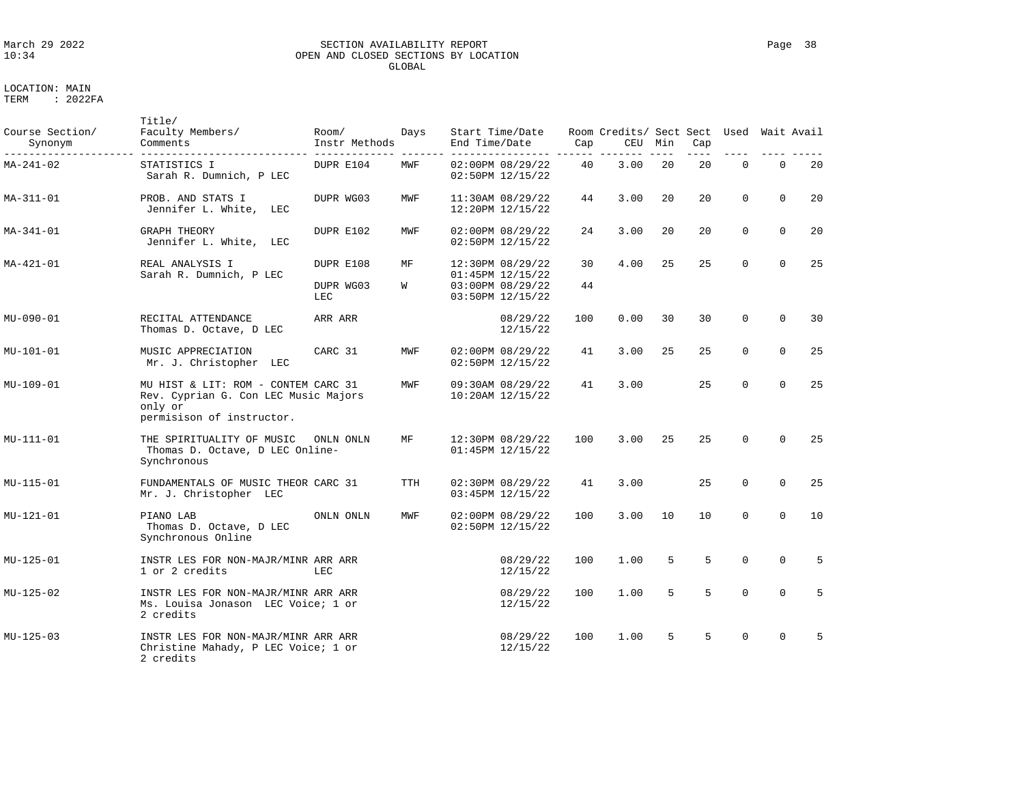# March 29 2022 SECTION AVAILABILITY REPORT Page 38 OPEN AND CLOSED SECTIONS BY LOCATION GLOBAL

| Course Section/<br>Synonym | Title/<br>Faculty Members/<br>Comments                                                                              | Room/<br>Instr Methods        | Days    | Start Time/Date<br>End Time/Date                                             | Cap      | Room Credits/ Sect Sect Used Wait Avail<br>CEU | Min | Cap |             |          |                 |
|----------------------------|---------------------------------------------------------------------------------------------------------------------|-------------------------------|---------|------------------------------------------------------------------------------|----------|------------------------------------------------|-----|-----|-------------|----------|-----------------|
| MA-241-02                  | STATISTICS I<br>Sarah R. Dumnich, P LEC                                                                             | DUPR E104                     | MWF     | 02:00PM 08/29/22<br>02:50PM 12/15/22                                         | 40       | 3.00                                           | 20  | 20  | $\mathbf 0$ | $\Omega$ | 20              |
| MA-311-01                  | PROB. AND STATS I<br>Jennifer L. White, LEC                                                                         | DUPR WG03                     | MWF     | 11:30AM 08/29/22<br>12:20PM 12/15/22                                         | 44       | 3.00                                           | 20  | 20  | $\Omega$    | $\Omega$ | 20              |
| MA-341-01                  | <b>GRAPH THEORY</b><br>Jennifer L. White, LEC                                                                       | DUPR E102                     | MWF     | 02:00PM 08/29/22<br>02:50PM 12/15/22                                         | 24       | 3.00                                           | 20  | 20  | $\Omega$    | $\Omega$ | 20              |
| MA-421-01                  | REAL ANALYSIS I<br>Sarah R. Dumnich, P LEC                                                                          | DUPR E108<br>DUPR WG03<br>LEC | MF<br>W | 12:30PM 08/29/22<br>01:45PM 12/15/22<br>03:00PM 08/29/22<br>03:50PM 12/15/22 | 30<br>44 | 4.00                                           | 25  | 2.5 | $\Omega$    | $\Omega$ | 25              |
| MU-090-01                  | RECITAL ATTENDANCE<br>Thomas D. Octave, D LEC                                                                       | ARR ARR                       |         | 08/29/22<br>12/15/22                                                         | 100      | 0.00                                           | 30  | 30  | $\Omega$    | $\Omega$ | 30              |
| MU-101-01                  | MUSIC APPRECIATION<br>Mr. J. Christopher LEC                                                                        | CARC 31                       | MWF     | 02:00PM 08/29/22<br>02:50PM 12/15/22                                         | 41       | 3.00                                           | 25  | 25  | $\Omega$    | $\Omega$ | 25              |
| MU-109-01                  | MU HIST & LIT: ROM - CONTEM CARC 31<br>Rev. Cyprian G. Con LEC Music Majors<br>only or<br>permisison of instructor. |                               | MWF     | 09:30AM 08/29/22<br>$10:20AM$ $12/15/22$                                     | 41       | 3.00                                           |     | 25  | $\Omega$    | $\Omega$ | 25              |
| MU-111-01                  | THE SPIRITUALITY OF MUSIC<br>Thomas D. Octave, D LEC Online-<br>Synchronous                                         | ONLN ONLN                     | MF      | 12:30PM 08/29/22<br>01:45PM 12/15/22                                         | 100      | 3.00                                           | 25  | 25  | $\Omega$    | $\Omega$ | 25              |
| MU-115-01                  | FUNDAMENTALS OF MUSIC THEOR CARC 31<br>Mr. J. Christopher LEC                                                       |                               | TTH     | 02:30PM 08/29/22<br>03:45PM 12/15/22                                         | 41       | 3.00                                           |     | 25  | $\Omega$    | $\Omega$ | 25              |
| MU-121-01                  | PIANO LAB<br>Thomas D. Octave, D LEC<br>Synchronous Online                                                          | ONLN ONLN                     | MWF     | 02:00PM 08/29/22<br>02:50PM 12/15/22                                         | 100      | 3.00                                           | 10  | 10  | $\Omega$    | $\Omega$ | 10              |
| MU-125-01                  | INSTR LES FOR NON-MAJR/MINR ARR ARR<br>1 or 2 credits                                                               | LEC                           |         | 08/29/22<br>12/15/22                                                         | 100      | 1.00                                           | 5   | 5   | $\Omega$    | $\Omega$ | 5               |
| MU-125-02                  | INSTR LES FOR NON-MAJR/MINR ARR ARR<br>Ms. Louisa Jonason LEC Voice; 1 or<br>2 credits                              |                               |         | 08/29/22<br>12/15/22                                                         | 100      | 1.00                                           | 5   | 5   | $\Omega$    | $\Omega$ | 5               |
| MU-125-03                  | INSTR LES FOR NON-MAJR/MINR ARR ARR<br>Christine Mahady, P LEC Voice; 1 or<br>2 credits                             |                               |         | 08/29/22<br>12/15/22                                                         | 100      | 1.00                                           | 5   | 5   | $\cap$      | $\Omega$ | $5\overline{5}$ |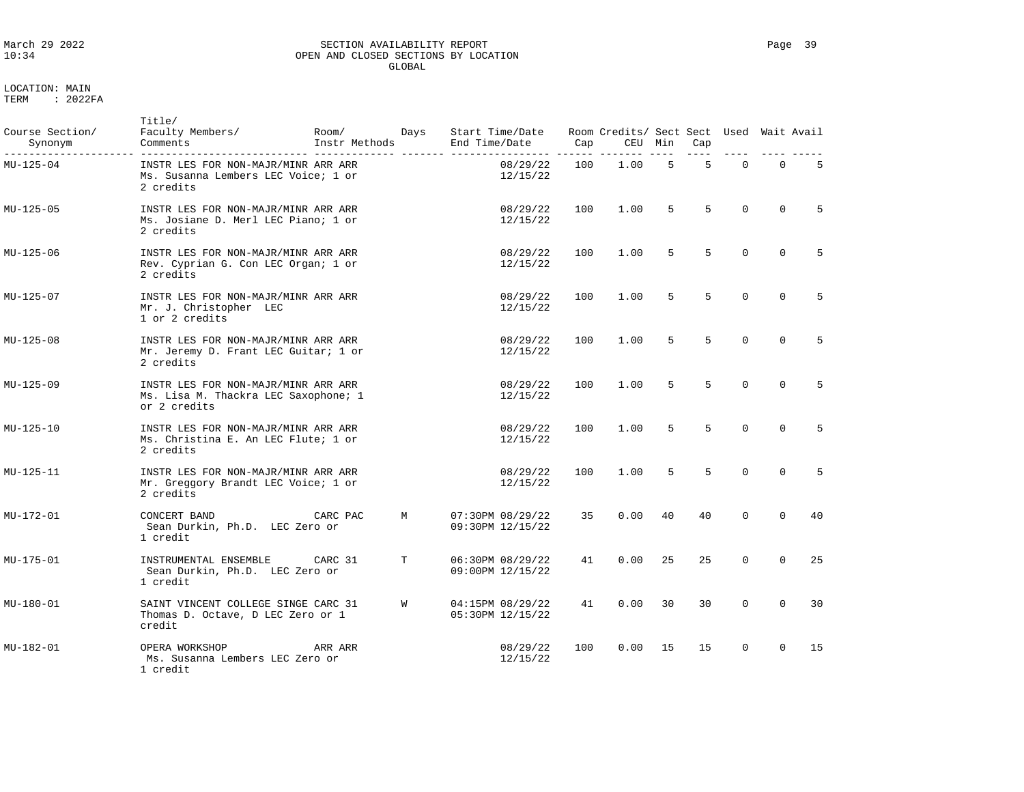# LOCATION: MAIN

| Course Section/<br>Synonym | Title/<br>Faculty Members/<br>Comments                                                      | Room/<br>Instr Methods | Days | End Time/Date | Start Time/Date                      | Cap | Room Credits/ Sect Sect Used Wait Avail<br>CEU Min |    | Cap            |          |          |             |
|----------------------------|---------------------------------------------------------------------------------------------|------------------------|------|---------------|--------------------------------------|-----|----------------------------------------------------|----|----------------|----------|----------|-------------|
| MU-125-04                  | INSTR LES FOR NON-MAJR/MINR ARR ARR<br>Ms. Susanna Lembers LEC Voice; 1 or<br>2 credits     |                        |      | ----------    | 08/29/22<br>12/15/22                 | 100 | 1.00                                               | 5  | 5              | $\Omega$ | $\Omega$ | $5^{\circ}$ |
| MU-125-05                  | INSTR LES FOR NON-MAJR/MINR ARR ARR<br>Ms. Josiane D. Merl LEC Piano; 1 or<br>2 credits     |                        |      |               | 08/29/22<br>12/15/22                 | 100 | 1.00                                               | 5  | $5^{\circ}$    | $\Omega$ | $\Omega$ | 5           |
| MU-125-06                  | INSTR LES FOR NON-MAJR/MINR ARR ARR<br>Rev. Cyprian G. Con LEC Organ; 1 or<br>2 credits     |                        |      |               | 08/29/22<br>12/15/22                 | 100 | 1.00                                               | 5  | $5^{\circ}$    | $\Omega$ | $\Omega$ | 5           |
| MU-125-07                  | INSTR LES FOR NON-MAJR/MINR ARR ARR<br>Mr. J. Christopher LEC<br>1 or 2 credits             |                        |      |               | 08/29/22<br>12/15/22                 | 100 | 1.00                                               | 5  | $5^{\circ}$    | $\Omega$ | $\Omega$ | 5           |
| MU-125-08                  | INSTR LES FOR NON-MAJR/MINR ARR ARR<br>Mr. Jeremy D. Frant LEC Guitar; 1 or<br>2 credits    |                        |      |               | 08/29/22<br>12/15/22                 | 100 | 1.00                                               | 5  | $\overline{5}$ | $\Omega$ | $\Omega$ | 5           |
| MU-125-09                  | INSTR LES FOR NON-MAJR/MINR ARR ARR<br>Ms. Lisa M. Thackra LEC Saxophone; 1<br>or 2 credits |                        |      |               | 08/29/22<br>12/15/22                 | 100 | 1.00                                               | 5  | 5              | $\Omega$ | $\Omega$ | $5^{\circ}$ |
| MU-125-10                  | INSTR LES FOR NON-MAJR/MINR ARR ARR<br>Ms. Christina E. An LEC Flute; 1 or<br>2 credits     |                        |      |               | 08/29/22<br>12/15/22                 | 100 | 1.00                                               | 5  | 5              | $\Omega$ | $\Omega$ | 5           |
| MU-125-11                  | INSTR LES FOR NON-MAJR/MINR ARR ARR<br>Mr. Greggory Brandt LEC Voice; 1 or<br>2 credits     |                        |      |               | 08/29/22<br>12/15/22                 | 100 | 1.00                                               | 5  | 5              | $\Omega$ | $\Omega$ | 5           |
| MU-172-01                  | CONCERT BAND<br>Sean Durkin, Ph.D. LEC Zero or<br>1 credit                                  | CARC PAC               | M    |               | 07:30PM 08/29/22<br>09:30PM 12/15/22 | 35  | 0.00                                               | 40 | 40             | $\Omega$ | $\Omega$ | 40          |
| MU-175-01                  | INSTRUMENTAL ENSEMBLE<br>Sean Durkin, Ph.D. LEC Zero or<br>1 credit                         | CARC 31                | T    |               | 06:30PM 08/29/22<br>09:00PM 12/15/22 | 41  | 0.00                                               | 25 | 25             | $\Omega$ | $\Omega$ | 25          |
| MU-180-01                  | SAINT VINCENT COLLEGE SINGE CARC 31<br>Thomas D. Octave, D LEC Zero or 1<br>credit          |                        | W    |               | 04:15PM 08/29/22<br>05:30PM 12/15/22 | 41  | 0.00                                               | 30 | 30             | $\Omega$ | $\Omega$ | 30          |
| MU-182-01                  | OPERA WORKSHOP<br>Ms. Susanna Lembers LEC Zero or<br>1 credit                               | ARR ARR                |      |               | 08/29/22<br>12/15/22                 | 100 | 0.00                                               | 15 | 15             | $\Omega$ | $\Omega$ | 15          |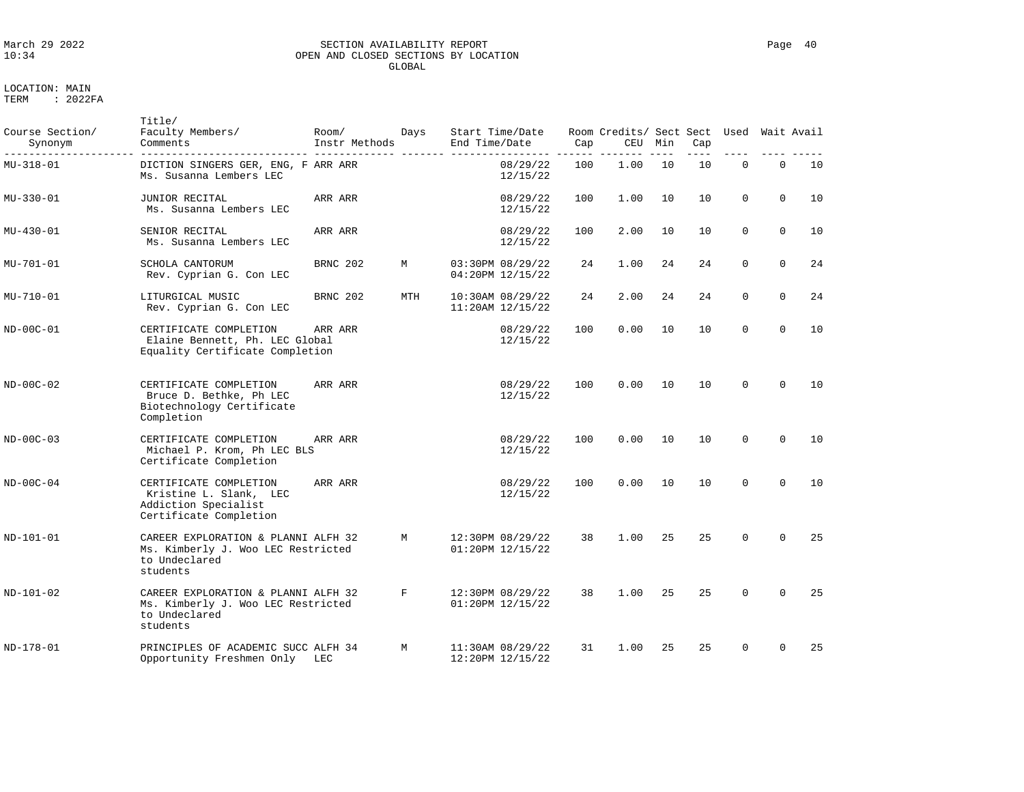### March 29 2022 SECTION AVAILABILITY REPORT Page 40 OPEN AND CLOSED SECTIONS BY LOCATION GLOBAL

LOCATION: MAIN TERM : 2022FA

Title/

| Course Section/<br>Synonym | Faculty Members/<br>Comments                                                                           | Room/<br>Instr Methods | Days | Start Time/Date<br>End Time/Date     | Cap | Room Credits/ Sect Sect Used Wait Avail<br>CEU | Min | Cap<br>$- - -$ |             |             |    |
|----------------------------|--------------------------------------------------------------------------------------------------------|------------------------|------|--------------------------------------|-----|------------------------------------------------|-----|----------------|-------------|-------------|----|
| MU-318-01                  | DICTION SINGERS GER, ENG, F ARR ARR<br>Ms. Susanna Lembers LEC                                         |                        |      | 08/29/22<br>12/15/22                 | 100 | 1.00                                           | 10  | 10             | $\mathbf 0$ | $\mathbf 0$ | 10 |
| MU-330-01                  | JUNIOR RECITAL<br>Ms. Susanna Lembers LEC                                                              | ARR ARR                |      | 08/29/22<br>12/15/22                 | 100 | 1.00                                           | 10  | 10             | $\Omega$    | $\Omega$    | 10 |
| MU-430-01                  | SENIOR RECITAL<br>Ms. Susanna Lembers LEC                                                              | ARR ARR                |      | 08/29/22<br>12/15/22                 | 100 | 2.00                                           | 10  | 10             | $\Omega$    | $\Omega$    | 10 |
| MU-701-01                  | SCHOLA CANTORUM<br>Rev. Cyprian G. Con LEC                                                             | BRNC 202               | M    | 03:30PM 08/29/22<br>04:20PM 12/15/22 | 24  | 1.00                                           | 24  | 24             | $\Omega$    | $\Omega$    | 24 |
| MU-710-01                  | LITURGICAL MUSIC<br>Rev. Cyprian G. Con LEC                                                            | BRNC 202               | MTH  | 10:30AM 08/29/22<br>11:20AM 12/15/22 | 24  | 2.00                                           | 24  | 24             | $\mathbf 0$ | $\Omega$    | 24 |
| ND-00C-01                  | CERTIFICATE COMPLETION<br>Elaine Bennett, Ph. LEC Global<br>Equality Certificate Completion            | ARR ARR                |      | 08/29/22<br>12/15/22                 | 100 | 0.00                                           | 10  | 10             | $\mathbf 0$ | $\mathbf 0$ | 10 |
| ND-00C-02                  | CERTIFICATE COMPLETION<br>Bruce D. Bethke, Ph LEC<br>Biotechnology Certificate<br>Completion           | ARR ARR                |      | 08/29/22<br>12/15/22                 | 100 | 0.00                                           | 10  | 10             | $\Omega$    | $\Omega$    | 10 |
| $ND-00C-03$                | CERTIFICATE COMPLETION<br>Michael P. Krom, Ph LEC BLS<br>Certificate Completion                        | ARR ARR                |      | 08/29/22<br>12/15/22                 | 100 | 0.00                                           | 10  | 10             | $\Omega$    | $\Omega$    | 10 |
| ND-00C-04                  | CERTIFICATE COMPLETION<br>Kristine L. Slank, LEC<br>Addiction Specialist<br>Certificate Completion     | ARR ARR                |      | 08/29/22<br>12/15/22                 | 100 | 0.00                                           | 10  | 10             | $\Omega$    | $\Omega$    | 10 |
| ND-101-01                  | CAREER EXPLORATION & PLANNI ALFH 32<br>Ms. Kimberly J. Woo LEC Restricted<br>to Undeclared<br>students |                        | M    | 12:30PM 08/29/22<br>01:20PM 12/15/22 | 38  | 1.00                                           | 25  | 2.5            | $\Omega$    | $\Omega$    | 25 |
| ND-101-02                  | CAREER EXPLORATION & PLANNI ALFH 32<br>Ms. Kimberly J. Woo LEC Restricted<br>to Undeclared<br>students |                        | F    | 12:30PM 08/29/22<br>01:20PM 12/15/22 | 38  | 1.00                                           | 25  | 25             | $\Omega$    | $\Omega$    | 25 |
| ND-178-01                  | PRINCIPLES OF ACADEMIC SUCC ALFH 34<br>Opportunity Freshmen Only LEC                                   |                        | M    | 11:30AM 08/29/22<br>12:20PM 12/15/22 | 31  | 1.00                                           | 25  | 25             | $\Omega$    | $\Omega$    | 25 |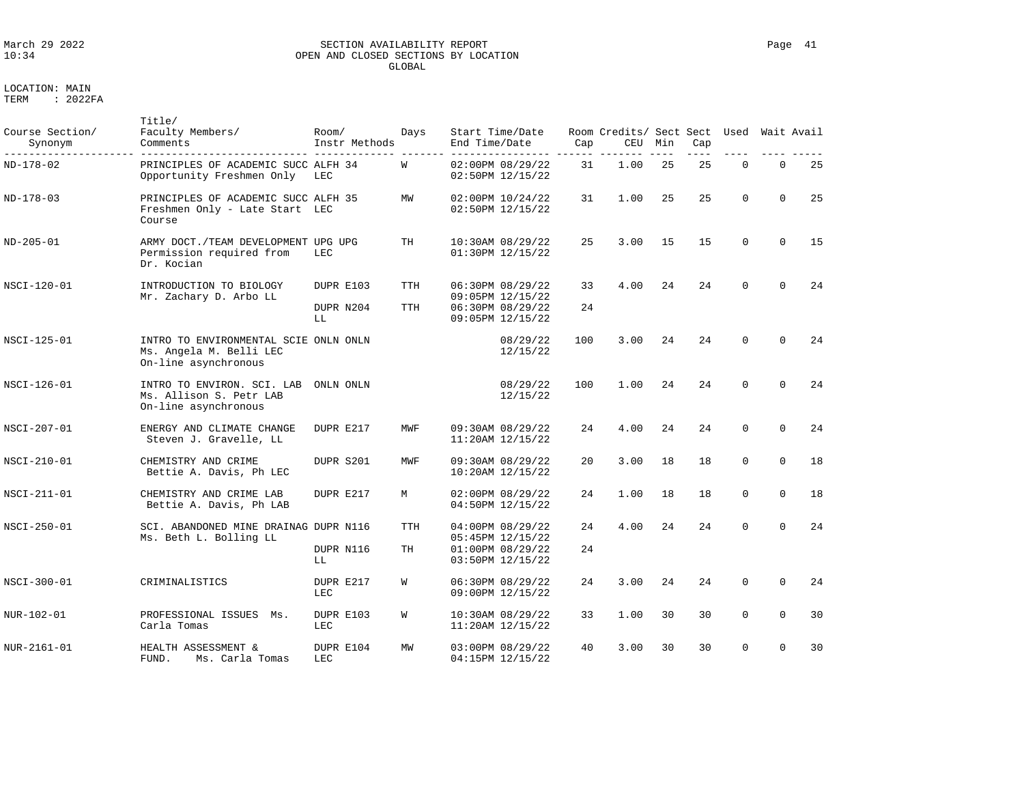# March 29 2022 SECTION AVAILABILITY REPORT Page 41 OPEN AND CLOSED SECTIONS BY LOCATION GLOBAL

LOCATION: MAIN

| Course Section/<br>Synonym | Title/<br>Faculty Members/<br>Comments                                                   | Room/<br>Instr Methods       | Days                     | Start Time/Date<br>End Time/Date                                             | Cap      | Room Credits/ Sect Sect<br>CEU | Min | Cap | Used        | Wait Avail  |    |
|----------------------------|------------------------------------------------------------------------------------------|------------------------------|--------------------------|------------------------------------------------------------------------------|----------|--------------------------------|-----|-----|-------------|-------------|----|
| ND-178-02                  | PRINCIPLES OF ACADEMIC SUCC ALFH 34<br>Opportunity Freshmen Only                         | LEC                          | W                        | 02:00PM 08/29/22<br>02:50PM 12/15/22                                         | 31       | 1.00                           | 25  | 25  | $\mathbf 0$ | $\mathbf 0$ | 25 |
| ND-178-03                  | PRINCIPLES OF ACADEMIC SUCC ALFH 35<br>Freshmen Only - Late Start LEC<br>Course          |                              | MW                       | 02:00PM 10/24/22<br>02:50PM 12/15/22                                         | 31       | 1.00                           | 25  | 2.5 | $\Omega$    | $\Omega$    | 25 |
| ND-205-01                  | ARMY DOCT. / TEAM DEVELOPMENT UPG UPG<br>Permission required from<br>Dr. Kocian          | LEC.                         | TH                       | 10:30AM 08/29/22<br>01:30PM 12/15/22                                         | 25       | 3.00                           | 15  | 15  | $\Omega$    | $\Omega$    | 15 |
| NSCI-120-01                | INTRODUCTION TO BIOLOGY<br>Mr. Zachary D. Arbo LL                                        | DUPR E103<br>DUPR N204<br>LL | <b>TTH</b><br><b>TTH</b> | 06:30PM 08/29/22<br>09:05PM 12/15/22<br>06:30PM 08/29/22<br>09:05PM 12/15/22 | 33<br>24 | 4.00                           | 24  | 24  | $\Omega$    | $\Omega$    | 24 |
| NSCI-125-01                | INTRO TO ENVIRONMENTAL SCIE ONLN ONLN<br>Ms. Angela M. Belli LEC<br>On-line asynchronous |                              |                          | 08/29/22<br>12/15/22                                                         | 100      | 3.00                           | 24  | 24  | $\Omega$    | $\Omega$    | 24 |
| NSCI-126-01                | INTRO TO ENVIRON. SCI. LAB<br>Ms. Allison S. Petr LAB<br>On-line asynchronous            | ONLN ONLN                    |                          | 08/29/22<br>12/15/22                                                         | 100      | 1.00                           | 24  | 24  | $\Omega$    | $\Omega$    | 24 |
| NSCI-207-01                | ENERGY AND CLIMATE CHANGE<br>Steven J. Gravelle, LL                                      | DUPR E217                    | MWF                      | 09:30AM 08/29/22<br>11:20AM 12/15/22                                         | 24       | 4.00                           | 24  | 24  | $\Omega$    | $\Omega$    | 24 |
| NSCI-210-01                | CHEMISTRY AND CRIME<br>Bettie A. Davis, Ph LEC                                           | DUPR S201                    | MWF                      | 09:30AM 08/29/22<br>10:20AM 12/15/22                                         | 20       | 3.00                           | 18  | 18  | $\Omega$    | $\Omega$    | 18 |
| NSCI-211-01                | CHEMISTRY AND CRIME LAB<br>Bettie A. Davis, Ph LAB                                       | DUPR E217                    | M                        | 02:00PM 08/29/22<br>04:50PM 12/15/22                                         | 24       | 1.00                           | 18  | 18  | $\mathbf 0$ | $\Omega$    | 18 |
| NSCI-250-01                | SCI. ABANDONED MINE DRAINAG DUPR N116<br>Ms. Beth L. Bolling LL                          | DUPR N116<br>LL              | TTH<br>TН                | 04:00PM 08/29/22<br>05:45PM 12/15/22<br>01:00PM 08/29/22<br>03:50PM 12/15/22 | 24<br>24 | 4.00                           | 24  | 24  | $\Omega$    | $\Omega$    | 24 |
| NSCI-300-01                | CRIMINALISTICS                                                                           | DUPR E217<br>LEC             | W                        | 06:30PM 08/29/22<br>09:00PM 12/15/22                                         | 24       | 3.00                           | 24  | 24  | $\mathbf 0$ | $\Omega$    | 24 |
| NUR-102-01                 | PROFESSIONAL ISSUES<br>Ms.<br>Carla Tomas                                                | DUPR E103<br>LEC             | W                        | 10:30AM 08/29/22<br>11:20AM 12/15/22                                         | 33       | 1.00                           | 30  | 30  | $\mathbf 0$ | $\mathbf 0$ | 30 |
| NUR-2161-01                | HEALTH ASSESSMENT &<br>FUND.<br>Ms. Carla Tomas                                          | DUPR E104<br>LEC             | MW                       | 03:00PM 08/29/22<br>04:15PM 12/15/22                                         | 40       | 3.00                           | 30  | 30  | $\Omega$    | $\Omega$    | 30 |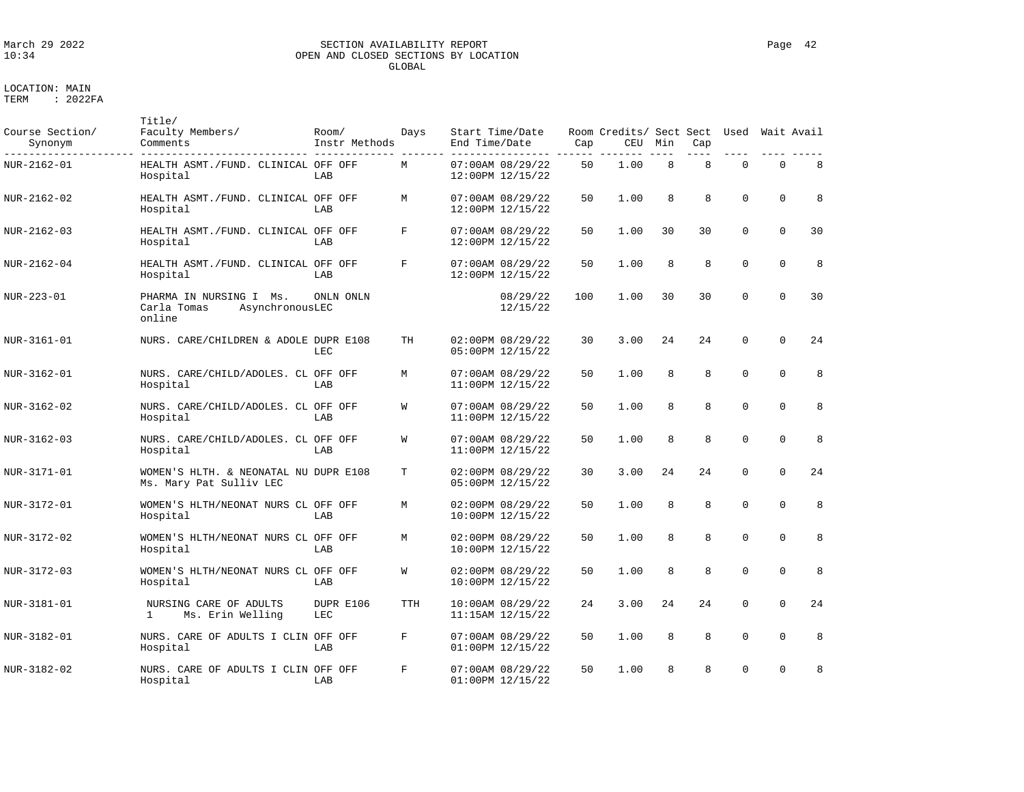LOCATION: MAIN

# March 29 2022 SECTION AVAILABILITY REPORT Page 42 OPEN AND CLOSED SECTIONS BY LOCATION GLOBAL

| Course Section/<br>Synonym | Title/<br>Faculty Members/<br>Comments                              | Room/<br>Instr Methods | Days       | Start Time/Date<br>End Time/Date         | Cap | Room Credits/ Sect Sect<br>CEU | Min | Cap | Used        |             | Wait Avail |
|----------------------------|---------------------------------------------------------------------|------------------------|------------|------------------------------------------|-----|--------------------------------|-----|-----|-------------|-------------|------------|
| NUR-2162-01                | HEALTH ASMT./FUND. CLINICAL OFF OFF<br>Hospital                     | LAB                    | М          | 07:00AM 08/29/22<br>12:00PM 12/15/22     | 50  | 1.00                           | 8   | 8   | $\mathbf 0$ | $\mathbf 0$ | 8          |
| NUR-2162-02                | HEALTH ASMT./FUND. CLINICAL OFF OFF<br>Hospital                     | LAB                    | M          | 07:00AM 08/29/22<br>12:00PM 12/15/22     | 50  | 1.00                           | 8   | 8   | $\Omega$    | 0           | 8          |
| NUR-2162-03                | HEALTH ASMT./FUND. CLINICAL OFF OFF<br>Hospital                     | LAB                    | F          | 07:00AM 08/29/22<br>12:00PM 12/15/22     | 50  | 1.00                           | 30  | 30  | $\mathbf 0$ | $\mathbf 0$ | 30         |
| NUR-2162-04                | HEALTH ASMT./FUND. CLINICAL OFF OFF<br>Hospital                     | LAB                    | F          | 07:00AM 08/29/22<br>12:00PM 12/15/22     | 50  | 1.00                           | 8   | 8   | $\mathbf 0$ | $\mathbf 0$ | 8          |
| NUR-223-01                 | PHARMA IN NURSING I Ms.<br>Carla Tomas<br>AsynchronousLEC<br>online | ONLN ONLN              |            | 08/29/22<br>12/15/22                     | 100 | 1.00                           | 30  | 30  | $\Omega$    | $\Omega$    | 30         |
| NUR-3161-01                | NURS. CARE/CHILDREN & ADOLE DUPR E108                               | LEC                    | TH         | 02:00PM 08/29/22<br>05:00PM 12/15/22     | 30  | 3.00                           | 2.4 | 2.4 | $\Omega$    | $\Omega$    | 24         |
| NUR-3162-01                | NURS. CARE/CHILD/ADOLES. CL OFF OFF<br>Hospital                     | LAB                    | M          | 07:00AM 08/29/22<br>11:00PM 12/15/22     | 50  | 1.00                           | 8   | 8   | $\Omega$    | $\Omega$    | 8          |
| NUR-3162-02                | NURS. CARE/CHILD/ADOLES. CL OFF OFF<br>Hospital                     | LAB                    | W          | 07:00AM 08/29/22<br>11:00PM 12/15/22     | 50  | 1.00                           | 8   | 8   | $\mathbf 0$ | 0           | 8          |
| NUR-3162-03                | NURS. CARE/CHILD/ADOLES. CL OFF OFF<br>Hospital                     | LAB                    | W          | 07:00AM 08/29/22<br>11:00PM 12/15/22     | 50  | 1.00                           | 8   | 8   | $\Omega$    | $\mathbf 0$ | 8          |
| NUR-3171-01                | WOMEN'S HLTH. & NEONATAL NU DUPR E108<br>Ms. Mary Pat Sulliv LEC    |                        | T          | 02:00PM 08/29/22<br>05:00PM 12/15/22     | 30  | 3.00                           | 2.4 | 2.4 | $\Omega$    | $\Omega$    | 24         |
| NUR-3172-01                | WOMEN'S HLTH/NEONAT NURS CL OFF OFF<br>Hospital                     | LAB                    | M          | 02:00PM 08/29/22<br>10:00PM 12/15/22     | 50  | 1.00                           | 8   | 8   | $\Omega$    | $\Omega$    | 8          |
| NUR-3172-02                | WOMEN'S HLTH/NEONAT NURS CL OFF OFF<br>Hospital                     | LAB                    | M          | 02:00PM 08/29/22<br>10:00PM 12/15/22     | 50  | 1.00                           | 8   | 8   | $\Omega$    | 0           | 8          |
| NUR-3172-03                | WOMEN'S HLTH/NEONAT NURS CL OFF OFF<br>Hospital                     | LAB                    | W          | 02:00PM 08/29/22<br>10:00PM 12/15/22     | 50  | 1.00                           | 8   | 8   | $\mathbf 0$ | 0           | 8          |
| NUR-3181-01                | NURSING CARE OF ADULTS<br>Ms. Erin Welling<br>$\mathbf{1}$          | DUPR E106<br>LEC       | <b>TTH</b> | 10:00AM 08/29/22<br>$11:15AM$ $12/15/22$ | 24  | 3.00                           | 24  | 24  | $\Omega$    | $\Omega$    | 24         |
| NUR-3182-01                | NURS. CARE OF ADULTS I CLIN OFF OFF<br>Hospital                     | LAB                    | F          | 07:00AM 08/29/22<br>01:00PM 12/15/22     | 50  | 1.00                           | 8   | 8   | $\Omega$    | $\mathbf 0$ | 8          |
| NUR-3182-02                | NURS. CARE OF ADULTS I CLIN OFF OFF<br>Hospital                     | LAB                    | F          | 07:00AM 08/29/22<br>01:00PM 12/15/22     | 50  | 1.00                           | 8   | 8   | $\Omega$    | $\mathbf 0$ | 8          |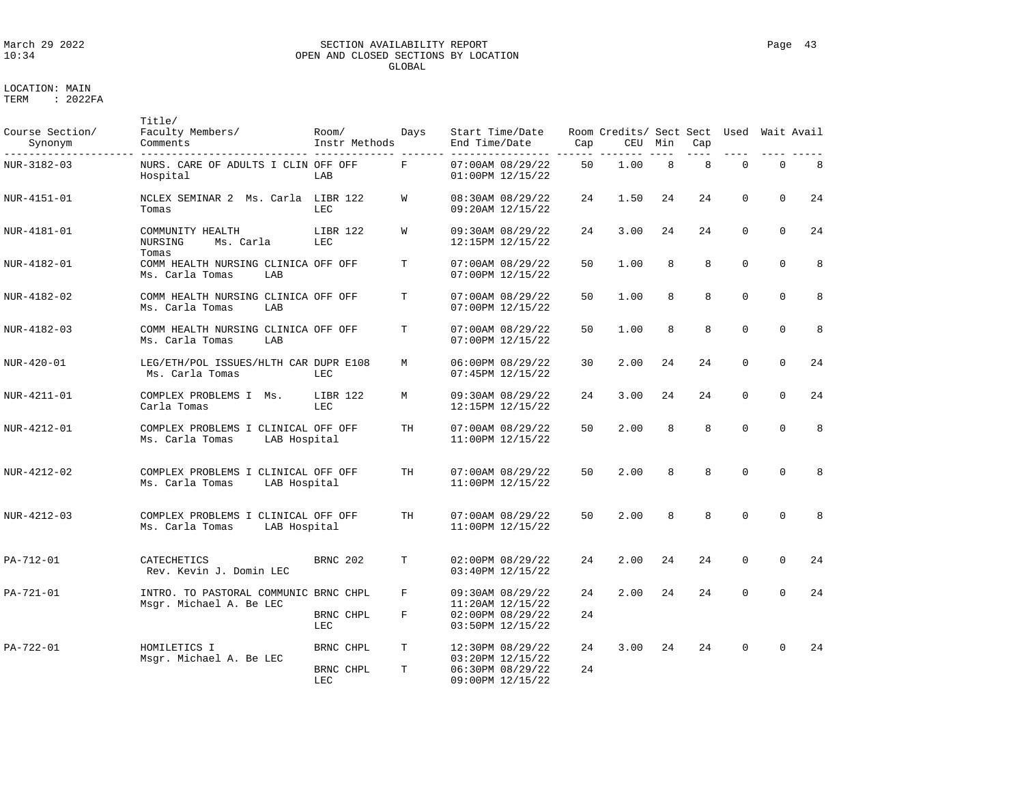# March 29 2022 SECTION AVAILABILITY REPORT Page 43 OPEN AND CLOSED SECTIONS BY LOCATION GLOBAL

| Course Section/<br>Synonym | Title/<br>Faculty Members/<br>Comments                                 | Room/<br>Instr Methods | Days   | Start Time/Date<br>End Time/Date                                             | Cap       | Room Credits/ Sect Sect Used<br>CEU | Min | Cap |             |          | Wait Avail |
|----------------------------|------------------------------------------------------------------------|------------------------|--------|------------------------------------------------------------------------------|-----------|-------------------------------------|-----|-----|-------------|----------|------------|
| NUR-3182-03                | NURS. CARE OF ADULTS I CLIN OFF OFF<br>Hospital                        | LAB                    | F      | 07:00AM 08/29/22<br>01:00PM 12/15/22                                         | 50        | 1.00                                | 8   | 8   | $\Omega$    | $\Omega$ | 8          |
| NUR-4151-01                | NCLEX SEMINAR 2 Ms. Carla<br>Tomas                                     | LIBR 122<br>LEC        | W      | 08:30AM 08/29/22<br>09:20AM 12/15/22                                         | 24        | 1.50                                | 24  | 24  | $\Omega$    | $\Omega$ | 24         |
| NUR-4181-01                | COMMUNITY HEALTH<br>Ms. Carla<br>NURSING                               | LIBR 122<br>LEC        | W      | 09:30AM 08/29/22<br>12:15PM 12/15/22                                         | 24        | 3.00                                | 24  | 24  | $\Omega$    | $\Omega$ | 24         |
| NUR-4182-01                | Tomas<br>COMM HEALTH NURSING CLINICA OFF OFF<br>Ms. Carla Tomas<br>LAB |                        | Т      | 07:00AM 08/29/22<br>07:00PM 12/15/22                                         | 50        | 1.00                                | 8   | 8   | $\Omega$    | $\Omega$ | 8          |
| NUR-4182-02                | COMM HEALTH NURSING CLINICA OFF OFF<br>Ms. Carla Tomas<br>LAB          |                        | т      | 07:00AM 08/29/22<br>07:00PM 12/15/22                                         | 50        | 1.00                                | 8   | 8   | $\Omega$    | $\Omega$ | 8          |
| NUR-4182-03                | COMM HEALTH NURSING CLINICA OFF OFF<br>Ms. Carla Tomas<br>LAB          |                        | Т      | 07:00AM 08/29/22<br>07:00PM 12/15/22                                         | 50        | 1.00                                | 8   | 8   | $\Omega$    | $\Omega$ | 8          |
| NUR-420-01                 | LEG/ETH/POL ISSUES/HLTH CAR DUPR E108<br>Ms. Carla Tomas               | LEC                    | M      | 06:00PM 08/29/22<br>07:45PM 12/15/22                                         | 30        | 2.00                                | 24  | 24  | $\Omega$    | $\Omega$ | 24         |
| NUR-4211-01                | COMPLEX PROBLEMS I Ms.<br>Carla Tomas                                  | LIBR 122<br><b>LEC</b> | М      | 09:30AM 08/29/22<br>12:15PM 12/15/22                                         | 24        | 3.00                                | 24  | 24  | $\mathbf 0$ | $\Omega$ | 24         |
| NUR-4212-01                | COMPLEX PROBLEMS I CLINICAL OFF OFF<br>Ms. Carla Tomas<br>LAB Hospital |                        | TH     | 07:00AM 08/29/22<br>11:00PM 12/15/22                                         | 50        | 2.00                                | 8   | 8   | $\Omega$    | $\Omega$ | 8          |
| NUR-4212-02                | COMPLEX PROBLEMS I CLINICAL OFF OFF<br>Ms. Carla Tomas<br>LAB Hospital |                        | TH     | 07:00AM 08/29/22<br>11:00PM 12/15/22                                         | 50        | 2.00                                | 8   | 8   | $\Omega$    | $\Omega$ | 8          |
| NUR-4212-03                | COMPLEX PROBLEMS I CLINICAL OFF OFF<br>Ms. Carla Tomas<br>LAB Hospital |                        | TH     | 07:00AM 08/29/22<br>11:00PM 12/15/22                                         | 50        | 2.00                                | 8   | 8   | $\Omega$    | $\Omega$ | 8          |
| PA-712-01                  | CATECHETICS<br>Rev. Kevin J. Domin LEC                                 | <b>BRNC 202</b>        | T      | 02:00PM 08/29/22<br>03:40PM 12/15/22                                         | 24        | 2.00                                | 24  | 24  | $\Omega$    | $\Omega$ | 24         |
| PA-721-01                  | INTRO. TO PASTORAL COMMUNIC BRNC CHPL<br>Msgr. Michael A. Be LEC       | BRNC CHPL<br>LEC       | F<br>F | 09:30AM 08/29/22<br>11:20AM 12/15/22<br>02:00PM 08/29/22<br>03:50PM 12/15/22 | 2.4<br>24 | 2.00                                | 24  | 24  | $\Omega$    | $\Omega$ | 24         |
| PA-722-01                  | HOMILETICS I<br>Msgr. Michael A. Be LEC                                | BRNC CHPL<br>BRNC CHPL | Т<br>T | 12:30PM 08/29/22<br>03:20PM 12/15/22<br>06:30PM 08/29/22                     | 24<br>24  | 3.00                                | 24  | 24  | $\Omega$    | $\Omega$ | 24         |
|                            |                                                                        | LEC                    |        | 09:00PM 12/15/22                                                             |           |                                     |     |     |             |          |            |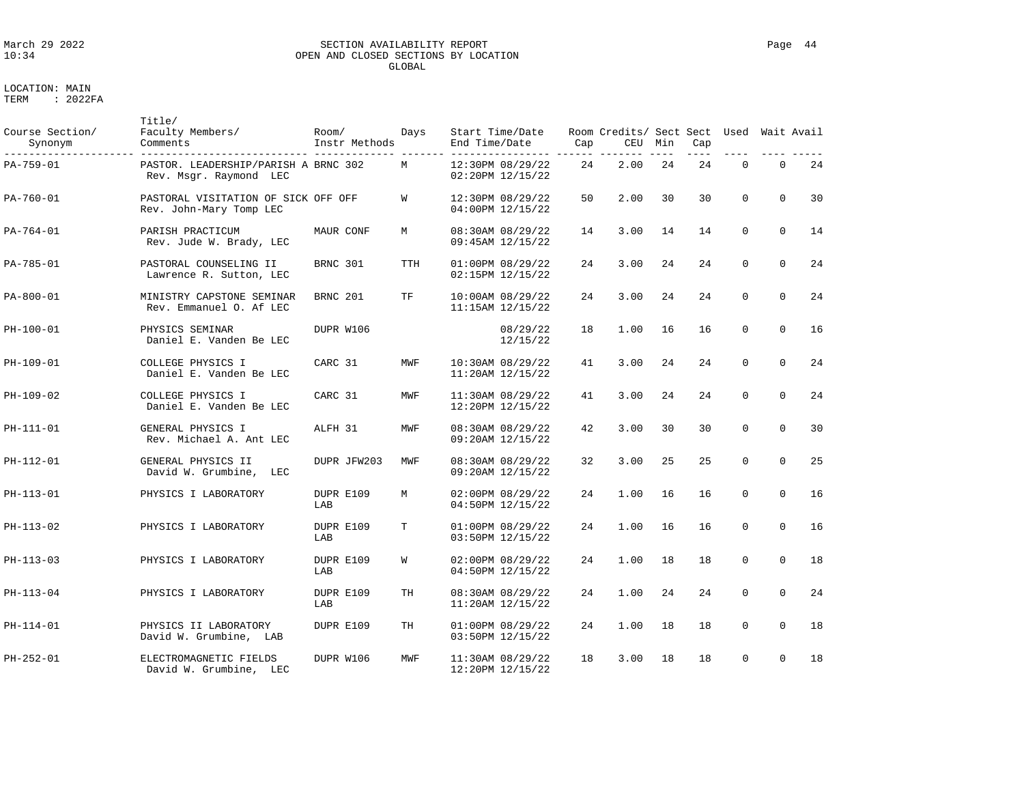### March 29 2022 SECTION AVAILABILITY REPORT Page 44 OPEN AND CLOSED SECTIONS BY LOCATION GLOBAL

LOCATION: MAIN

| Course Section/<br>Synonym | Title/<br>Faculty Members/<br>Comments                         | Room/<br>Instr Methods | Days       | Start Time/Date<br>End Time/Date     | Cap | Room Credits/ Sect Sect Used<br>CEU | Min | Cap |             |             | Wait Avail |
|----------------------------|----------------------------------------------------------------|------------------------|------------|--------------------------------------|-----|-------------------------------------|-----|-----|-------------|-------------|------------|
| PA-759-01                  | PASTOR. LEADERSHIP/PARISH A BRNC 302<br>Rev. Msgr. Raymond LEC |                        | M          | 12:30PM 08/29/22<br>02:20PM 12/15/22 | 24  | 2.00                                | 24  | 24  | $\mathbf 0$ | $\Omega$    | 24         |
| PA-760-01                  | PASTORAL VISITATION OF SICK OFF OFF<br>Rev. John-Mary Tomp LEC |                        | W          | 12:30PM 08/29/22<br>04:00PM 12/15/22 | 50  | 2.00                                | 30  | 30  | $\mathbf 0$ | $\mathbf 0$ | 30         |
| PA-764-01                  | PARISH PRACTICUM<br>Rev. Jude W. Brady, LEC                    | MAUR CONF              | М          | 08:30AM 08/29/22<br>09:45AM 12/15/22 | 14  | 3.00                                | 14  | 14  | $\Omega$    | $\Omega$    | 14         |
| PA-785-01                  | PASTORAL COUNSELING II<br>Lawrence R. Sutton, LEC              | BRNC 301               | <b>TTH</b> | 01:00PM 08/29/22<br>02:15PM 12/15/22 | 24  | 3.00                                | 24  | 24  | $\mathbf 0$ | $\Omega$    | 24         |
| PA-800-01                  | MINISTRY CAPSTONE SEMINAR<br>Rev. Emmanuel O. Af LEC           | BRNC 201               | TF         | 10:00AM 08/29/22<br>11:15AM 12/15/22 | 24  | 3.00                                | 24  | 24  | $\mathbf 0$ | $\Omega$    | 24         |
| PH-100-01                  | PHYSICS SEMINAR<br>Daniel E. Vanden Be LEC                     | DUPR W106              |            | 08/29/22<br>12/15/22                 | 18  | 1.00                                | 16  | 16  | $\mathbf 0$ | $\mathbf 0$ | 16         |
| PH-109-01                  | COLLEGE PHYSICS I<br>Daniel E. Vanden Be LEC                   | CARC 31                | MWF        | 10:30AM 08/29/22<br>11:20AM 12/15/22 | 41  | 3.00                                | 24  | 24  | $\Omega$    | $\Omega$    | 2.4        |
| PH-109-02                  | COLLEGE PHYSICS I<br>Daniel E. Vanden Be LEC                   | CARC 31                | MWF        | 11:30AM 08/29/22<br>12:20PM 12/15/22 | 41  | 3.00                                | 24  | 24  | $\mathbf 0$ | $\Omega$    | 24         |
| PH-111-01                  | GENERAL PHYSICS I<br>Rev. Michael A. Ant LEC                   | ALFH 31                | MWF        | 08:30AM 08/29/22<br>09:20AM 12/15/22 | 42  | 3.00                                | 30  | 30  | $\Omega$    | $\Omega$    | 30         |
| PH-112-01                  | GENERAL PHYSICS II<br>David W. Grumbine,<br>LEC                | DUPR JFW203            | MWF        | 08:30AM 08/29/22<br>09:20AM 12/15/22 | 32  | 3.00                                | 25  | 25  | $\mathbf 0$ | $\mathbf 0$ | 25         |
| PH-113-01                  | PHYSICS I LABORATORY                                           | DUPR E109<br>LAB       | M          | 02:00PM 08/29/22<br>04:50PM 12/15/22 | 24  | 1.00                                | 16  | 16  | $\Omega$    | $\Omega$    | 16         |
| PH-113-02                  | PHYSICS I LABORATORY                                           | DUPR E109<br>LAB       | Т          | 01:00PM 08/29/22<br>03:50PM 12/15/22 | 24  | 1.00                                | 16  | 16  | $\mathbf 0$ | $\mathbf 0$ | 16         |
| PH-113-03                  | PHYSICS I LABORATORY                                           | DUPR E109<br>LAB       | W          | 02:00PM 08/29/22<br>04:50PM 12/15/22 | 24  | 1.00                                | 18  | 18  | $\mathbf 0$ | $\Omega$    | 18         |
| PH-113-04                  | PHYSICS I LABORATORY                                           | DUPR E109<br>LAB       | TН         | 08:30AM 08/29/22<br>11:20AM 12/15/22 | 24  | 1.00                                | 24  | 24  | $\mathbf 0$ | $\mathbf 0$ | 24         |
| PH-114-01                  | PHYSICS II LABORATORY<br>David W. Grumbine, LAB                | DUPR E109              | TН         | 01:00PM 08/29/22<br>03:50PM 12/15/22 | 24  | 1.00                                | 18  | 18  | $\mathbf 0$ | $\mathbf 0$ | 18         |
| PH-252-01                  | ELECTROMAGNETIC FIELDS<br>David W. Grumbine, LEC               | DUPR W106              | MWF        | 11:30AM 08/29/22<br>12:20PM 12/15/22 | 18  | 3.00                                | 18  | 18  | $\mathbf 0$ | $\mathbf 0$ | 18         |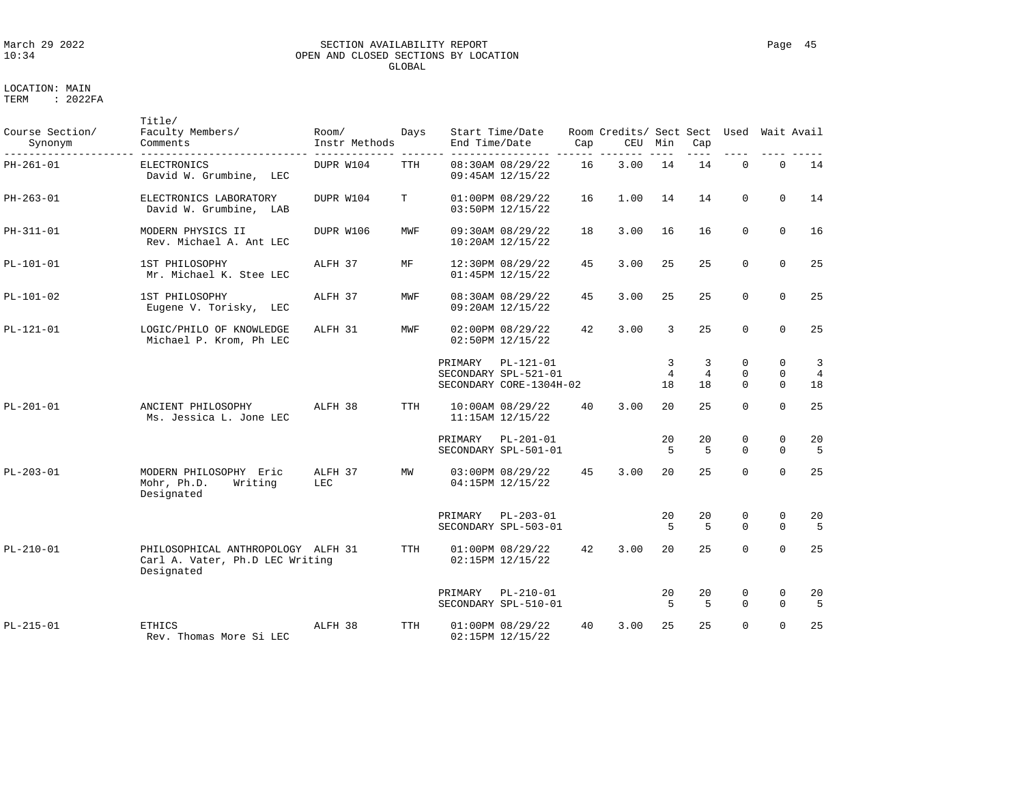### March 29 2022 SECTION AVAILABILITY REPORT Page 45 OPEN AND CLOSED SECTIONS BY LOCATION GLOBAL

| Course Section/<br>Synonym | Title/<br>Faculty Members/<br>Comments                                              | Room/<br>Instr Methods | Days       | End Time/Date | Start Time/Date                                                | Cap | Room Credits/ Sect Sect<br>CEU | Min          | Cap                       |                                  | Used Wait Avail                     |                           |
|----------------------------|-------------------------------------------------------------------------------------|------------------------|------------|---------------|----------------------------------------------------------------|-----|--------------------------------|--------------|---------------------------|----------------------------------|-------------------------------------|---------------------------|
| $PH-261-01$                | <b>ELECTRONICS</b><br>David W. Grumbine, LEC                                        | DUPR W104              | <b>TTH</b> |               | 08:30AM 08/29/22<br>09:45AM 12/15/22                           | 16  | 3.00                           | 14           | 14                        | $\Omega$                         | $\mathbf 0$                         | 14                        |
| PH-263-01                  | ELECTRONICS LABORATORY<br>David W. Grumbine, LAB                                    | DUPR W104              | T          |               | 01:00PM 08/29/22<br>03:50PM 12/15/22                           | 16  | 1.00                           | 14           | 14                        | $\Omega$                         | $\Omega$                            | 14                        |
| PH-311-01                  | MODERN PHYSICS II<br>Rev. Michael A. Ant LEC                                        | DUPR W106              | MWF        |               | 09:30AM 08/29/22<br>10:20AM 12/15/22                           | 18  | 3.00                           | 16           | 16                        | $\mathbf 0$                      | $\mathbf 0$                         | 16                        |
| $PL-101-01$                | 1ST PHILOSOPHY<br>Mr. Michael K. Stee LEC                                           | ALFH 37                | МF         |               | 12:30PM 08/29/22<br>01:45PM 12/15/22                           | 45  | 3.00                           | 25           | 25                        | $\mathbf 0$                      | $\Omega$                            | 25                        |
| $PL-101-02$                | 1ST PHILOSOPHY<br>Eugene V. Torisky, LEC                                            | ALFH 37                | MWF        |               | 08:30AM 08/29/22<br>09:20AM 12/15/22                           | 45  | 3.00                           | 25           | 25                        | $\mathbf 0$                      | $\mathbf 0$                         | 25                        |
| $PL-121-01$                | LOGIC/PHILO OF KNOWLEDGE<br>Michael P. Krom, Ph LEC                                 | ALFH 31                | MWF        |               | 02:00PM 08/29/22<br>02:50PM 12/15/22                           | 42  | 3.00                           | 3            | 25                        | $\mathbf 0$                      | $\mathbf 0$                         | 25                        |
|                            |                                                                                     |                        |            | PRIMARY       | $PL-121-01$<br>SECONDARY SPL-521-01<br>SECONDARY CORE-1304H-02 |     |                                | 3<br>4<br>18 | 3<br>$\overline{4}$<br>18 | $\Omega$<br>$\Omega$<br>$\Omega$ | $\Omega$<br>$\Omega$<br>$\mathbf 0$ | 3<br>$\overline{4}$<br>18 |
| $PL-201-01$                | ANCIENT PHILOSOPHY<br>Ms. Jessica L. Jone LEC                                       | ALFH 38                | <b>TTH</b> |               | 10:00AM 08/29/22<br>11:15AM 12/15/22                           | 40  | 3.00                           | 2.0          | 25                        | $\Omega$                         | $\mathbf 0$                         | 25                        |
|                            |                                                                                     |                        |            | PRIMARY       | $PL-201-01$<br>SECONDARY SPL-501-01                            |     |                                | 20<br>5      | 20<br>5                   | $\mathbf 0$<br>$\Omega$          | $\mathbf 0$<br>$\Omega$             | 20<br>5                   |
| $PL - 203 - 01$            | MODERN PHILOSOPHY<br>Eric<br>Mohr, Ph.D.<br>Writing<br>Designated                   | ALFH 37<br>LEC         | MW         |               | 03:00PM 08/29/22<br>04:15PM 12/15/22                           | 45  | 3.00                           | 20           | 25                        | $\mathbf 0$                      | $\Omega$                            | 25                        |
|                            |                                                                                     |                        |            | PRIMARY       | PL-203-01<br>SECONDARY SPL-503-01                              |     |                                | 20<br>5      | 20<br>5                   | 0<br>$\Omega$                    | 0<br>$\mathbf 0$                    | 20<br>5                   |
| $PL-210-01$                | PHILOSOPHICAL ANTHROPOLOGY ALFH 31<br>Carl A. Vater, Ph.D LEC Writing<br>Designated |                        | TTH        |               | 01:00PM 08/29/22<br>02:15PM 12/15/22                           | 42  | 3.00                           | $20^{\circ}$ | 25                        | $\Omega$                         | $\Omega$                            | 25                        |
|                            |                                                                                     |                        |            | PRIMARY       | $PL-210-01$<br>SECONDARY SPL-510-01                            |     |                                | 20<br>5      | 20<br>5                   | 0<br>$\Omega$                    | 0<br>$\Omega$                       | 20<br>5                   |
| $PL-215-01$                | <b>ETHICS</b><br>Rev. Thomas More Si LEC                                            | ALFH 38                | <b>TTH</b> |               | 01:00PM 08/29/22<br>02:15PM 12/15/22                           | 40  | 3.00                           | 25           | 25                        | $\Omega$                         | $\Omega$                            | 25                        |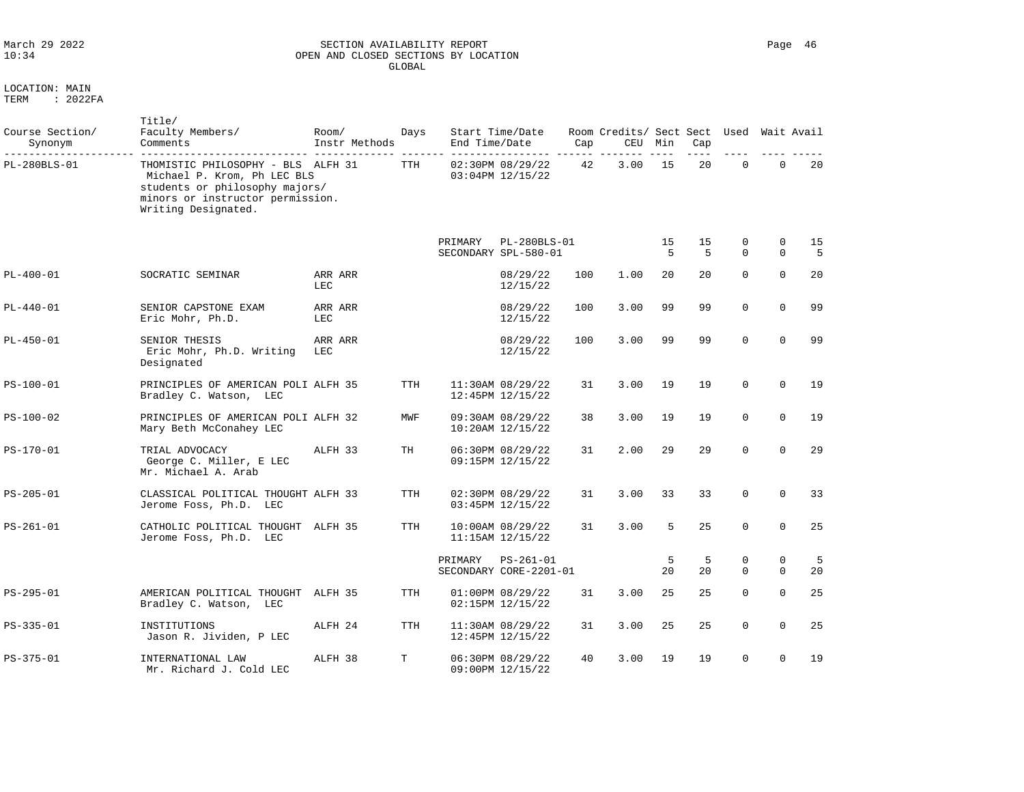### March 29 2022 SECTION AVAILABILITY REPORT Page 46 OPEN AND CLOSED SECTIONS BY LOCATION GLOBAL

| 1 F.R.M | 2022 P.A |
|---------|----------|
|         |          |

| Course Section/<br>Synonym | Title/<br>Faculty Members/<br>Comments                                                                                                                         | Room/<br>Instr Methods | Days       | End Time/Date | Start Time/Date                       | Cap | Room Credits/ Sect Sect<br>CEU | Min     | Cap                  | Used                    |                         | Wait Avail |
|----------------------------|----------------------------------------------------------------------------------------------------------------------------------------------------------------|------------------------|------------|---------------|---------------------------------------|-----|--------------------------------|---------|----------------------|-------------------------|-------------------------|------------|
| PL-280BLS-01               | THOMISTIC PHILOSOPHY - BLS ALFH 31<br>Michael P. Krom, Ph LEC BLS<br>students or philosophy majors/<br>minors or instructor permission.<br>Writing Designated. |                        | TTH        |               | 02:30PM 08/29/22<br>03:04PM 12/15/22  | 42  | 3.00                           | 15      | 20                   | $\mathbf 0$             | $\mathbf 0$             | 20         |
|                            |                                                                                                                                                                |                        |            | PRIMARY       | PL-280BLS-01<br>SECONDARY SPL-580-01  |     |                                | 15<br>5 | 15<br>$\overline{5}$ | 0<br>$\Omega$           | $\mathbf 0$<br>$\Omega$ | 15<br>5    |
| $PL-400-01$                | SOCRATIC SEMINAR                                                                                                                                               | ARR ARR<br><b>LEC</b>  |            |               | 08/29/22<br>12/15/22                  | 100 | 1.00                           | 20      | 20                   | $\Omega$                | $\Omega$                | 20         |
| $PL-440-01$                | SENIOR CAPSTONE EXAM<br>Eric Mohr, Ph.D.                                                                                                                       | ARR ARR<br>LEC         |            |               | 08/29/22<br>12/15/22                  | 100 | 3.00                           | 99      | 99                   | $\mathbf 0$             | $\mathbf 0$             | 99         |
| $PL-450-01$                | SENIOR THESIS<br>Eric Mohr, Ph.D. Writing<br>Designated                                                                                                        | ARR ARR<br><b>LEC</b>  |            |               | 08/29/22<br>12/15/22                  | 100 | 3.00                           | 99      | 99                   | $\Omega$                | $\Omega$                | 99         |
| PS-100-01                  | PRINCIPLES OF AMERICAN POLI ALFH 35<br>Bradley C. Watson, LEC                                                                                                  |                        | <b>TTH</b> |               | 11:30AM 08/29/22<br>12:45PM 12/15/22  | 31  | 3.00                           | 19      | 19                   | $\mathbf 0$             | $\mathbf 0$             | 19         |
| PS-100-02                  | PRINCIPLES OF AMERICAN POLI ALFH 32<br>Mary Beth McConahey LEC                                                                                                 |                        | MWF        |               | 09:30AM 08/29/22<br>10:20AM 12/15/22  | 38  | 3.00                           | 19      | 19                   | $\mathbf 0$             | $\mathbf 0$             | 19         |
| PS-170-01                  | TRIAL ADVOCACY<br>George C. Miller, E LEC<br>Mr. Michael A. Arab                                                                                               | ALFH 33                | TH         |               | 06:30PM 08/29/22<br>09:15PM 12/15/22  | 31  | 2.00                           | 29      | 29                   | $\Omega$                | $\Omega$                | 29         |
| PS-205-01                  | CLASSICAL POLITICAL THOUGHT ALFH 33<br>Jerome Foss, Ph.D. LEC                                                                                                  |                        | <b>TTH</b> |               | 02:30PM 08/29/22<br>03:45PM 12/15/22  | 31  | 3.00                           | 33      | 33                   | $\Omega$                | $\Omega$                | 33         |
| PS-261-01                  | CATHOLIC POLITICAL THOUGHT<br>Jerome Foss, Ph.D. LEC                                                                                                           | ALFH 35                | TTH        |               | 10:00AM 08/29/22<br>11:15AM 12/15/22  | 31  | 3.00                           | 5       | 25                   | $\Omega$                | $\Omega$                | 25         |
|                            |                                                                                                                                                                |                        |            | PRIMARY       | $PS-261-01$<br>SECONDARY CORE-2201-01 |     |                                | 5<br>20 | 5<br>20              | $\mathbf 0$<br>$\Omega$ | $\mathbf 0$<br>$\Omega$ | 5<br>20    |
| PS-295-01                  | AMERICAN POLITICAL THOUGHT<br>Bradley C. Watson, LEC                                                                                                           | ALFH 35                | <b>TTH</b> |               | 01:00PM 08/29/22<br>02:15PM 12/15/22  | 31  | 3.00                           | 25      | 25                   | $\mathbf 0$             | $\mathbf 0$             | 25         |
| PS-335-01                  | INSTITUTIONS<br>Jason R. Jividen, P LEC                                                                                                                        | ALFH 24                | <b>TTH</b> |               | 11:30AM 08/29/22<br>12:45PM 12/15/22  | 31  | 3.00                           | 25      | 25                   | $\mathbf 0$             | $\mathbf 0$             | 25         |
| PS-375-01                  | INTERNATIONAL LAW<br>Mr. Richard J. Cold LEC                                                                                                                   | ALFH 38                | T          |               | 06:30PM 08/29/22<br>09:00PM 12/15/22  | 40  | 3.00                           | 19      | 19                   | $\Omega$                | $\Omega$                | 19         |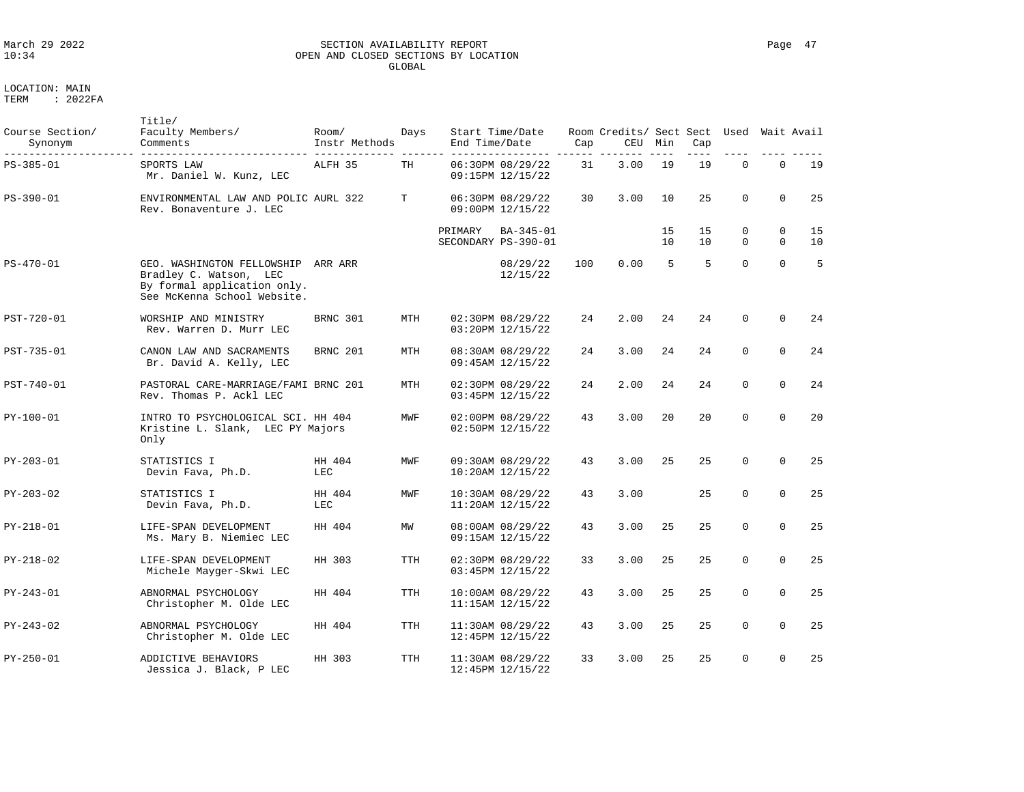# March 29 2022 SECTION AVAILABILITY REPORT Page 47 OPEN AND CLOSED SECTIONS BY LOCATION GLOBAL

LOCATION: MAIN

| Course Section/<br>Synonym | Title/<br>Faculty Members/<br>Comments                                                                                     | Room/<br>Instr Methods | Days       | End Time/Date | Start Time/Date                          | Cap | Room Credits/ Sect Sect<br>CEU | Min      | Cap      | Used                 |                      | Wait Avail |
|----------------------------|----------------------------------------------------------------------------------------------------------------------------|------------------------|------------|---------------|------------------------------------------|-----|--------------------------------|----------|----------|----------------------|----------------------|------------|
| PS-385-01                  | SPORTS LAW<br>Mr. Daniel W. Kunz, LEC                                                                                      | ALFH 35                | TH         |               | 06:30PM 08/29/22<br>09:15PM 12/15/22     | 31  | 3.00                           | 19       | 19       | $\mathbf 0$          | $\mathbf 0$          | 19         |
| PS-390-01                  | ENVIRONMENTAL LAW AND POLIC AURL 322<br>Rev. Bonaventure J. LEC                                                            |                        | T          |               | 06:30PM 08/29/22<br>09:00PM 12/15/22     | 30  | 3.00                           | 10       | 25       | $\Omega$             | $\Omega$             | 25         |
|                            |                                                                                                                            |                        |            | PRIMARY       | BA-345-01<br>SECONDARY PS-390-01         |     |                                | 15<br>10 | 15<br>10 | $\Omega$<br>$\Omega$ | $\Omega$<br>$\Omega$ | 15<br>10   |
| $PS - 470 - 01$            | GEO. WASHINGTON FELLOWSHIP ARR ARR<br>Bradley C. Watson, LEC<br>By formal application only.<br>See McKenna School Website. |                        |            |               | 08/29/22<br>12/15/22                     | 100 | 0.00                           | 5        | 5        | $\Omega$             | $\Omega$             | 5          |
| PST-720-01                 | WORSHIP AND MINISTRY<br>Rev. Warren D. Murr LEC                                                                            | BRNC 301               | MTH        |               | 02:30PM 08/29/22<br>03:20PM 12/15/22     | 24  | 2.00                           | 24       | 24       | $\mathbf 0$          | $\Omega$             | 24         |
| PST-735-01                 | CANON LAW AND SACRAMENTS<br>Br. David A. Kelly, LEC                                                                        | BRNC 201               | MTH        |               | 08:30AM 08/29/22<br>09:45AM 12/15/22     | 24  | 3.00                           | 24       | 24       | $\Omega$             | $\Omega$             | 24         |
| PST-740-01                 | PASTORAL CARE-MARRIAGE/FAMI BRNC 201<br>Rev. Thomas P. Ackl LEC                                                            |                        | MTH        |               | 02:30PM 08/29/22<br>03:45PM 12/15/22     | 24  | 2.00                           | 24       | 24       | $\Omega$             | $\Omega$             | 24         |
| PY-100-01                  | INTRO TO PSYCHOLOGICAL SCI. HH 404<br>Kristine L. Slank, LEC PY Majors<br>Only                                             |                        | MWF        |               | 02:00PM 08/29/22<br>02:50PM 12/15/22     | 43  | 3.00                           | 20       | 20       | $\Omega$             | $\mathbf 0$          | 20         |
| PY-203-01                  | STATISTICS I<br>Devin Fava, Ph.D.                                                                                          | HH 404<br><b>LEC</b>   | MWF        |               | 09:30AM 08/29/22<br>10:20AM 12/15/22     | 43  | 3.00                           | 25       | 25       | $\mathbf 0$          | $\mathbf 0$          | 25         |
| PY-203-02                  | STATISTICS I<br>Devin Fava, Ph.D.                                                                                          | HH 404<br><b>LEC</b>   | MWF        |               | 10:30AM 08/29/22<br>$11:20AM$ $12/15/22$ | 43  | 3.00                           |          | 25       | $\Omega$             | $\Omega$             | 25         |
| PY-218-01                  | LIFE-SPAN DEVELOPMENT<br>Ms. Mary B. Niemiec LEC                                                                           | HH 404                 | MW         |               | 08:00AM 08/29/22<br>09:15AM 12/15/22     | 43  | 3.00                           | 25       | 25       | $\Omega$             | $\Omega$             | 25         |
| PY-218-02                  | LIFE-SPAN DEVELOPMENT<br>Michele Mayger-Skwi LEC                                                                           | HH 303                 | <b>TTH</b> |               | 02:30PM 08/29/22<br>03:45PM 12/15/22     | 33  | 3.00                           | 25       | 25       | $\mathbf 0$          | $\Omega$             | 25         |
| PY-243-01                  | ABNORMAL PSYCHOLOGY<br>Christopher M. Olde LEC                                                                             | HH 404                 | TTH        |               | 10:00AM 08/29/22<br>11:15AM 12/15/22     | 43  | 3.00                           | 25       | 25       | $\mathbf 0$          | $\Omega$             | 25         |
| PY-243-02                  | ABNORMAL PSYCHOLOGY<br>Christopher M. Olde LEC                                                                             | HH 404                 | <b>TTH</b> |               | 11:30AM 08/29/22<br>12:45PM 12/15/22     | 43  | 3.00                           | 25       | 25       | $\mathbf 0$          | $\mathbf 0$          | 25         |
| PY-250-01                  | ADDICTIVE BEHAVIORS<br>Jessica J. Black, P LEC                                                                             | HH 303                 | TTH        |               | 11:30AM 08/29/22<br>12:45PM 12/15/22     | 33  | 3.00                           | 25       | 25       | $\Omega$             | $\mathbf 0$          | 25         |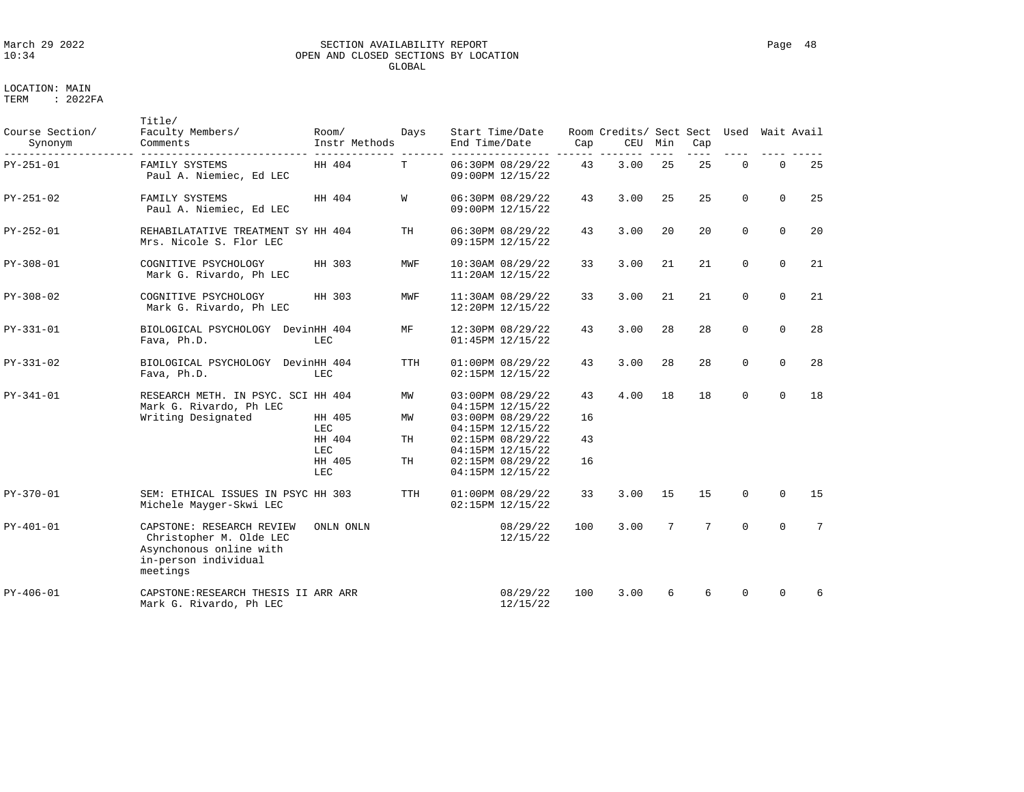### March 29 2022 SECTION AVAILABILITY REPORT Page 48 OPEN AND CLOSED SECTIONS BY LOCATION GLOBAL

| Course Section/<br>Synonym | Title/<br>Faculty Members/<br>Comments                                                                              | Room/<br>Instr Methods | Days       | Start Time/Date<br>End Time/Date     | Cap      | Room Credits/ Sect Sect<br>CEU | Min | Cap | Used        | Wait Avail   |                 |
|----------------------------|---------------------------------------------------------------------------------------------------------------------|------------------------|------------|--------------------------------------|----------|--------------------------------|-----|-----|-------------|--------------|-----------------|
| PY-251-01                  | FAMILY SYSTEMS<br>Paul A. Niemiec, Ed LEC                                                                           | HH 404                 | T          | 06:30PM 08/29/22<br>09:00PM 12/15/22 | 43       | 3.00                           | 25  | 25  | 0           | $\mathbf 0$  | 25              |
| PY-251-02                  | FAMILY SYSTEMS<br>Paul A. Niemiec, Ed LEC                                                                           | HH 404                 | W          | 06:30PM 08/29/22<br>09:00PM 12/15/22 | 43       | 3.00                           | 25  | 25  | $\mathbf 0$ | $\mathbf 0$  | 25              |
| PY-252-01                  | REHABILATATIVE TREATMENT SY HH 404<br>Mrs. Nicole S. Flor LEC                                                       |                        | TН         | 06:30PM 08/29/22<br>09:15PM 12/15/22 | 43       | 3.00                           | 20  | 20  | $\mathbf 0$ | $\mathbf 0$  | 20              |
| $PY-308-01$                | COGNITIVE PSYCHOLOGY<br>Mark G. Rivardo, Ph LEC                                                                     | HH 303                 | MWF        | 10:30AM 08/29/22<br>11:20AM 12/15/22 | 33       | 3.00                           | 21  | 21  | $\mathbf 0$ | $\mathbf 0$  | 21              |
| PY-308-02                  | COGNITIVE PSYCHOLOGY<br>Mark G. Rivardo, Ph LEC                                                                     | HH 303                 | MWF        | 11:30AM 08/29/22<br>12:20PM 12/15/22 | 33       | 3.00                           | 21  | 21  | $\mathbf 0$ | $\mathbf 0$  | 21              |
| PY-331-01                  | BIOLOGICAL PSYCHOLOGY DevinHH 404<br>Fava, Ph.D.                                                                    | LEC                    | МF         | 12:30PM 08/29/22<br>01:45PM 12/15/22 | 43       | 3.00                           | 28  | 28  | 0           | $\mathbf{0}$ | 28              |
| PY-331-02                  | BIOLOGICAL PSYCHOLOGY DevinHH 404<br>Fava, Ph.D.                                                                    | LEC                    | <b>TTH</b> | 01:00PM 08/29/22<br>02:15PM 12/15/22 | 43       | 3.00                           | 28  | 28  | $\mathbf 0$ | $\mathbf 0$  | 28              |
| PY-341-01                  | RESEARCH METH. IN PSYC. SCI HH 404<br>Mark G. Rivardo, Ph LEC                                                       |                        | MW         | 03:00PM 08/29/22<br>04:15PM 12/15/22 | 43       | 4.00                           | 18  | 18  | 0           | $\mathbf 0$  | 18              |
|                            | Writing Designated                                                                                                  | HH 405<br>LEC          | MW         | 03:00PM 08/29/22<br>04:15PM 12/15/22 | 16       |                                |     |     |             |              |                 |
|                            |                                                                                                                     | HH 404<br>LEC          | TН         | 02:15PM 08/29/22<br>04:15PM 12/15/22 | 43<br>16 |                                |     |     |             |              |                 |
|                            |                                                                                                                     | HH 405<br>LEC          | TH         | 02:15PM 08/29/22<br>04:15PM 12/15/22 |          |                                |     |     |             |              |                 |
| PY-370-01                  | SEM: ETHICAL ISSUES IN PSYC HH 303<br>Michele Mayger-Skwi LEC                                                       |                        | <b>TTH</b> | 01:00PM 08/29/22<br>02:15PM 12/15/22 | 33       | 3.00                           | 15  | 15  | 0           | $\mathbf 0$  | 15              |
| PY-401-01                  | CAPSTONE: RESEARCH REVIEW<br>Christopher M. Olde LEC<br>Asynchonous online with<br>in-person individual<br>meetings | ONLN ONLN              |            | 08/29/22<br>12/15/22                 | 100      | 3.00                           | 7   | 7   | $\Omega$    | $\Omega$     | $7\phantom{.0}$ |
| $PY-406-01$                | CAPSTONE:RESEARCH THESIS II ARR ARR<br>Mark G. Rivardo, Ph LEC                                                      |                        |            | 08/29/22<br>12/15/22                 | 100      | 3.00                           | 6   | 6   | $\Omega$    | 0            | 6               |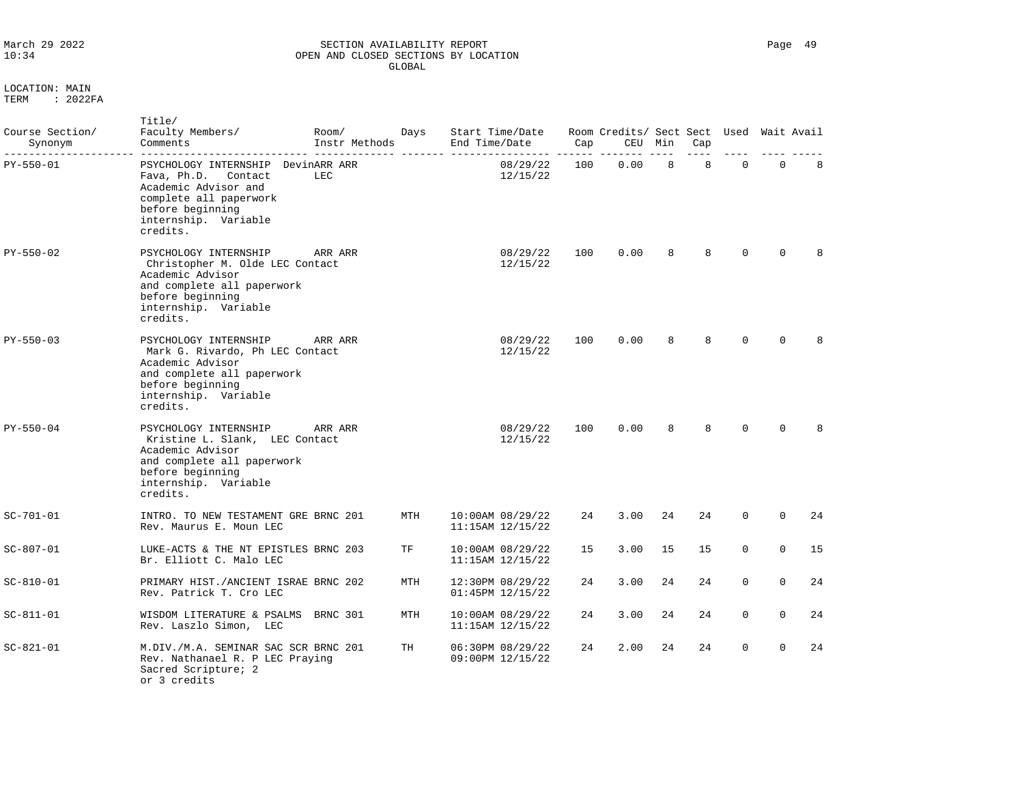### March 29 2022 SECTION AVAILABILITY REPORT Page 49 OPEN AND CLOSED SECTIONS BY LOCATION GLOBAL

| Course Section/<br>Synonym | Title/<br>Faculty Members/<br>Comments                                                                                                                             | Room/<br>Instr Methods | Days | End Time/Date | Start Time/Date                          | Cap | Room Credits/ Sect Sect Used<br>CEU | Min | Cap |             |             | Wait Avail |  |
|----------------------------|--------------------------------------------------------------------------------------------------------------------------------------------------------------------|------------------------|------|---------------|------------------------------------------|-----|-------------------------------------|-----|-----|-------------|-------------|------------|--|
| PY-550-01                  | PSYCHOLOGY INTERNSHIP<br>Fava, Ph.D.<br>Contact<br>Academic Advisor and<br>complete all paperwork<br>before beginning<br>internship. Variable<br>credits.          | DevinARR ARR<br>LEC    |      |               | 08/29/22<br>12/15/22                     | 100 | 0.00                                | 8   | 8   | $\mathbf 0$ | $\mathbf 0$ | 8          |  |
| PY-550-02                  | PSYCHOLOGY INTERNSHIP<br>Christopher M. Olde LEC Contact<br>Academic Advisor<br>and complete all paperwork<br>before beginning<br>internship. Variable<br>credits. | ARR ARR                |      |               | 08/29/22<br>12/15/22                     | 100 | 0.00                                | 8   | 8   | $\Omega$    | $\Omega$    | 8          |  |
| PY-550-03                  | PSYCHOLOGY INTERNSHIP<br>Mark G. Rivardo, Ph LEC Contact<br>Academic Advisor<br>and complete all paperwork<br>before beginning<br>internship. Variable<br>credits. | ARR ARR                |      |               | 08/29/22<br>12/15/22                     | 100 | 0.00                                | 8   | 8   | $\Omega$    | $\Omega$    | 8          |  |
| PY-550-04                  | PSYCHOLOGY INTERNSHIP<br>Kristine L. Slank, LEC Contact<br>Academic Advisor<br>and complete all paperwork<br>before beginning<br>internship. Variable<br>credits.  | ARR ARR                |      |               | 08/29/22<br>12/15/22                     | 100 | 0.00                                | 8   | 8   | $\Omega$    | $\Omega$    | 8          |  |
| $SC - 701 - 01$            | INTRO. TO NEW TESTAMENT GRE BRNC 201<br>Rev. Maurus E. Moun LEC                                                                                                    |                        | MTH  |               | 10:00AM 08/29/22<br>$11:15AM$ $12/15/22$ | 24  | 3.00                                | 24  | 24  | $\Omega$    | $\Omega$    | 24         |  |
| $SC - 807 - 01$            | LUKE-ACTS & THE NT EPISTLES BRNC 203<br>Br. Elliott C. Malo LEC                                                                                                    |                        | TF   |               | 10:00AM 08/29/22<br>11:15AM 12/15/22     | 15  | 3.00                                | 15  | 15  | $\Omega$    | $\Omega$    | 15         |  |
| $SC - 810 - 01$            | PRIMARY HIST./ANCIENT ISRAE BRNC 202<br>Rev. Patrick T. Cro LEC                                                                                                    |                        | MTH  |               | 12:30PM 08/29/22<br>01:45PM 12/15/22     | 24  | 3.00                                | 24  | 24  | $\Omega$    | $\Omega$    | 24         |  |
| $SC - 811 - 01$            | WISDOM LITERATURE & PSALMS<br>Rev. Laszlo Simon, LEC                                                                                                               | BRNC 301               | MTH  |               | 10:00AM 08/29/22<br>11:15AM 12/15/22     | 24  | 3.00                                | 24  | 24  | $\Omega$    | $\Omega$    | 24         |  |
| $SC - 821 - 01$            | M.DIV./M.A. SEMINAR SAC SCR BRNC 201<br>Rev. Nathanael R. P LEC Praying<br>Sacred Scripture; 2<br>or 3 credits                                                     |                        | TH   |               | 06:30PM 08/29/22<br>09:00PM 12/15/22     | 24  | 2.00                                | 24  | 24  | $\mathbf 0$ | $\Omega$    | 24         |  |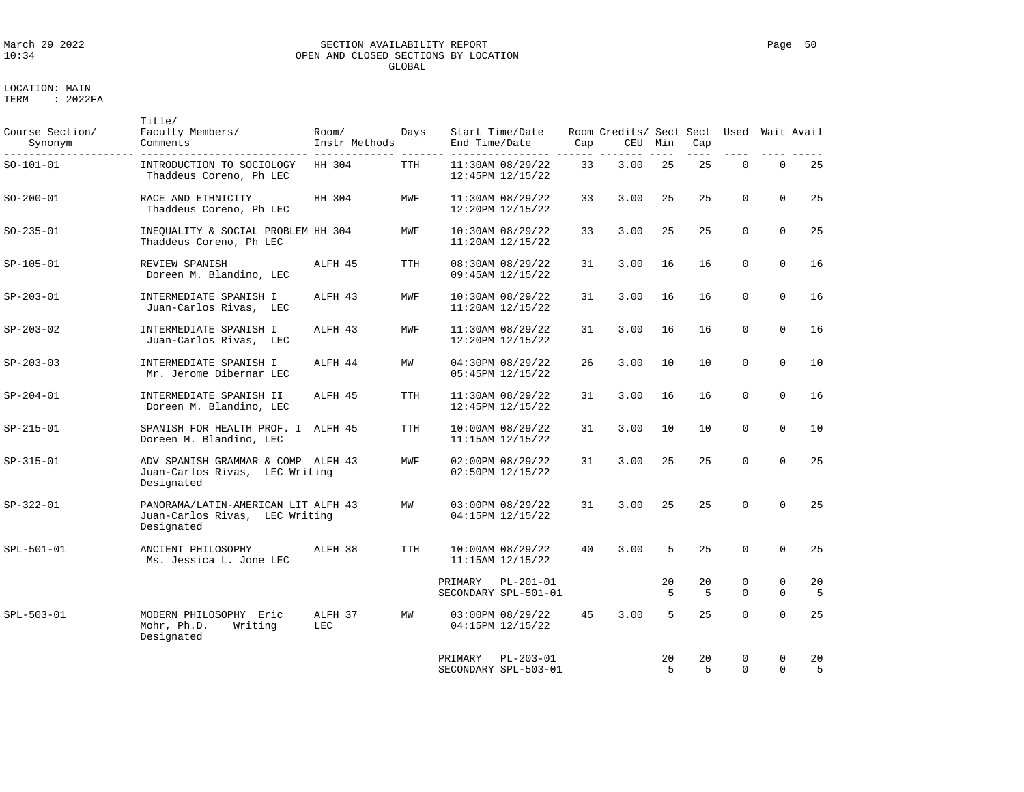# March 29 2022 SECTION AVAILABILITY REPORT Page 50 OPEN AND CLOSED SECTIONS BY LOCATION GLOBAL

| Course Section/<br>Synonym | Title/<br>Faculty Members/<br>Comments                                              | Room/<br>Instr Methods | Days       | End Time/Date | Start Time/Date                          | Cap | Room Credits/ Sect Sect<br>CEU | Min     | Cap      | Used Wait Avail         |                         |         |
|----------------------------|-------------------------------------------------------------------------------------|------------------------|------------|---------------|------------------------------------------|-----|--------------------------------|---------|----------|-------------------------|-------------------------|---------|
| SO-101-01                  | INTRODUCTION TO SOCIOLOGY<br>Thaddeus Coreno, Ph LEC                                | HH 304                 | <b>TTH</b> |               | 11:30AM 08/29/22<br>12:45PM 12/15/22     | 33  | 3.00                           | 25      | 25       | $\mathbf 0$             | $\mathbf 0$             | 25      |
| SO-200-01                  | RACE AND ETHNICITY<br>Thaddeus Coreno, Ph LEC                                       | HH 304                 | MWF        |               | 11:30AM 08/29/22<br>12:20PM 12/15/22     | 33  | 3.00                           | 25      | 25       | $\Omega$                | $\Omega$                | 25      |
| $SO-235-01$                | INEQUALITY & SOCIAL PROBLEM HH 304<br>Thaddeus Coreno, Ph LEC                       |                        | MWF        |               | 10:30AM 08/29/22<br>$11:20AM$ $12/15/22$ | 33  | 3.00                           | 25      | 25       | $\Omega$                | $\Omega$                | 25      |
| SP-105-01                  | REVIEW SPANISH<br>Doreen M. Blandino, LEC                                           | ALFH 45                | TTH        |               | 08:30AM 08/29/22<br>09:45AM 12/15/22     | 31  | 3.00                           | 16      | 16       | $\mathbf 0$             | $\mathbf 0$             | 16      |
| SP-203-01                  | INTERMEDIATE SPANISH I<br>Juan-Carlos Rivas, LEC                                    | ALFH 43                | MWF        |               | 10:30AM 08/29/22<br>$11:20AM$ $12/15/22$ | 31  | 3.00                           | 16      | 16       | $\Omega$                | $\Omega$                | 16      |
| $SP-203-02$                | INTERMEDIATE SPANISH I<br>Juan-Carlos Rivas, LEC                                    | ALFH 43                | MWF        |               | 11:30AM 08/29/22<br>12:20PM 12/15/22     | 31  | 3.00                           | 16      | 16       | $\mathbf 0$             | $\mathbf 0$             | 16      |
| $SP-203-03$                | INTERMEDIATE SPANISH I<br>Mr. Jerome Dibernar LEC                                   | ALFH 44                | ΜW         |               | 04:30PM 08/29/22<br>05:45PM 12/15/22     | 26  | 3.00                           | 10      | 10       | $\Omega$                | $\Omega$                | 10      |
| SP-204-01                  | INTERMEDIATE SPANISH II<br>Doreen M. Blandino, LEC                                  | ALFH 45                | TTH        |               | 11:30AM 08/29/22<br>12:45PM 12/15/22     | 31  | 3.00                           | 16      | 16       | $\Omega$                | $\Omega$                | 16      |
| SP-215-01                  | SPANISH FOR HEALTH PROF. I ALFH 45<br>Doreen M. Blandino, LEC                       |                        | <b>TTH</b> |               | 10:00AM 08/29/22<br>$11:15AM$ $12/15/22$ | 31  | 3.00                           | 10      | 10       | $\mathbf 0$             | $\Omega$                | 10      |
| SP-315-01                  | ADV SPANISH GRAMMAR & COMP ALFH 43<br>Juan-Carlos Rivas, LEC Writing<br>Designated  |                        | MWF        |               | 02:00PM 08/29/22<br>02:50PM 12/15/22     | 31  | 3.00                           | 25      | 25       | $\mathbf 0$             | $\mathbf 0$             | 25      |
| SP-322-01                  | PANORAMA/LATIN-AMERICAN LIT ALFH 43<br>Juan-Carlos Rivas, LEC Writing<br>Designated |                        | MW         |               | 03:00PM 08/29/22<br>04:15PM 12/15/22     | 31  | 3.00                           | 25      | 25       | $\Omega$                | $\Omega$                | 25      |
| SPL-501-01                 | ANCIENT PHILOSOPHY<br>Ms. Jessica L. Jone LEC                                       | ALFH 38                | <b>TTH</b> |               | $10:00AM$ $08/29/22$<br>11:15AM 12/15/22 | 40  | 3.00                           | 5       | 25       | $\Omega$                | $\Omega$                | 25      |
|                            |                                                                                     |                        |            | PRIMARY       | $PL-201-01$<br>SECONDARY SPL-501-01      |     |                                | 20<br>5 | 20<br>.5 | $\mathbf 0$<br>$\Omega$ | $\mathsf 0$<br>$\Omega$ | 20<br>5 |
| SPL-503-01                 | MODERN PHILOSOPHY Eric<br>Mohr, Ph.D.<br>Writing<br>Designated                      | ALFH 37<br>LEC         | MW         |               | 03:00PM 08/29/22<br>04:15PM 12/15/22     | 45  | 3.00                           | 5       | 25       | $\Omega$                | $\Omega$                | 25      |
|                            |                                                                                     |                        |            | PRIMARY       | $PL-203-01$<br>SECONDARY SPL-503-01      |     |                                | 20<br>5 | 20<br>5  | $\mathbf 0$<br>$\Omega$ | $\mathbf 0$<br>$\Omega$ | 20<br>5 |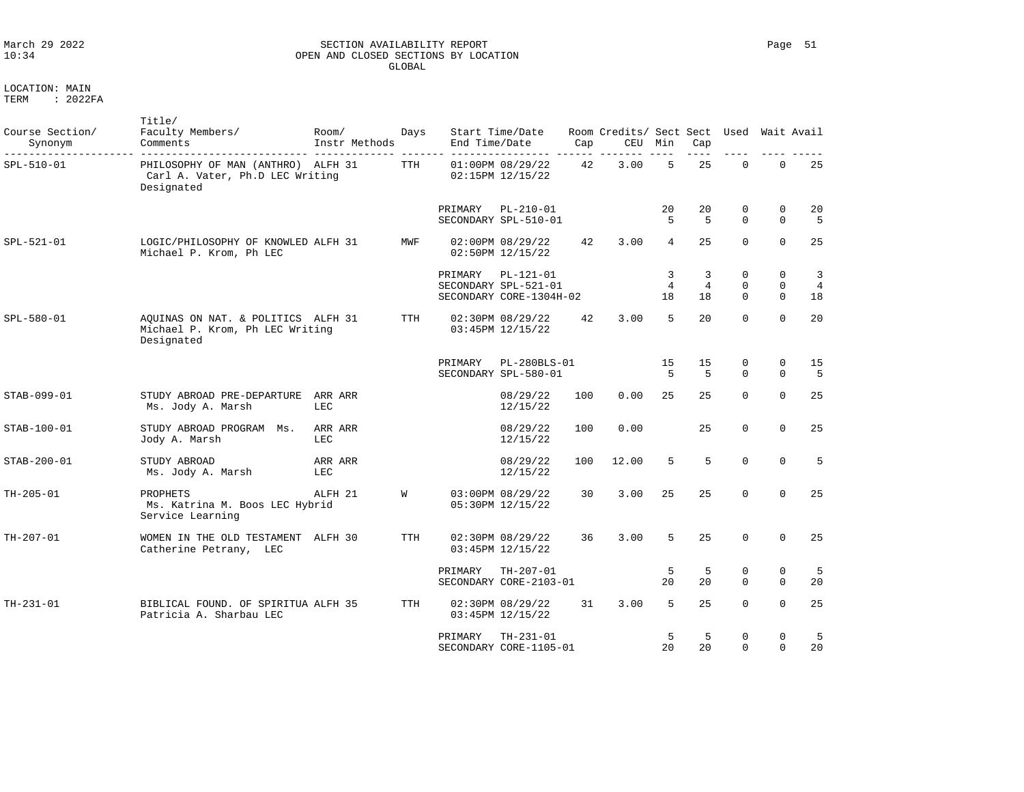### March 29 2022 SECTION AVAILABILITY REPORT Page 51 10:34 OPEN AND CLOSED SECTIONS BY LOCATION GLOBAL

LOCATION: MAIN

| Course Section/<br>Synonym | Title/<br>Faculty Members/<br>Comments                                              | Room/<br>Instr Methods | Days       | End Time/Date | Start Time/Date                                                | Cap | Room Credits/ Sect Sect Used<br>CEU Min |                           | Cap                       |                              |                                           | Wait Avail                                      |
|----------------------------|-------------------------------------------------------------------------------------|------------------------|------------|---------------|----------------------------------------------------------------|-----|-----------------------------------------|---------------------------|---------------------------|------------------------------|-------------------------------------------|-------------------------------------------------|
| SPL-510-01                 | PHILOSOPHY OF MAN (ANTHRO) ALFH 31<br>Carl A. Vater, Ph.D LEC Writing<br>Designated |                        | TTH        |               | 01:00PM 08/29/22<br>02:15PM 12/15/22                           | 42  | 3.00                                    | 5                         | 25                        | $\mathbf 0$                  | $\mathbf 0$                               | 25                                              |
|                            |                                                                                     |                        |            | PRIMARY       | PL-210-01<br>SECONDARY SPL-510-01                              |     |                                         | 20<br>5                   | 20<br>.5                  | 0<br>$\Omega$                | 0<br>$\Omega$                             | 20<br>5                                         |
| SPL-521-01                 | LOGIC/PHILOSOPHY OF KNOWLED ALFH 31<br>Michael P. Krom, Ph LEC                      |                        | MWF        |               | 02:00PM 08/29/22<br>02:50PM 12/15/22                           | 42  | 3.00                                    | 4                         | 25                        | $\Omega$                     | $\Omega$                                  | 25                                              |
|                            |                                                                                     |                        |            | PRIMARY       | $PL-121-01$<br>SECONDARY SPL-521-01<br>SECONDARY CORE-1304H-02 |     |                                         | 3<br>$\overline{4}$<br>18 | 3<br>$\overline{4}$<br>18 | 0<br>$\mathbf 0$<br>$\Omega$ | $\mathbf 0$<br>$\mathbf 0$<br>$\mathbf 0$ | $\overline{\mathbf{3}}$<br>$\overline{4}$<br>18 |
| SPL-580-01                 | AQUINAS ON NAT. & POLITICS ALFH 31<br>Michael P. Krom, Ph LEC Writing<br>Designated |                        | TTH        |               | 02:30PM 08/29/22<br>03:45PM 12/15/22                           | 42  | 3.00                                    | 5                         | 20                        | $\Omega$                     | $\Omega$                                  | 20                                              |
|                            |                                                                                     |                        |            | PRIMARY       | PL-280BLS-01<br>SECONDARY SPL-580-01                           |     |                                         | 15<br>5                   | 15<br>.5                  | 0<br>$\Omega$                | $\mathbf 0$<br>$\Omega$                   | 15<br>5                                         |
| STAB-099-01                | STUDY ABROAD PRE-DEPARTURE<br>Ms. Jody A. Marsh                                     | ARR ARR<br>LEC         |            |               | 08/29/22<br>12/15/22                                           | 100 | 0.00                                    | 25                        | 25                        | $\Omega$                     | $\Omega$                                  | 25                                              |
| STAB-100-01                | STUDY ABROAD PROGRAM Ms.<br>Jody A. Marsh                                           | ARR ARR<br>LEC         |            |               | 08/29/22<br>12/15/22                                           | 100 | 0.00                                    |                           | 25                        | $\mathbf 0$                  | $\Omega$                                  | 25                                              |
| STAB-200-01                | STUDY ABROAD<br>Ms. Jody A. Marsh                                                   | ARR ARR<br>LEC         |            |               | 08/29/22<br>12/15/22                                           | 100 | 12.00                                   | 5                         | 5                         | $\Omega$                     | $\Omega$                                  | 5                                               |
| TH-205-01                  | PROPHETS<br>Ms. Katrina M. Boos LEC Hybrid<br>Service Learning                      | ALFH 21                | W          |               | 03:00PM 08/29/22<br>05:30PM 12/15/22                           | 30  | 3.00                                    | 25                        | 25                        | $\Omega$                     | $\Omega$                                  | 25                                              |
| TH-207-01                  | WOMEN IN THE OLD TESTAMENT ALFH 30<br>Catherine Petrany, LEC                        |                        | <b>TTH</b> |               | 02:30PM 08/29/22<br>03:45PM 12/15/22                           | 36  | 3.00                                    | 5                         | 25                        | $\Omega$                     | $\Omega$                                  | 25                                              |
|                            |                                                                                     |                        |            | PRIMARY       | $TH-207-01$<br>SECONDARY CORE-2103-01                          |     |                                         | 5<br>20                   | -5<br>20                  | 0<br>$\Omega$                | $\mathbf 0$<br>$\Omega$                   | 5<br>20                                         |
| $TH - 231 - 01$            | BIBLICAL FOUND. OF SPIRITUA ALFH 35<br>Patricia A. Sharbau LEC                      |                        | TTH        |               | 02:30PM 08/29/22<br>03:45PM 12/15/22                           | 31  | 3.00                                    | 5                         | 25                        | $\Omega$                     | $\mathbf 0$                               | 25                                              |
|                            |                                                                                     |                        |            | PRIMARY       | $TH-231-01$<br>SECONDARY CORE-1105-01                          |     |                                         | 5<br>20                   | 5<br>20                   | 0<br>$\Omega$                | $\mathbf 0$<br>$\Omega$                   | 5<br>20                                         |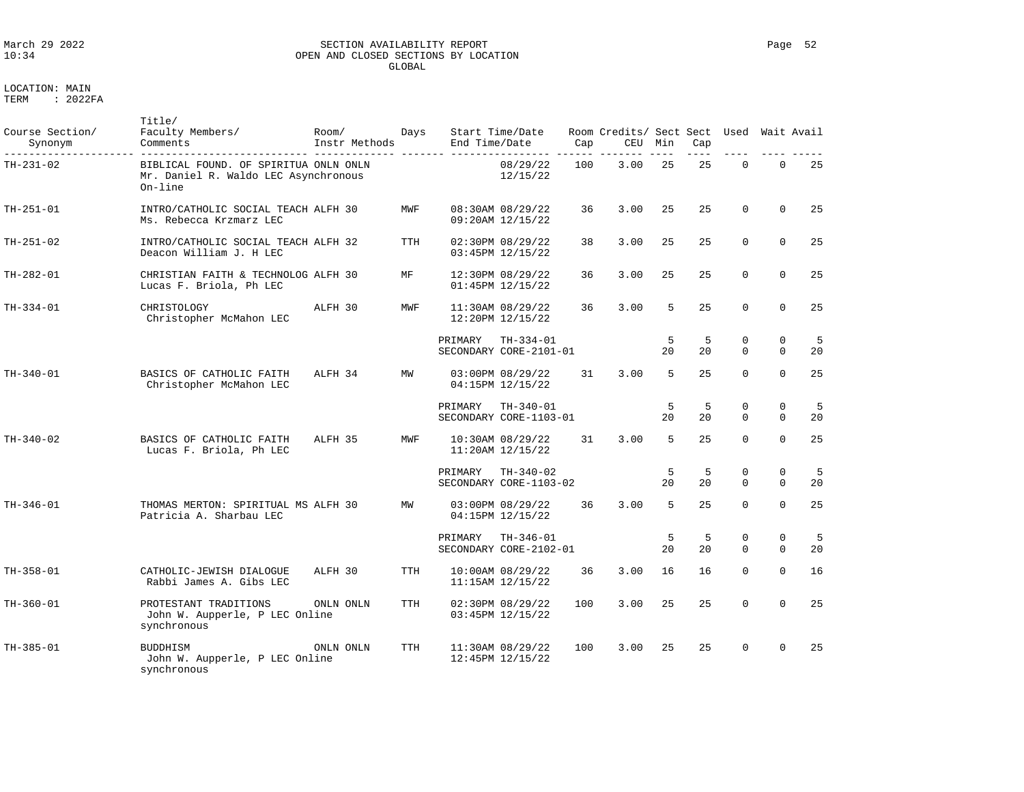### March 29 2022 SECTION AVAILABILITY REPORT Page 52 OPEN AND CLOSED SECTIONS BY LOCATION GLOBAL

| Course Section/<br>Synonym | Title/<br>Faculty Members/<br>Comments                                                      | Room/<br>Instr Methods | Days       | End Time/Date | Start Time/Date                       | Cap | Room Credits/ Sect Sect<br>CEU | Min     | Cap     | Used                    |                            | Wait Avail |
|----------------------------|---------------------------------------------------------------------------------------------|------------------------|------------|---------------|---------------------------------------|-----|--------------------------------|---------|---------|-------------------------|----------------------------|------------|
| TH-231-02                  | BIBLICAL FOUND. OF SPIRITUA ONLN ONLN<br>Mr. Daniel R. Waldo LEC Asynchronous<br>$On$ -line |                        |            |               | 08/29/22<br>12/15/22                  | 100 | 3.00                           | 25      | 25      | $\mathbf 0$             | $\mathbf 0$                | 25         |
| $TH - 251 - 01$            | INTRO/CATHOLIC SOCIAL TEACH ALFH 30<br>Ms. Rebecca Krzmarz LEC                              |                        | MWF        |               | 08:30AM 08/29/22<br>09:20AM 12/15/22  | 36  | 3.00                           | 25      | 25      | $\mathbf 0$             | $\mathbf 0$                | 25         |
| TH-251-02                  | INTRO/CATHOLIC SOCIAL TEACH ALFH 32<br>Deacon William J. H LEC                              |                        | TTH        |               | 02:30PM 08/29/22<br>03:45PM 12/15/22  | 38  | 3.00                           | 25      | 25      | $\mathbf 0$             | $\mathbf 0$                | 25         |
| $TH-282-01$                | CHRISTIAN FAITH & TECHNOLOG ALFH 30<br>Lucas F. Briola, Ph LEC                              |                        | MF         |               | 12:30PM 08/29/22<br>01:45PM 12/15/22  | 36  | 3.00                           | 25      | 25      | $\Omega$                | $\Omega$                   | 25         |
| $TH-334-01$                | CHRISTOLOGY<br>Christopher McMahon LEC                                                      | ALFH 30                | MWF        |               | 11:30AM 08/29/22<br>12:20PM 12/15/22  | 36  | 3.00                           | 5       | 25      | $\Omega$                | $\Omega$                   | 25         |
|                            |                                                                                             |                        |            | PRIMARY       | $TH-334-01$<br>SECONDARY CORE-2101-01 |     |                                | 5<br>20 | 5<br>20 | $\mathbf 0$<br>$\Omega$ | $\mathbf 0$<br>$\Omega$    | 5<br>20    |
| $TH-340-01$                | BASICS OF CATHOLIC FAITH<br>Christopher McMahon LEC                                         | ALFH 34                | MW         |               | 03:00PM 08/29/22<br>04:15PM 12/15/22  | 31  | 3.00                           | 5       | 25      | $\Omega$                | $\mathbf 0$                | 25         |
|                            |                                                                                             |                        |            | PRIMARY       | $TH-340-01$<br>SECONDARY CORE-1103-01 |     |                                | 5<br>20 | 5<br>20 | 0<br>$\Omega$           | $\mathbf 0$<br>$\mathbf 0$ | 5<br>20    |
| $TH-340-02$                | BASICS OF CATHOLIC FAITH<br>Lucas F. Briola, Ph LEC                                         | ALFH 35                | MWF        |               | 10:30AM 08/29/22<br>11:20AM 12/15/22  | 31  | 3.00                           | 5       | 25      | $\Omega$                | $\Omega$                   | 25         |
|                            |                                                                                             |                        |            | PRIMARY       | $TH-340-02$<br>SECONDARY CORE-1103-02 |     |                                | 5<br>20 | 5<br>20 | $\mathbf 0$<br>$\Omega$ | $\mathbf 0$<br>$\Omega$    | 5<br>20    |
| $TH-346-01$                | THOMAS MERTON: SPIRITUAL MS ALFH 30<br>Patricia A. Sharbau LEC                              |                        | MW         |               | 03:00PM 08/29/22<br>04:15PM 12/15/22  | 36  | 3.00                           | 5       | 25      | $\Omega$                | $\mathbf 0$                | 25         |
|                            |                                                                                             |                        |            | PRIMARY       | $TH-346-01$<br>SECONDARY CORE-2102-01 |     |                                | 5<br>20 | 5<br>20 | 0<br>$\Omega$           | $\mathbf 0$<br>$\mathbf 0$ | -5<br>20   |
| $TH-358-01$                | CATHOLIC-JEWISH DIALOGUE<br>Rabbi James A. Gibs LEC                                         | ALFH 30                | TTH        |               | 10:00AM 08/29/22<br>11:15AM 12/15/22  | 36  | 3.00                           | 16      | 16      | $\Omega$                | $\Omega$                   | 16         |
| $TH-360-01$                | PROTESTANT TRADITIONS<br>John W. Aupperle, P LEC Online<br>synchronous                      | ONLN ONLN              | <b>TTH</b> |               | 02:30PM 08/29/22<br>03:45PM 12/15/22  | 100 | 3.00                           | 25      | 25      | $\Omega$                | $\Omega$                   | 25         |
| $TH-385-01$                | <b>BUDDHISM</b><br>John W. Aupperle, P LEC Online<br>synchronous                            | ONLN ONLN              | TTH        |               | 11:30AM 08/29/22<br>12:45PM 12/15/22  | 100 | 3.00                           | 25      | 25      | $\Omega$                | $\Omega$                   | 25         |